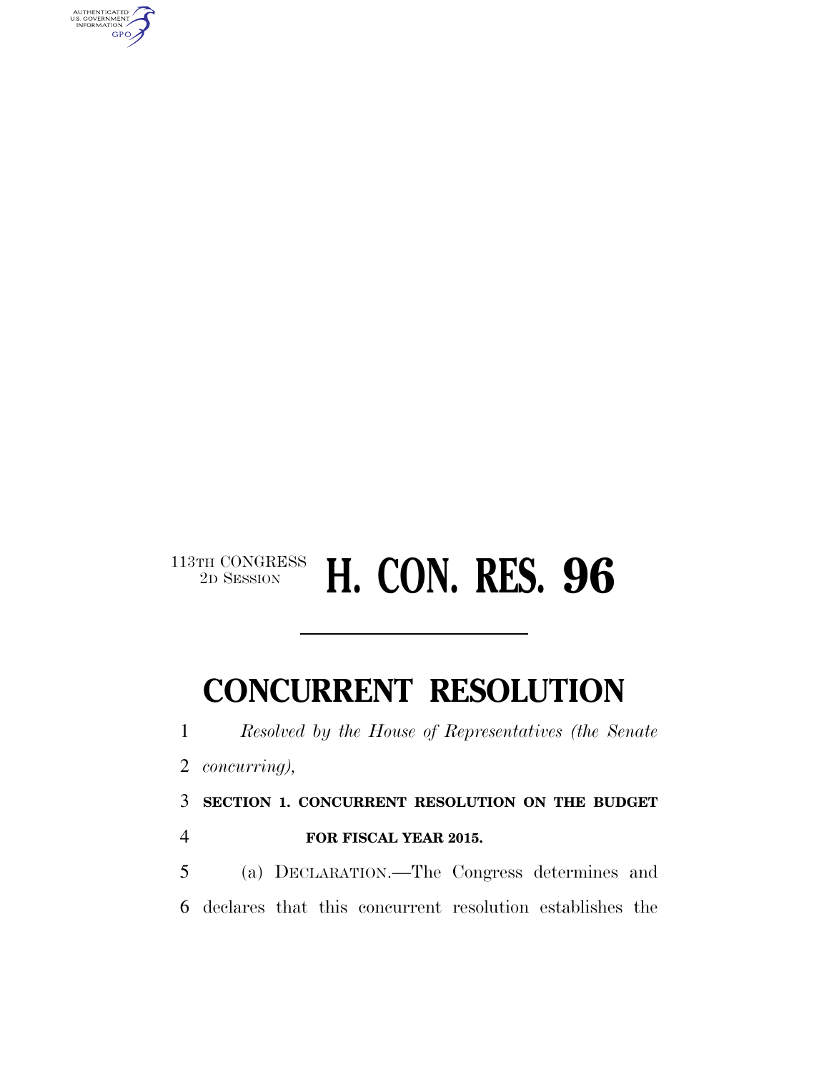

### $\begin{array}{c} \textbf{113TH CONGRESS} \\ \textbf{2D SESSION} \end{array}$ 2D SESSION **H. CON. RES. 96**

# **CONCURRENT RESOLUTION**

*Resolved by the House of Representatives (the Senate* 

*concurring),* 

**SECTION 1. CONCURRENT RESOLUTION ON THE BUDGET** 

**FOR FISCAL YEAR 2015.** 

 (a) DECLARATION.—The Congress determines and declares that this concurrent resolution establishes the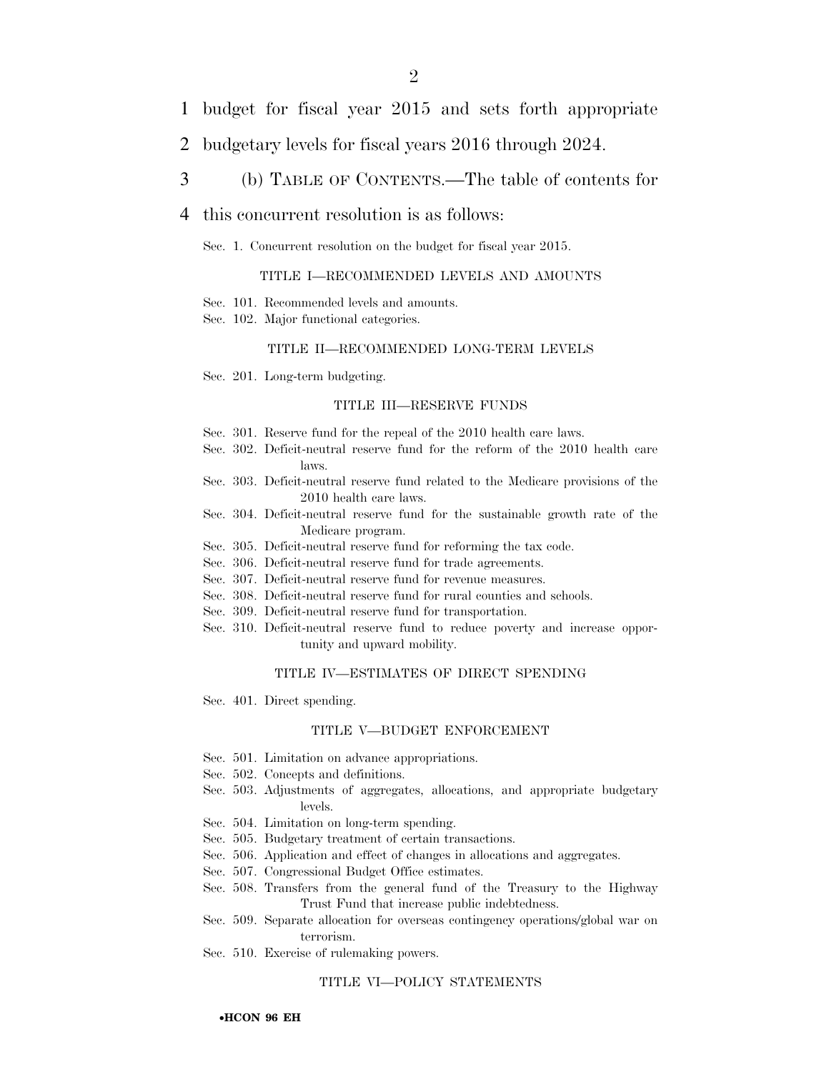- 1 budget for fiscal year 2015 and sets forth appropriate
- 2 budgetary levels for fiscal years 2016 through 2024.
- 3 (b) TABLE OF CONTENTS.—The table of contents for

#### 4 this concurrent resolution is as follows:

Sec. 1. Concurrent resolution on the budget for fiscal year 2015.

#### TITLE I—RECOMMENDED LEVELS AND AMOUNTS

- Sec. 101. Recommended levels and amounts.
- Sec. 102. Major functional categories.

#### TITLE II—RECOMMENDED LONG-TERM LEVELS

Sec. 201. Long-term budgeting.

#### TITLE III—RESERVE FUNDS

- Sec. 301. Reserve fund for the repeal of the 2010 health care laws.
- Sec. 302. Deficit-neutral reserve fund for the reform of the 2010 health care laws.
- Sec. 303. Deficit-neutral reserve fund related to the Medicare provisions of the 2010 health care laws.
- Sec. 304. Deficit-neutral reserve fund for the sustainable growth rate of the Medicare program.
- Sec. 305. Deficit-neutral reserve fund for reforming the tax code.
- Sec. 306. Deficit-neutral reserve fund for trade agreements.
- Sec. 307. Deficit-neutral reserve fund for revenue measures.
- Sec. 308. Deficit-neutral reserve fund for rural counties and schools.
- Sec. 309. Deficit-neutral reserve fund for transportation.
- Sec. 310. Deficit-neutral reserve fund to reduce poverty and increase opportunity and upward mobility.

#### TITLE IV—ESTIMATES OF DIRECT SPENDING

Sec. 401. Direct spending.

#### TITLE V—BUDGET ENFORCEMENT

- Sec. 501. Limitation on advance appropriations.
- Sec. 502. Concepts and definitions.
- Sec. 503. Adjustments of aggregates, allocations, and appropriate budgetary levels.
- Sec. 504. Limitation on long-term spending.
- Sec. 505. Budgetary treatment of certain transactions.
- Sec. 506. Application and effect of changes in allocations and aggregates.
- Sec. 507. Congressional Budget Office estimates.
- Sec. 508. Transfers from the general fund of the Treasury to the Highway Trust Fund that increase public indebtedness.
- Sec. 509. Separate allocation for overseas contingency operations/global war on terrorism.
- Sec. 510. Exercise of rulemaking powers.

#### TITLE VI—POLICY STATEMENTS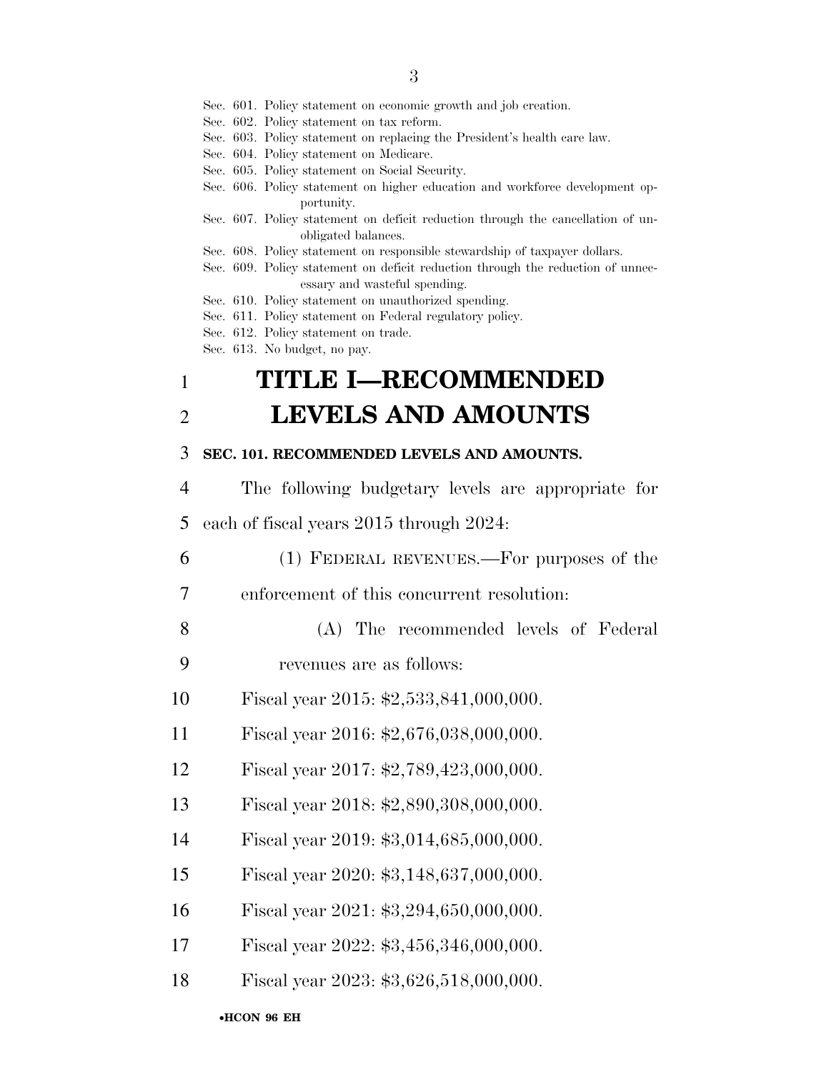Sec. 601. Policy statement on economic growth and job creation.

- Sec. 602. Policy statement on tax reform.
- Sec. 603. Policy statement on replacing the President's health care law.
- Sec. 604. Policy statement on Medicare.
- Sec. 605. Policy statement on Social Security.
- Sec. 606. Policy statement on higher education and workforce development opportunity.
- Sec. 607. Policy statement on deficit reduction through the cancellation of unobligated balances.
- Sec. 608. Policy statement on responsible stewardship of taxpayer dollars.
- Sec. 609. Policy statement on deficit reduction through the reduction of unnecessary and wasteful spending.
- Sec. 610. Policy statement on unauthorized spending.
- Sec. 611. Policy statement on Federal regulatory policy.
- Sec. 612. Policy statement on trade.
- Sec. 613. No budget, no pay.

## 1 **TITLE I—RECOMMENDED**  2 **LEVELS AND AMOUNTS**

#### 3 **SEC. 101. RECOMMENDED LEVELS AND AMOUNTS.**

- 4 The following budgetary levels are appropriate for 5 each of fiscal years 2015 through 2024:
- 6 (1) FEDERAL REVENUES.—For purposes of the
- 7 enforcement of this concurrent resolution:
- 8 (A) The recommended levels of Federal 9 revenues are as follows:
- 10 Fiscal year 2015: \$2,533,841,000,000.
- 11 Fiscal year 2016: \$2,676,038,000,000.
- 12 Fiscal year 2017: \$2,789,423,000,000.
- 13 Fiscal year 2018: \$2,890,308,000,000.
- 14 Fiscal year 2019: \$3,014,685,000,000.
- 15 Fiscal year 2020: \$3,148,637,000,000.
- 16 Fiscal year 2021: \$3,294,650,000,000.
- 17 Fiscal year 2022: \$3,456,346,000,000.
- 18 Fiscal year 2023: \$3,626,518,000,000.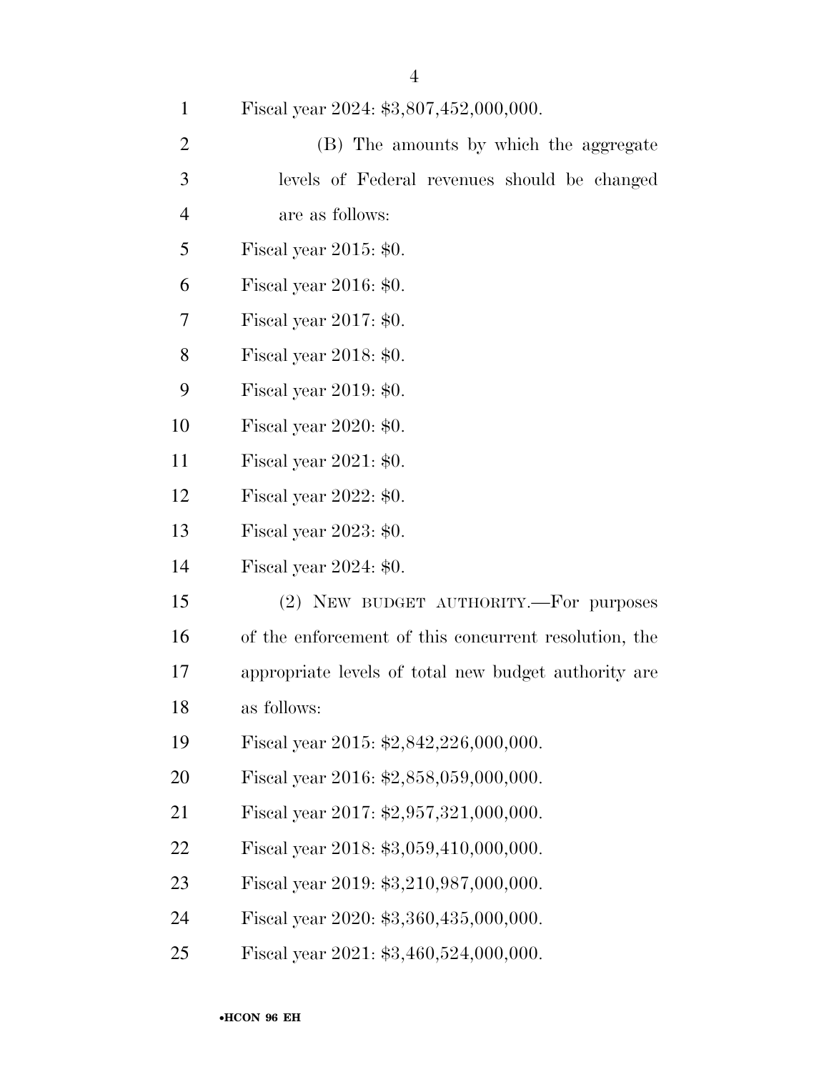Fiscal year 2024: \$3,807,452,000,000.

| 2              | (B) The amounts by which the aggregate       |
|----------------|----------------------------------------------|
| $\mathcal{R}$  | levels of Federal revenues should be changed |
| $\overline{4}$ | are as follows:                              |

Fiscal year 2015: \$0.

Fiscal year 2016: \$0.

Fiscal year 2017: \$0.

Fiscal year 2018: \$0.

Fiscal year 2019: \$0.

Fiscal year 2020: \$0.

Fiscal year 2021: \$0.

Fiscal year 2022: \$0.

Fiscal year 2023: \$0.

Fiscal year 2024: \$0.

 (2) NEW BUDGET AUTHORITY.—For purposes of the enforcement of this concurrent resolution, the appropriate levels of total new budget authority are as follows:

Fiscal year 2015: \$2,842,226,000,000.

Fiscal year 2016: \$2,858,059,000,000.

Fiscal year 2017: \$2,957,321,000,000.

Fiscal year 2018: \$3,059,410,000,000.

Fiscal year 2019: \$3,210,987,000,000.

Fiscal year 2020: \$3,360,435,000,000.

Fiscal year 2021: \$3,460,524,000,000.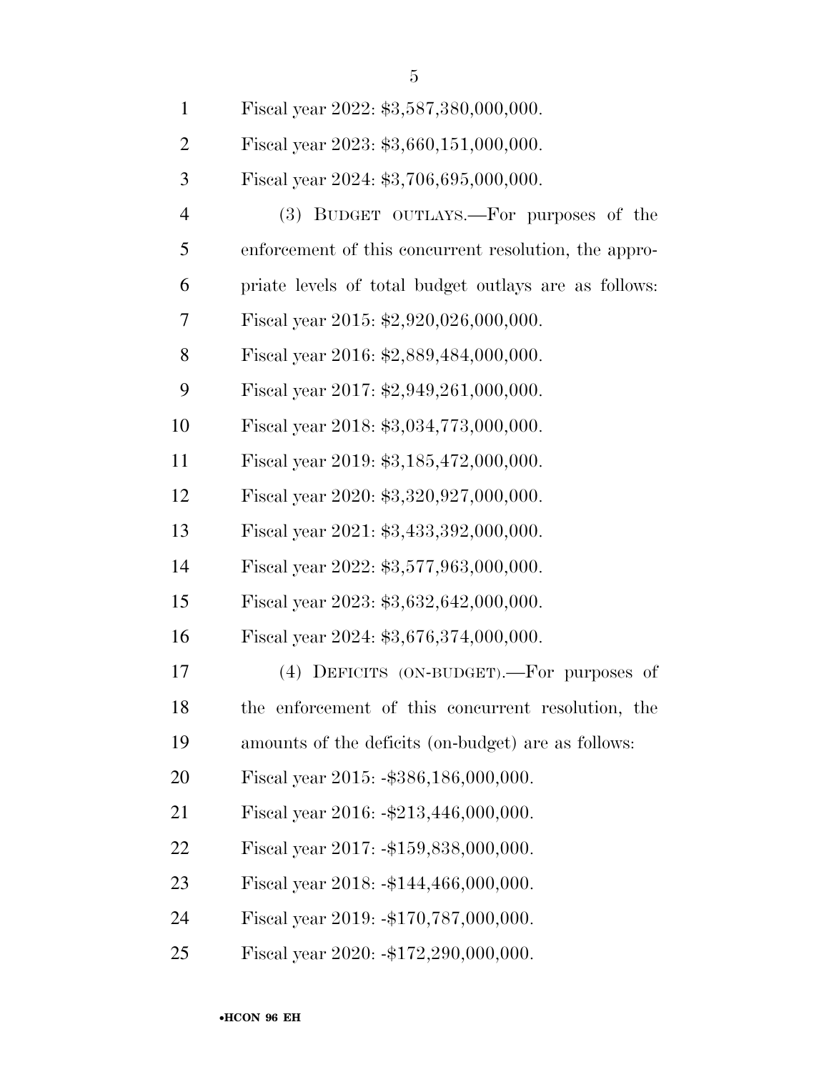| $\mathbf{1}$   | Fiscal year 2022: \$3,587,380,000,000.                |
|----------------|-------------------------------------------------------|
| $\overline{2}$ | Fiscal year 2023: \$3,660,151,000,000.                |
| 3              | Fiscal year 2024: \$3,706,695,000,000.                |
| $\overline{4}$ | (3) BUDGET OUTLAYS.—For purposes of the               |
| 5              | enforcement of this concurrent resolution, the appro- |
| 6              | priate levels of total budget outlays are as follows: |
| 7              | Fiscal year 2015: $$2,920,026,000,000$ .              |
| 8              | Fiscal year 2016: \$2,889,484,000,000.                |
| 9              | Fiscal year 2017: $$2,949,261,000,000$ .              |
| 10             | Fiscal year 2018: \$3,034,773,000,000.                |
| 11             | Fiscal year 2019: \$3,185,472,000,000.                |
| 12             | Fiscal year 2020: \$3,320,927,000,000.                |
| 13             | Fiscal year 2021: \$3,433,392,000,000.                |
| 14             | Fiscal year 2022: \$3,577,963,000,000.                |
| 15             | Fiscal year 2023: \$3,632,642,000,000.                |
| 16             | Fiscal year 2024: \$3,676,374,000,000.                |
| 17             | (4) DEFICITS (ON-BUDGET).—For purposes of             |
| 18             | the enforcement of this concurrent resolution, the    |
| 19             | amounts of the deficits (on-budget) are as follows:   |
| 20             | Fiscal year 2015: -\$386,186,000,000.                 |
| 21             | Fiscal year 2016: -\$213,446,000,000.                 |
| 22             | Fiscal year 2017: -\$159,838,000,000.                 |
| 23             | Fiscal year $2018: -144,466,000,000.$                 |
| 24             | Fiscal year 2019: -\$170,787,000,000.                 |
| 25             | Fiscal year 2020: -\$172,290,000,000.                 |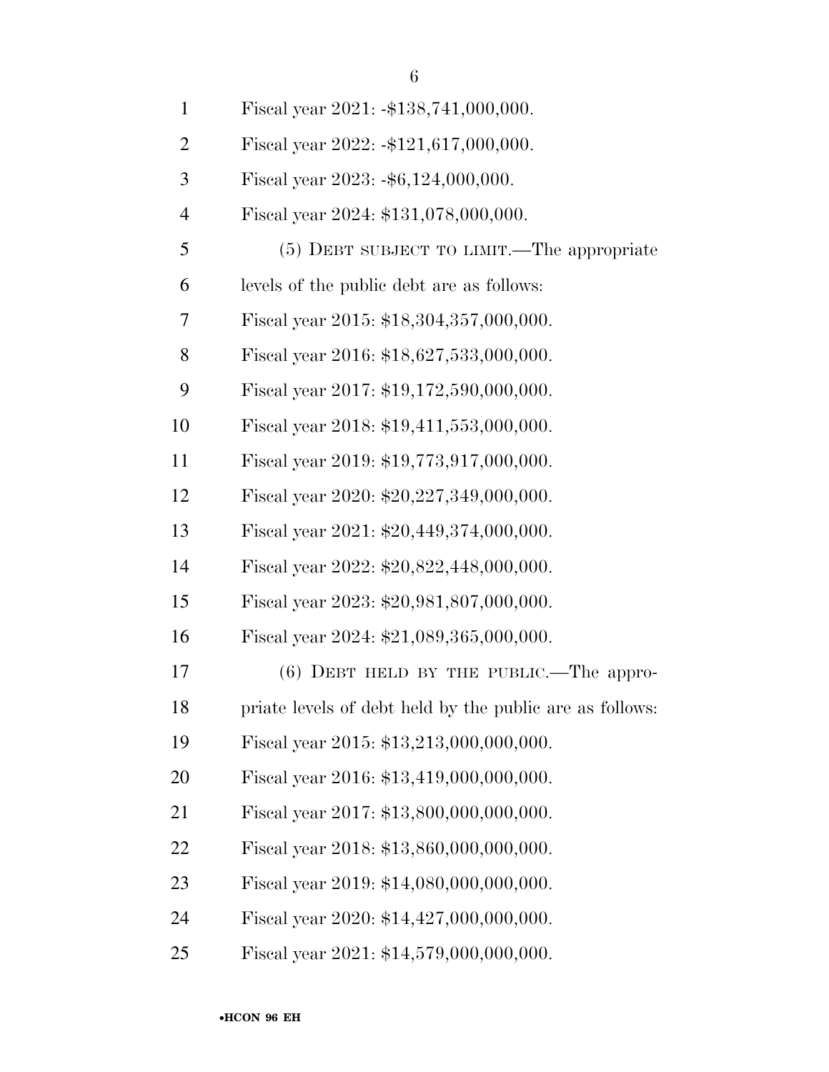| $\mathbf{1}$   | Fiscal year $2021: -138, 741, 000, 000.$                 |
|----------------|----------------------------------------------------------|
| $\overline{2}$ | Fiscal year $2022: -121, 617, 000, 000.$                 |
| 3              | Fiscal year $2023: -\$6, 124, 000, 000.$                 |
| $\overline{4}$ | Fiscal year 2024: \$131,078,000,000.                     |
| 5              | (5) DEBT SUBJECT TO LIMIT.—The appropriate               |
| 6              | levels of the public debt are as follows:                |
| 7              | Fiscal year 2015: \$18,304,357,000,000.                  |
| 8              | Fiscal year 2016: \$18,627,533,000,000.                  |
| 9              | Fiscal year 2017: \$19,172,590,000,000.                  |
| 10             | Fiscal year 2018: \$19,411,553,000,000.                  |
| 11             | Fiscal year 2019: \$19,773,917,000,000.                  |
| 12             | Fiscal year 2020: \$20,227,349,000,000.                  |
| 13             | Fiscal year 2021: $$20,449,374,000,000$ .                |
| 14             | Fiscal year 2022: \$20,822,448,000,000.                  |
| 15             | Fiscal year 2023: \$20,981,807,000,000.                  |
| 16             | Fiscal year 2024: \$21,089,365,000,000.                  |
| 17             | $(6)$ DEBT HELD BY THE PUBLIC.—The appro-                |
| 18             | priate levels of debt held by the public are as follows: |
| 19             | Fiscal year 2015: \$13,213,000,000,000.                  |
| 20             | Fiscal year 2016: \$13,419,000,000,000.                  |
| 21             | Fiscal year 2017: \$13,800,000,000,000.                  |
| 22             | Fiscal year 2018: \$13,860,000,000,000.                  |
| 23             | Fiscal year 2019: \$14,080,000,000,000.                  |
| 24             | Fiscal year 2020: \$14,427,000,000,000.                  |
|                |                                                          |

Fiscal year 2021: \$14,579,000,000,000.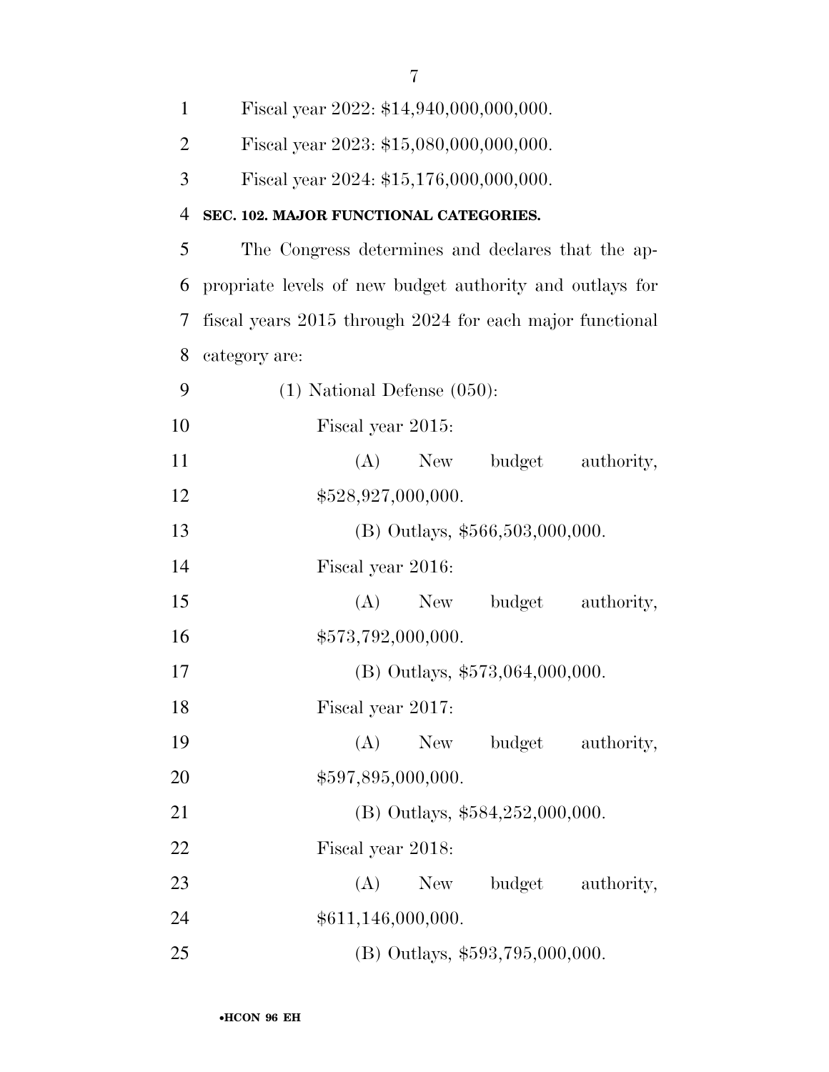| $\mathbf{1}$   | Fiscal year 2022: \$14,940,000,000,000.                  |
|----------------|----------------------------------------------------------|
| $\overline{2}$ | Fiscal year 2023: \$15,080,000,000,000.                  |
| 3              | Fiscal year 2024: \$15,176,000,000,000.                  |
| 4              | SEC. 102. MAJOR FUNCTIONAL CATEGORIES.                   |
| 5              | The Congress determines and declares that the ap-        |
| 6              | propriate levels of new budget authority and outlays for |
| 7              | fiscal years 2015 through 2024 for each major functional |
| 8              | category are:                                            |
| 9              | $(1)$ National Defense $(050)$ :                         |
| 10             | Fiscal year 2015:                                        |
| 11             | (A) New budget authority,                                |
| 12             | \$528,927,000,000.                                       |
| 13             | $(B)$ Outlays, \$566,503,000,000.                        |
| 14             | Fiscal year 2016:                                        |
| 15             | $(A)$ New<br>budget<br>authority,                        |
| 16             | \$573,792,000,000.                                       |
| 17             | $(B)$ Outlays, \$573,064,000,000.                        |
| 18             | Fiscal year 2017:                                        |
| 19             | budget<br>(A)<br>New<br>authority,                       |
| 20             | \$597,895,000,000.                                       |
| 21             | (B) Outlays, \$584,252,000,000.                          |
| 22             | Fiscal year 2018:                                        |
| 23             | (A)<br>budget<br>New<br>authority,                       |
| 24             | \$611,146,000,000.                                       |
| 25             | (B) Outlays, \$593,795,000,000.                          |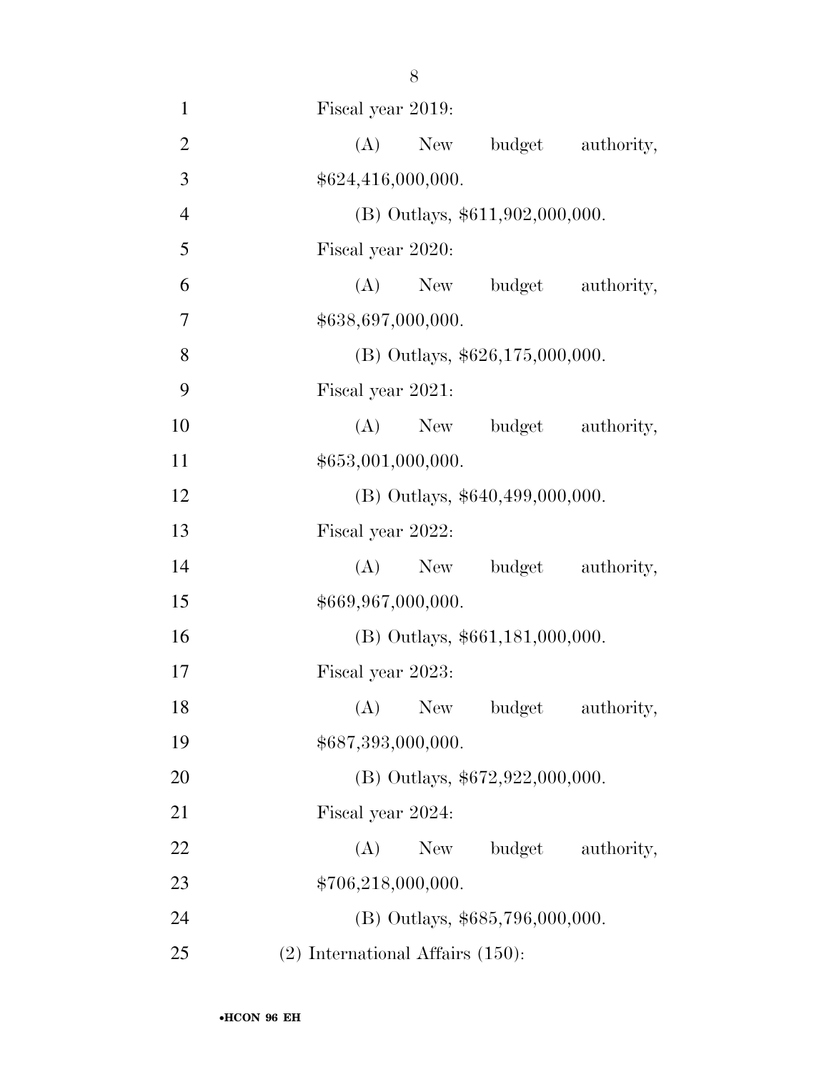Fiscal year 2019: 2 (A) New budget authority,  $$624,416,000,000.$  (B) Outlays, \$611,902,000,000. Fiscal year 2020: (A) New budget authority, \$638,697,000,000. 8 (B) Outlays,  $$626,175,000,000$ . Fiscal year 2021: 10 (A) New budget authority,  $$653,001,000,000.$  (B) Outlays, \$640,499,000,000. Fiscal year 2022: (A) New budget authority,  $$669,967,000,000.$  (B) Outlays, \$661,181,000,000. Fiscal year 2023: 18 (A) New budget authority,  $$687,393,000,000.$ 20 (B) Outlays, \$672,922,000,000. Fiscal year 2024: 22 (A) New budget authority, 23 \$706,218,000,000. (B) Outlays, \$685,796,000,000. (2) International Affairs (150):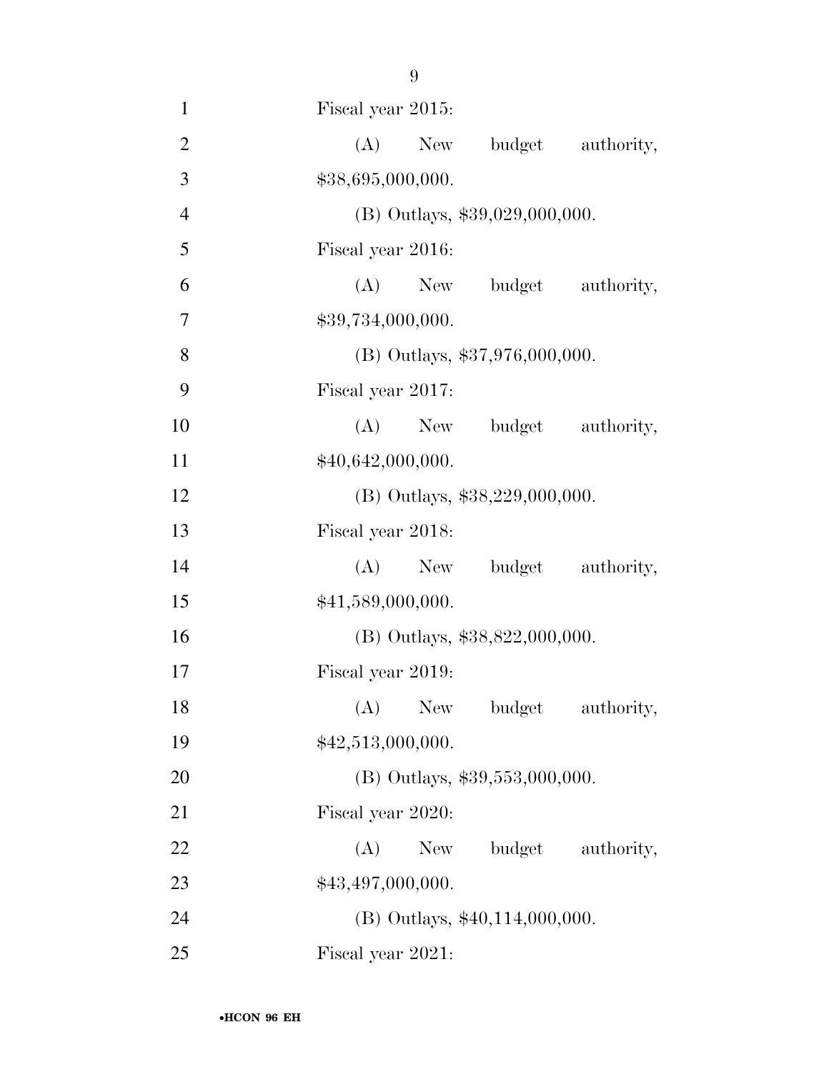- 9 1 Fiscal year 2015: 2 (A) New budget authority, 3  $$38,695,000,000.$ 4 (B) Outlays, \$39,029,000,000. 5 Fiscal year 2016: 6 (A) New budget authority, 7 \$39,734,000,000. 8 (B) Outlays, \$37,976,000,000. 9 Fiscal year 2017:
- 10 (A) New budget authority, 11  $$40,642,000,000.$
- 12 (B) Outlays, \$38,229,000,000.
- 13 Fiscal year 2018: 14 (A) New budget authority, 15  $$41,589,000,000.$
- 16 (B) Outlays, \$38,822,000,000.
- 17 Fiscal year 2019: 18 (A) New budget authority, 19  $$42,513,000,000.$
- 20 (B) Outlays, \$39,553,000,000.
- 21 Fiscal year 2020: 22 (A) New budget authority, 23  $$43,497,000,000.$ 24 (B) Outlays, \$40,114,000,000.
- 25 Fiscal year 2021: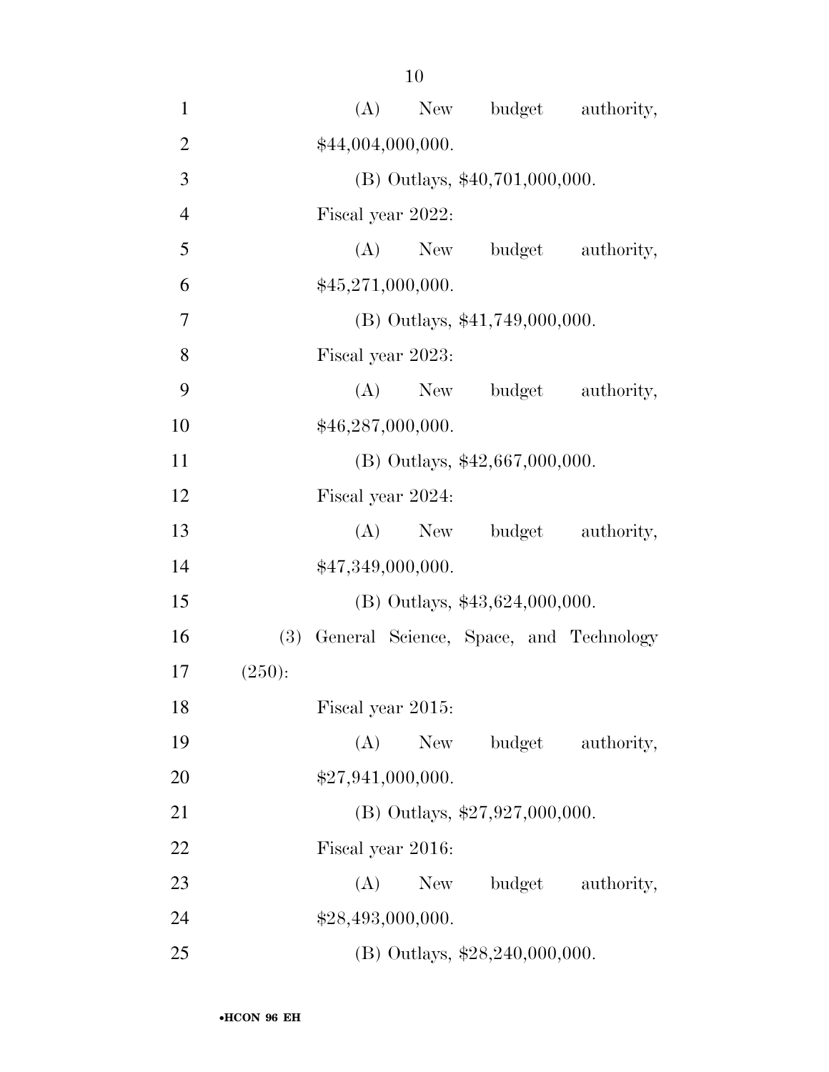| $\mathbf{1}$   |        |                   |                   | (A) New budget authority,              |                   |
|----------------|--------|-------------------|-------------------|----------------------------------------|-------------------|
| $\overline{2}$ |        |                   | \$44,004,000,000. |                                        |                   |
| 3              |        |                   |                   | (B) Outlays, \$40,701,000,000.         |                   |
| $\overline{4}$ |        |                   | Fiscal year 2022: |                                        |                   |
| 5              |        |                   | $(A)$ New         | budget                                 | authority,        |
| 6              |        |                   | \$45,271,000,000. |                                        |                   |
| 7              |        |                   |                   | $(B)$ Outlays, \$41,749,000,000.       |                   |
| 8              |        |                   | Fiscal year 2023: |                                        |                   |
| 9              |        |                   | (A)               | New budget authority,                  |                   |
| 10             |        |                   | \$46,287,000,000. |                                        |                   |
| 11             |        |                   |                   | (B) Outlays, \$42,667,000,000.         |                   |
| 12             |        |                   | Fiscal year 2024: |                                        |                   |
| 13             |        |                   | $(A)$ New         |                                        | budget authority, |
| 14             |        |                   | \$47,349,000,000. |                                        |                   |
| 15             |        |                   |                   | (B) Outlays, $$43,624,000,000$ .       |                   |
| 16             | (3)    |                   |                   | General Science, Space, and Technology |                   |
| 17             | (250): |                   |                   |                                        |                   |
| 18             |        |                   | Fiscal year 2015: |                                        |                   |
| 19             |        | (A)               | New               |                                        | budget authority, |
| 20             |        |                   | \$27,941,000,000. |                                        |                   |
| 21             |        |                   |                   | (B) Outlays, $$27,927,000,000$ .       |                   |
| 22             |        | Fiscal year 2016: |                   |                                        |                   |
| 23             |        | (A)               | New               |                                        | budget authority, |
| 24             |        |                   | \$28,493,000,000. |                                        |                   |
| 25             |        |                   |                   | (B) Outlays, $$28,240,000,000$ .       |                   |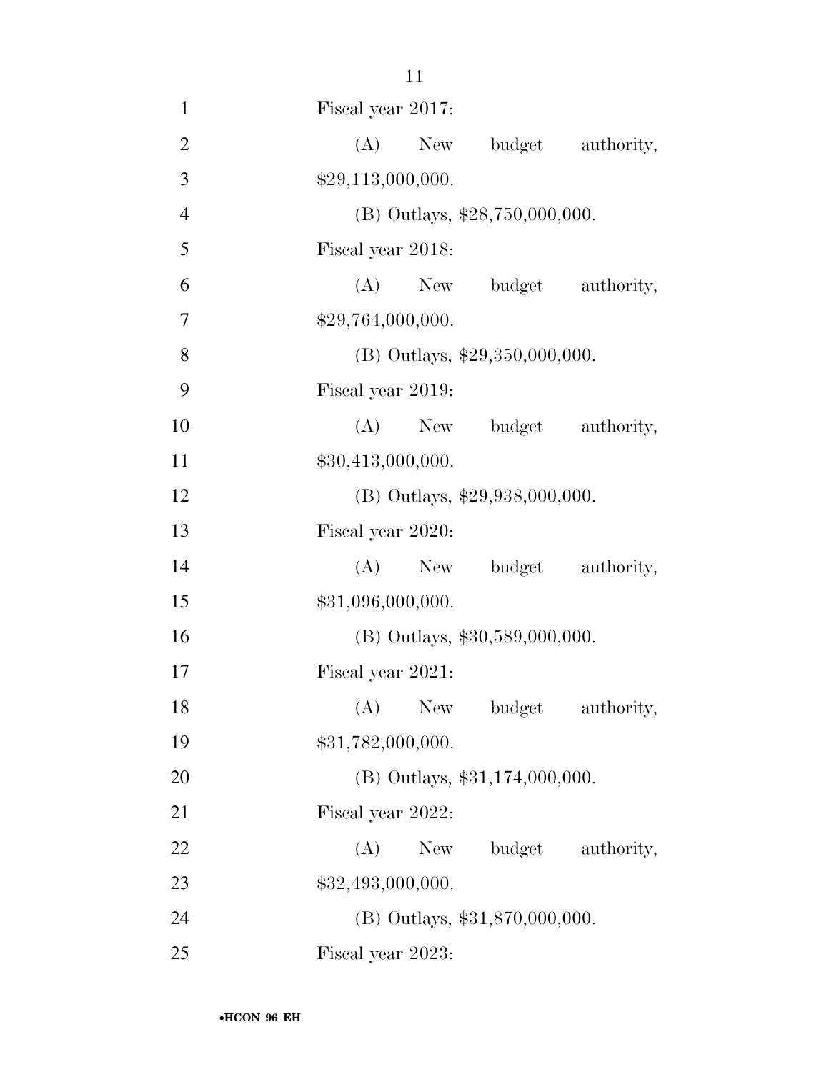| $\mathbf{1}$   | Fiscal year 2017:                |
|----------------|----------------------------------|
| $\overline{2}$ | (A)<br>budget authority,<br>New  |
| 3              | \$29,113,000,000.                |
| $\overline{4}$ | (B) Outlays, \$28,750,000,000.   |
| 5              | Fiscal year 2018:                |
| 6              | (A) New budget authority,        |
| 7              | \$29,764,000,000.                |
| 8              | (B) Outlays, \$29,350,000,000.   |
| 9              | Fiscal year 2019:                |
| 10             | (A) New budget authority,        |
| 11             | \$30,413,000,000.                |
| 12             | (B) Outlays, \$29,938,000,000.   |
| 13             | Fiscal year 2020:                |
| 14             | budget authority,<br>$(A)$ New   |
| 15             | \$31,096,000,000.                |
| 16             | $(B)$ Outlays, \$30,589,000,000. |
| 17             | Fiscal year 2021:                |
| 18             | (A) New budget authority,        |
| 19             | \$31,782,000,000.                |
| 20             | $(B)$ Outlays, \$31,174,000,000. |
| 21             | Fiscal year 2022:                |
| 22             | budget authority,<br>$(A)$ New   |
| 23             | \$32,493,000,000.                |
| 24             | (B) Outlays, \$31,870,000,000.   |
| 25             | Fiscal year 2023:                |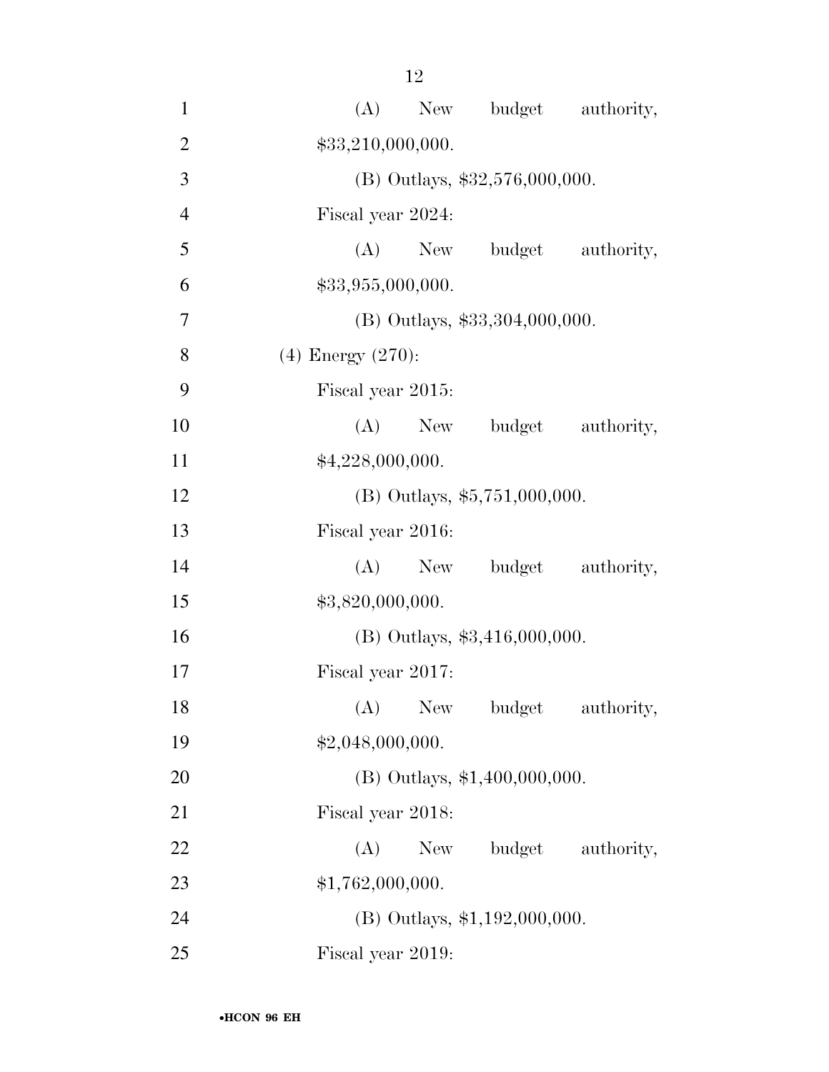| $\mathbf{1}$   | budget authority,<br>(A)<br>New  |
|----------------|----------------------------------|
| $\overline{2}$ | \$33,210,000,000.                |
| 3              | (B) Outlays, \$32,576,000,000.   |
| $\overline{4}$ | Fiscal year 2024:                |
| 5              | $(A)$ New<br>budget authority,   |
| 6              | \$33,955,000,000.                |
| $\overline{7}$ | $(B)$ Outlays, \$33,304,000,000. |
| 8              | $(4)$ Energy $(270)$ :           |
| 9              | Fiscal year 2015:                |
| 10             | (A)<br>budget authority,<br>New  |
| 11             | \$4,228,000,000.                 |
| 12             | $(B)$ Outlays, \$5,751,000,000.  |
| 13             | Fiscal year 2016:                |
| 14             | New budget authority,<br>(A)     |
| 15             | \$3,820,000,000.                 |
| 16             | $(B)$ Outlays, \$3,416,000,000.  |
| 17             | Fiscal year 2017:                |
| 18             | (A) New budget<br>authority,     |
| 19             | \$2,048,000,000.                 |
| 20             | (B) Outlays, \$1,400,000,000.    |
| 21             | Fiscal year 2018:                |
| 22             | budget authority,<br>New<br>(A)  |
| 23             | \$1,762,000,000.                 |
| 24             | $(B)$ Outlays, \$1,192,000,000.  |
| 25             | Fiscal year 2019:                |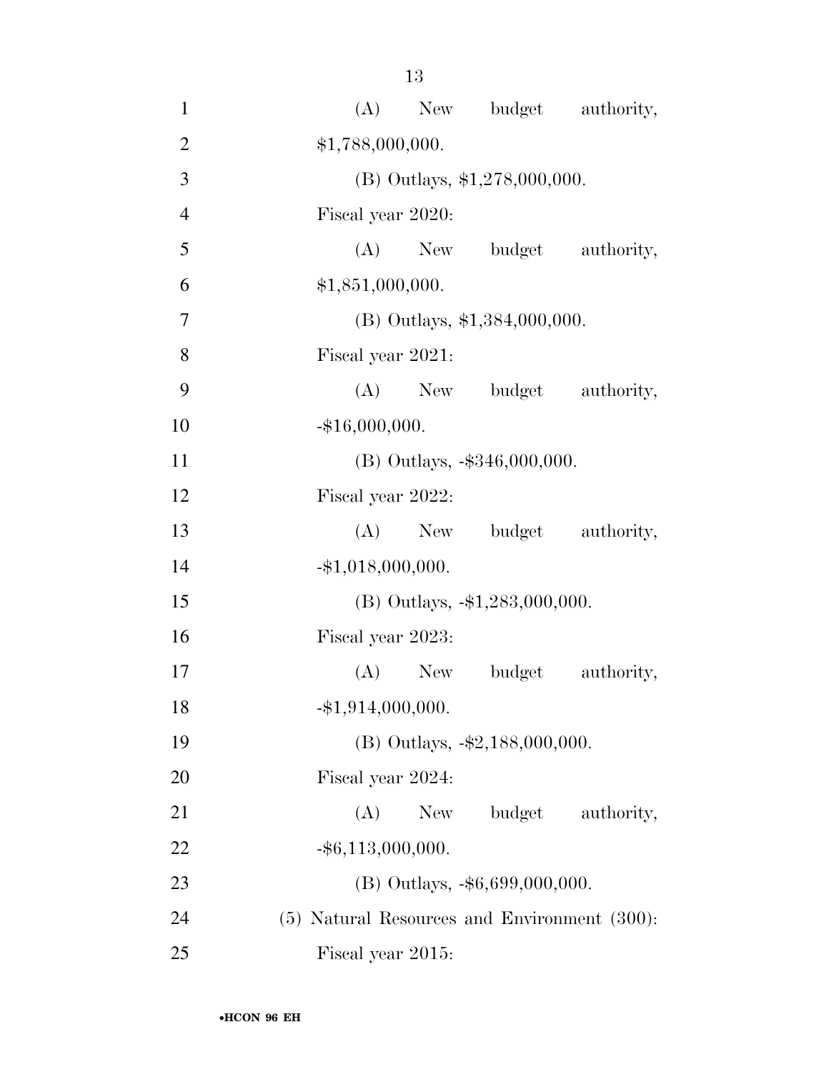| $\mathbf{1}$   | (A)<br>New budget authority,                 |
|----------------|----------------------------------------------|
| $\overline{2}$ | \$1,788,000,000.                             |
| 3              | (B) Outlays, $$1,278,000,000$ .              |
| $\overline{4}$ | Fiscal year 2020:                            |
| 5              | (A) New budget authority,                    |
| 6              | \$1,851,000,000.                             |
| 7              | (B) Outlays, \$1,384,000,000.                |
| 8              | Fiscal year 2021:                            |
| 9              | (A) New budget authority,                    |
| 10             | $-$ \$16,000,000.                            |
| 11             | $(B)$ Outlays, $-$ \$346,000,000.            |
| 12             | Fiscal year 2022:                            |
| 13             | (A) New budget authority,                    |
| 14             | $-$ \$1,018,000,000.                         |
| 15             | $(B)$ Outlays, $-1,283,000,000$ .            |
| 16             | Fiscal year 2023:                            |
| 17             | (A) New budget<br>authority,                 |
| 18             | $-$ \$1,914,000,000.                         |
| 19             | (B) Outlays, -\$2,188,000,000.               |
| 20             | Fiscal year 2024:                            |
| 21             | (A)<br>budget<br>New<br>authority,           |
| 22             | $-$ \$6,113,000,000.                         |
| 23             | $(B)$ Outlays, $-$ \$6,699,000,000.          |
| 24             | (5) Natural Resources and Environment (300): |
| 25             | Fiscal year 2015:                            |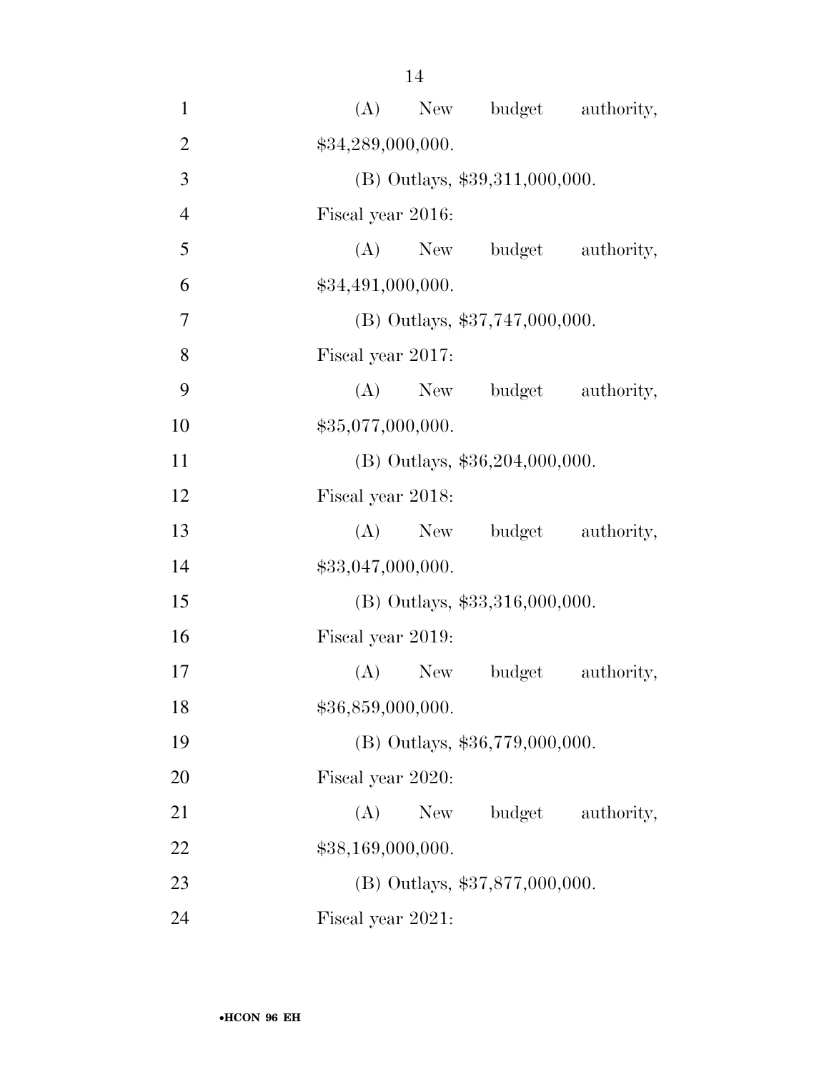| $\mathbf{1}$   | New budget authority,<br>(A)       |
|----------------|------------------------------------|
| $\overline{2}$ | \$34,289,000,000.                  |
| 3              | (B) Outlays, \$39,311,000,000.     |
| $\overline{4}$ | Fiscal year 2016:                  |
| 5              | (A) New budget authority,          |
| 6              | \$34,491,000,000.                  |
| 7              | $(B)$ Outlays, \$37,747,000,000.   |
| 8              | Fiscal year 2017:                  |
| 9              | (A) New budget authority,          |
| 10             | \$35,077,000,000.                  |
| 11             | (B) Outlays, \$36,204,000,000.     |
| 12             | Fiscal year 2018:                  |
| 13             | (A) New budget authority,          |
| 14             | \$33,047,000,000.                  |
| 15             | $(B)$ Outlays, \$33,316,000,000.   |
| 16             | Fiscal year 2019:                  |
| 17             | (A) New budget<br>authority,       |
| 18             | \$36,859,000,000.                  |
| 19             | (B) Outlays, \$36,779,000,000.     |
| 20             | Fiscal year 2020:                  |
| 21             | budget<br>(A)<br>New<br>authority, |
| 22             | \$38,169,000,000.                  |
| 23             | (B) Outlays, \$37,877,000,000.     |
| 24             | Fiscal year 2021:                  |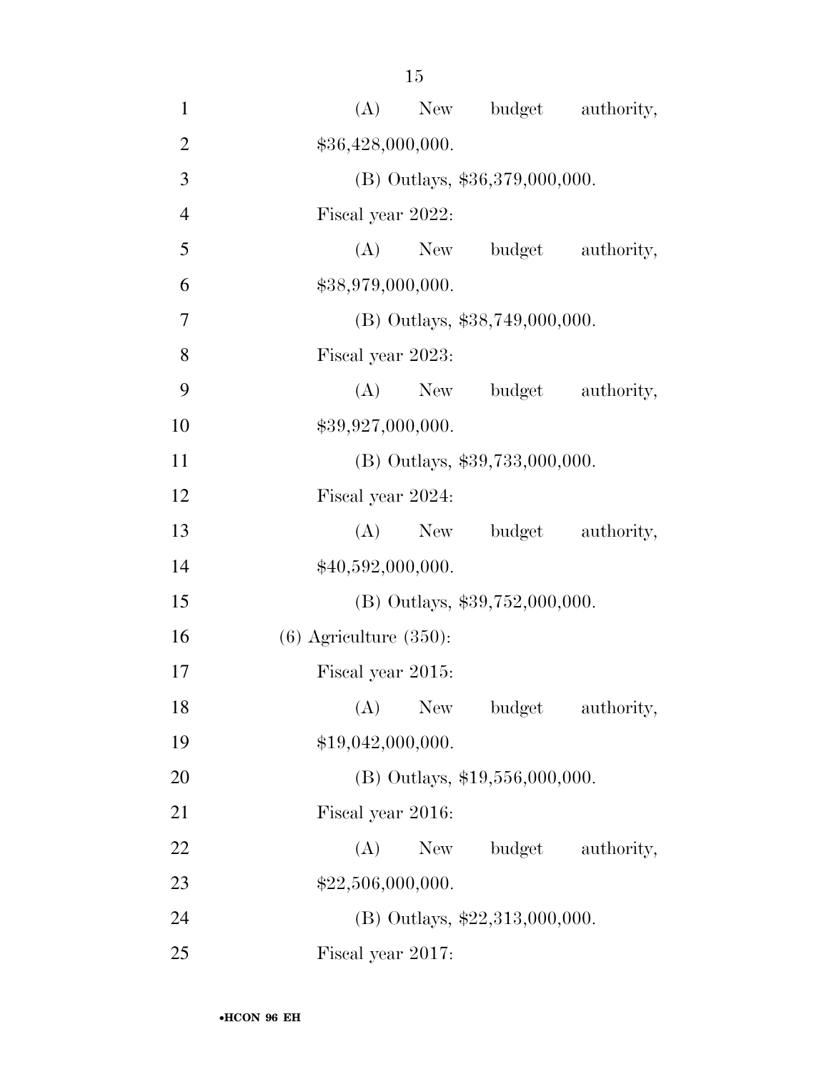| $\mathbf{1}$   | (A)<br>New budget authority,       |
|----------------|------------------------------------|
| $\overline{2}$ | \$36,428,000,000.                  |
| 3              | (B) Outlays, \$36,379,000,000.     |
| $\overline{4}$ | Fiscal year 2022:                  |
| 5              | $(A)$ New<br>budget authority,     |
| 6              | \$38,979,000,000.                  |
| 7              | $(B)$ Outlays, \$38,749,000,000.   |
| 8              | Fiscal year 2023:                  |
| 9              | (A)<br>New budget authority,       |
| 10             | \$39,927,000,000.                  |
| 11             | (B) Outlays, \$39,733,000,000.     |
| 12             | Fiscal year 2024:                  |
| 13             | $(A)$ New<br>budget authority,     |
| 14             | \$40,592,000,000.                  |
| 15             | (B) Outlays, \$39,752,000,000.     |
| 16             | $(6)$ Agriculture $(350)$ :        |
| 17             | Fiscal year 2015:                  |
| 18             | (A)<br>New<br>budget<br>authority, |
| 19             | \$19,042,000,000.                  |
| 20             | $(B)$ Outlays, \$19,556,000,000.   |
| 21             | Fiscal year 2016:                  |
| 22             | budget authority,<br>(A)<br>New    |
| 23             | \$22,506,000,000.                  |
| 24             | (B) Outlays, \$22,313,000,000.     |
| 25             | Fiscal year 2017:                  |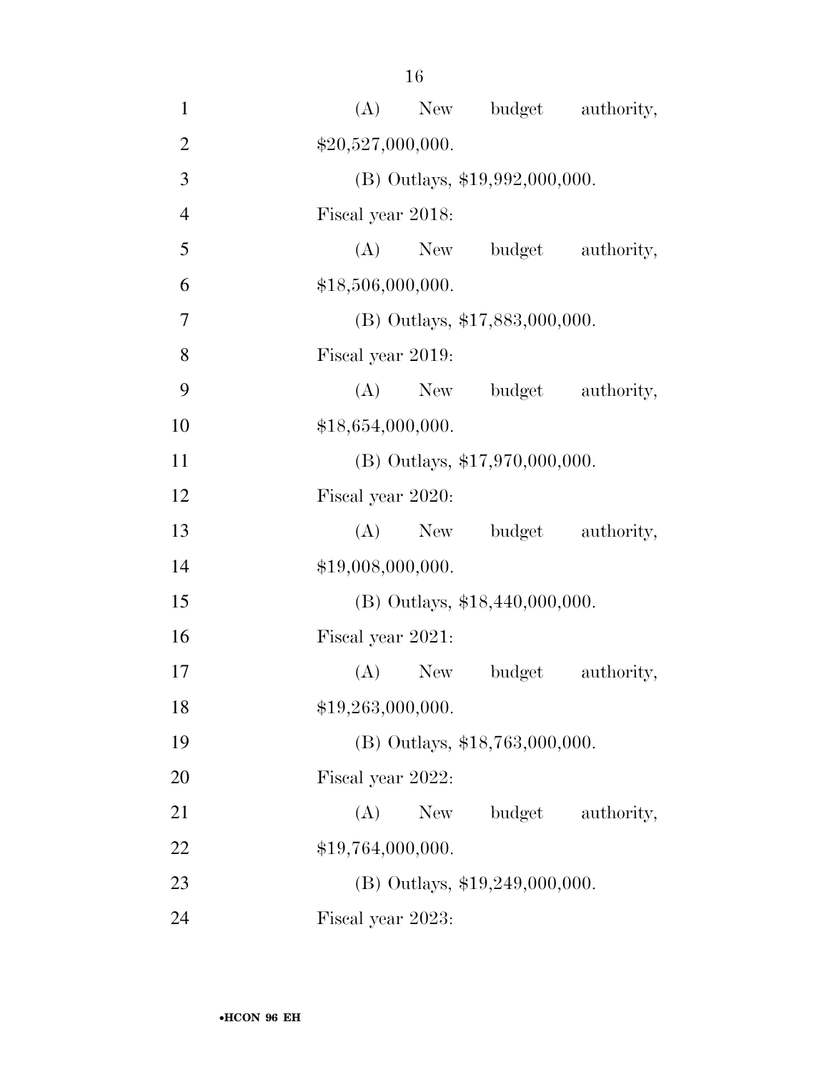| 1              | (A) New budget authority,          |
|----------------|------------------------------------|
| $\overline{2}$ | \$20,527,000,000.                  |
| 3              | (B) Outlays, \$19,992,000,000.     |
| $\overline{4}$ | Fiscal year 2018:                  |
| 5              | authority,<br>$(A)$ New<br>budget  |
| 6              | \$18,506,000,000.                  |
| 7              | $(B)$ Outlays, \$17,883,000,000.   |
| 8              | Fiscal year 2019:                  |
| 9              | (A)<br>New budget<br>authority,    |
| 10             | \$18,654,000,000.                  |
| 11             | (B) Outlays, \$17,970,000,000.     |
| 12             | Fiscal year 2020:                  |
| 13             | $(A)$ New<br>budget authority,     |
| 14             | \$19,008,000,000.                  |
| 15             | $(B)$ Outlays, \$18,440,000,000.   |
| 16             | Fiscal year 2021:                  |
| 17             | budget<br>authority,<br>(A)<br>New |
| 18             | \$19,263,000,000.                  |
| 19             | (B) Outlays, \$18,763,000,000.     |
| 20             | Fiscal year 2022:                  |
| 21             | budget<br>(A)<br>New<br>authority, |
| 22             | \$19,764,000,000.                  |
| 23             | $(B)$ Outlays, \$19,249,000,000.   |
| 24             | Fiscal year 2023:                  |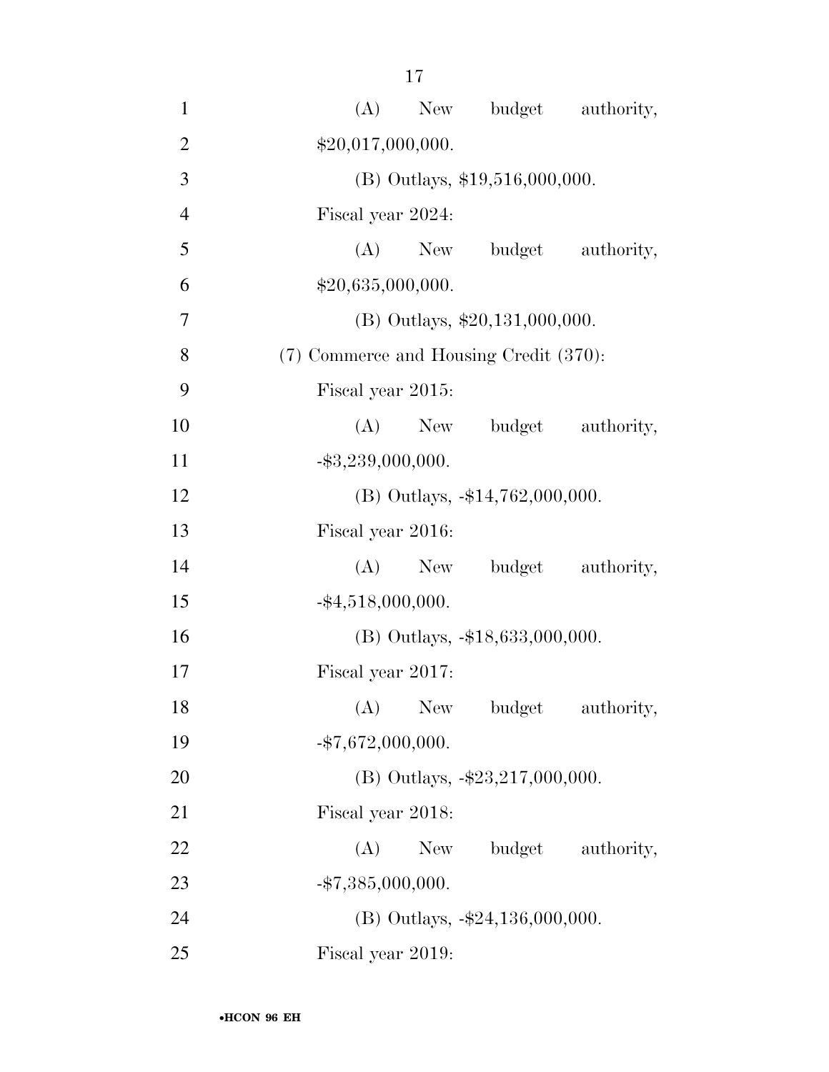| $\mathbf{1}$   | budget authority,<br>(A)<br>New        |
|----------------|----------------------------------------|
| $\overline{2}$ | \$20,017,000,000.                      |
| 3              | $(B)$ Outlays, \$19,516,000,000.       |
| $\overline{4}$ | Fiscal year 2024:                      |
| 5              | $(A)$ New<br>budget authority,         |
| 6              | \$20,635,000,000.                      |
| 7              | $(B)$ Outlays, \$20,131,000,000.       |
| 8              | (7) Commerce and Housing Credit (370): |
| 9              | Fiscal year 2015:                      |
| 10             | (A)<br>budget authority,<br>New        |
| 11             | $-$ \$3,239,000,000.                   |
| 12             | (B) Outlays, $-14,762,000,000$ .       |
| 13             | Fiscal year 2016:                      |
| 14             | budget authority,<br>(A)<br>New        |
| 15             | $-$ \$4,518,000,000.                   |
| 16             | $(B)$ Outlays, $-18,633,000,000$ .     |
| 17             | Fiscal year 2017:                      |
| 18             | (A)<br>New<br>budget<br>authority,     |
| 19             | $-$ \$7,672,000,000.                   |
| 20             | (B) Outlays, $-\$23,217,000,000$ .     |
| 21             | Fiscal year 2018:                      |
| 22             | (A)<br>New<br>budget authority,        |
| 23             | $-$ \$7,385,000,000.                   |
| 24             | (B) Outlays, $-\$24,136,000,000$ .     |
| 25             | Fiscal year 2019:                      |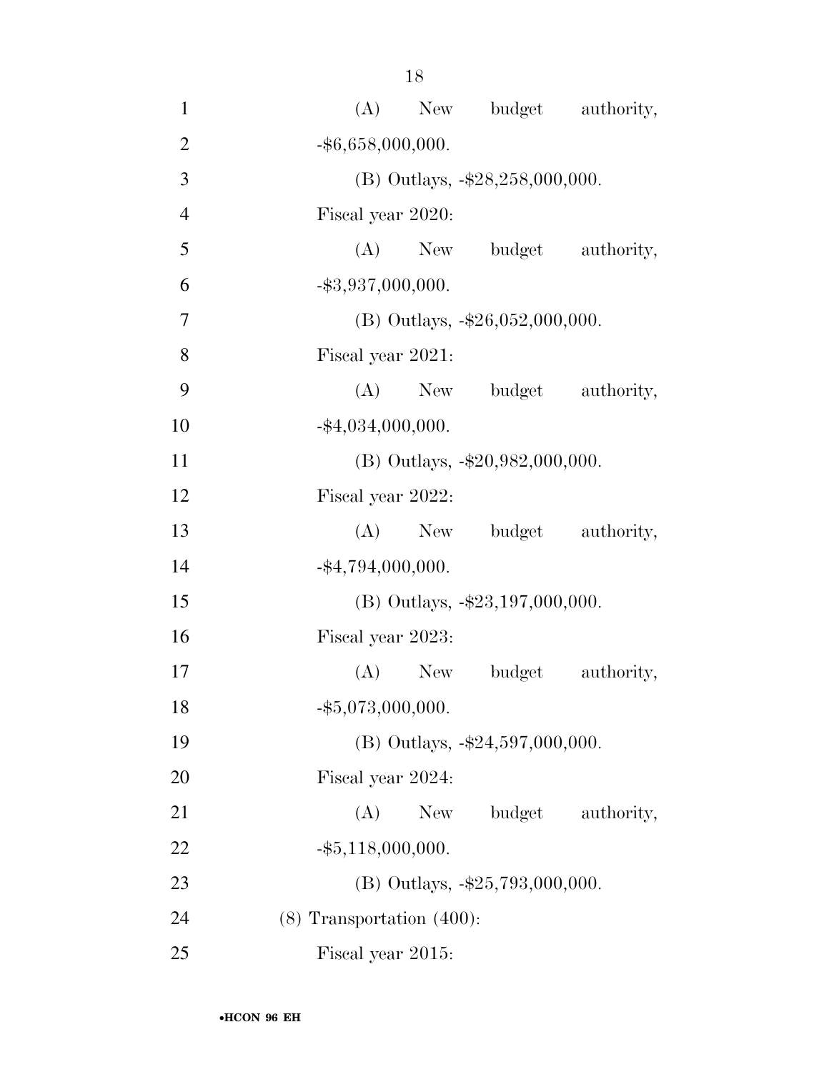| $\mathbf{1}$   | (A)<br>New budget authority,       |
|----------------|------------------------------------|
| $\overline{2}$ | $-$ \$6,658,000,000.               |
| 3              | (B) Outlays, -\$28,258,000,000.    |
| $\overline{4}$ | Fiscal year 2020:                  |
| 5              | (A) New budget authority,          |
| 6              | $-$ \$3,937,000,000.               |
| 7              | (B) Outlays, $-\$26,052,000,000$ . |
| 8              | Fiscal year 2021:                  |
| 9              | (A) New budget authority,          |
| 10             | $-$ \$4,034,000,000.               |
| 11             | (B) Outlays, $-\$20,982,000,000$ . |
| 12             | Fiscal year 2022:                  |
| 13             | (A) New budget authority,          |
| 14             | $-$ \$4,794,000,000.               |
| 15             | (B) Outlays, $-\$23,197,000,000$ . |
| 16             | Fiscal year 2023:                  |
| 17             | (A) New budget<br>authority,       |
| 18             | $-$ \$5,073,000,000.               |
| 19             | (B) Outlays, -\$24,597,000,000.    |
| 20             | Fiscal year 2024:                  |
| 21             | (A)<br>budget<br>New<br>authority, |
| 22             | $-$ \$5,118,000,000.               |
| 23             | (B) Outlays, -\$25,793,000,000.    |
| 24             | $(8)$ Transportation $(400)$ :     |
| 25             | Fiscal year 2015:                  |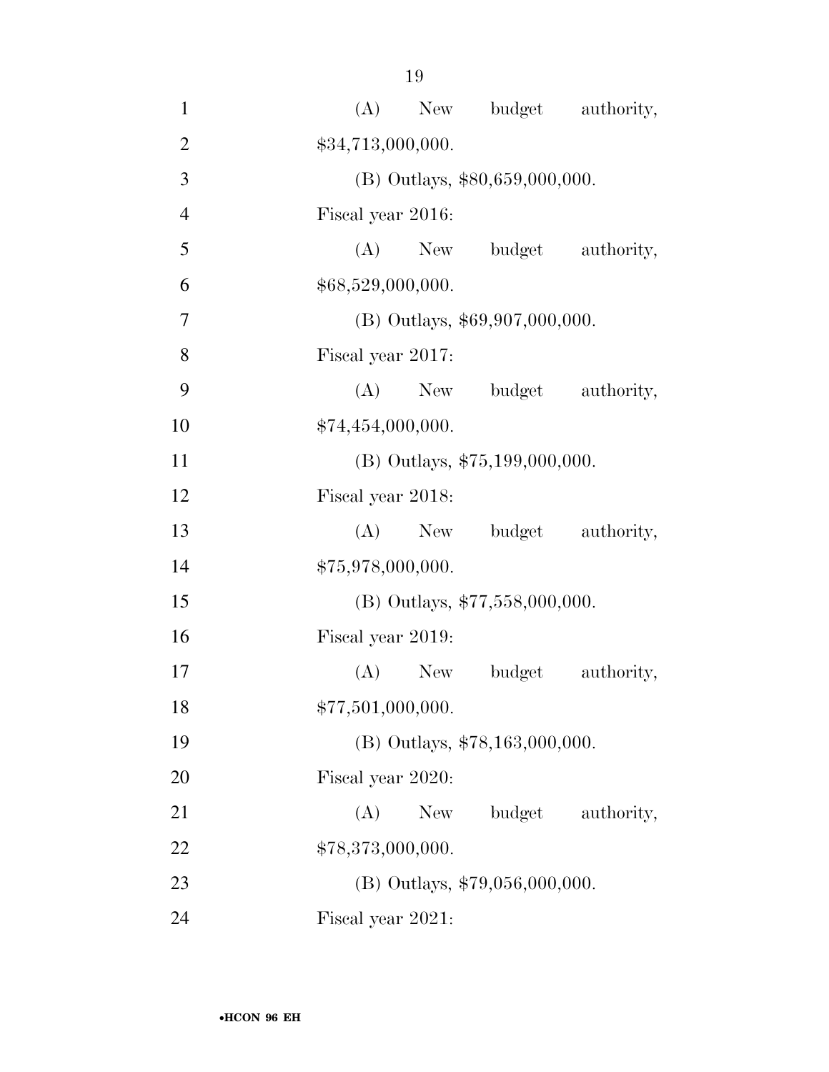| $\mathbf{1}$   | budget authority,<br>(A)<br>New    |
|----------------|------------------------------------|
| $\overline{2}$ | \$34,713,000,000.                  |
| 3              | $(B)$ Outlays, \$80,659,000,000.   |
| $\overline{4}$ | Fiscal year 2016:                  |
| 5              | budget authority,<br>$(A)$ New     |
| 6              | \$68,529,000,000.                  |
| $\overline{7}$ | (B) Outlays, \$69,907,000,000.     |
| 8              | Fiscal year 2017:                  |
| 9              | $(A)$ New<br>budget<br>authority,  |
| 10             | \$74,454,000,000.                  |
| 11             | (B) Outlays, \$75,199,000,000.     |
| 12             | Fiscal year 2018:                  |
| 13             | $(A)$ New<br>budget authority,     |
| 14             | \$75,978,000,000.                  |
| 15             | (B) Outlays, \$77,558,000,000.     |
| 16             | Fiscal year 2019:                  |
| 17             | (A)<br>budget<br>authority,<br>New |
| 18             | \$77,501,000,000.                  |
| 19             | (B) Outlays, \$78,163,000,000.     |
| 20             | Fiscal year 2020:                  |
| 21             | budget<br>(A)<br>New<br>authority, |
| 22             | \$78,373,000,000.                  |
| 23             | $(B)$ Outlays, \$79,056,000,000.   |
| 24             | Fiscal year 2021:                  |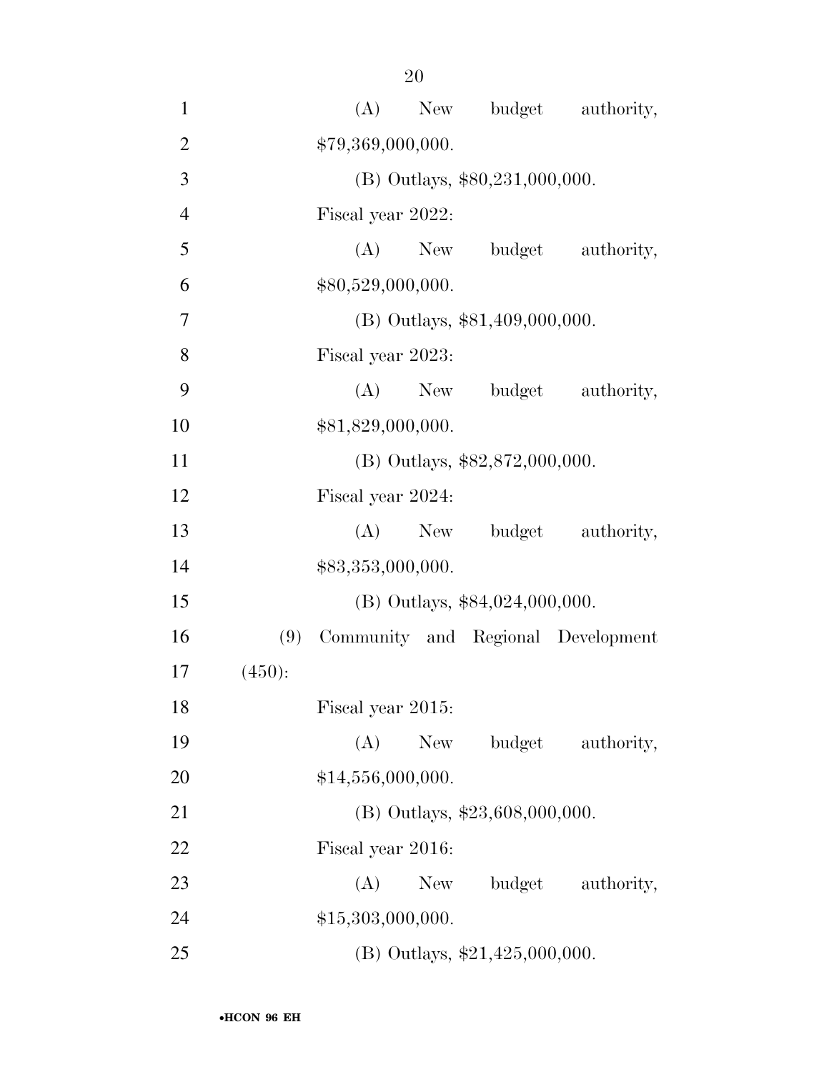| $\mathbf{1}$   |        | (A)               |            |                                  | New budget authority,              |
|----------------|--------|-------------------|------------|----------------------------------|------------------------------------|
| $\overline{2}$ |        | \$79,369,000,000. |            |                                  |                                    |
| 3              |        |                   |            | $(B)$ Outlays, \$80,231,000,000. |                                    |
| $\overline{4}$ |        | Fiscal year 2022: |            |                                  |                                    |
| 5              |        |                   | $(A)$ New  | budget                           | authority,                         |
| 6              |        | \$80,529,000,000. |            |                                  |                                    |
| 7              |        |                   |            | (B) Outlays, \$81,409,000,000.   |                                    |
| 8              |        | Fiscal year 2023: |            |                                  |                                    |
| 9              |        |                   | $(A)$ New  | budget                           | authority,                         |
| 10             |        | \$81,829,000,000. |            |                                  |                                    |
| 11             |        |                   |            | (B) Outlays, \$82,872,000,000.   |                                    |
| 12             |        | Fiscal year 2024: |            |                                  |                                    |
| 13             |        |                   | $(A)$ New  | budget                           | authority,                         |
| 14             |        | \$83,353,000,000. |            |                                  |                                    |
| 15             |        |                   |            | (B) Outlays, \$84,024,000,000.   |                                    |
| 16             | (9)    |                   |            |                                  | Community and Regional Development |
| 17             | (450): |                   |            |                                  |                                    |
| 18             |        | Fiscal year 2015: |            |                                  |                                    |
| 19             |        | (A)               | <b>New</b> | budget                           | authority,                         |
| 20             |        | \$14,556,000,000. |            |                                  |                                    |
| 21             |        |                   |            | $(B)$ Outlays, \$23,608,000,000. |                                    |
| 22             |        | Fiscal year 2016: |            |                                  |                                    |
| 23             |        | (A)               | New        | budget                           | authority,                         |
| 24             |        | \$15,303,000,000. |            |                                  |                                    |
| 25             |        |                   |            | (B) Outlays, $$21,425,000,000$ . |                                    |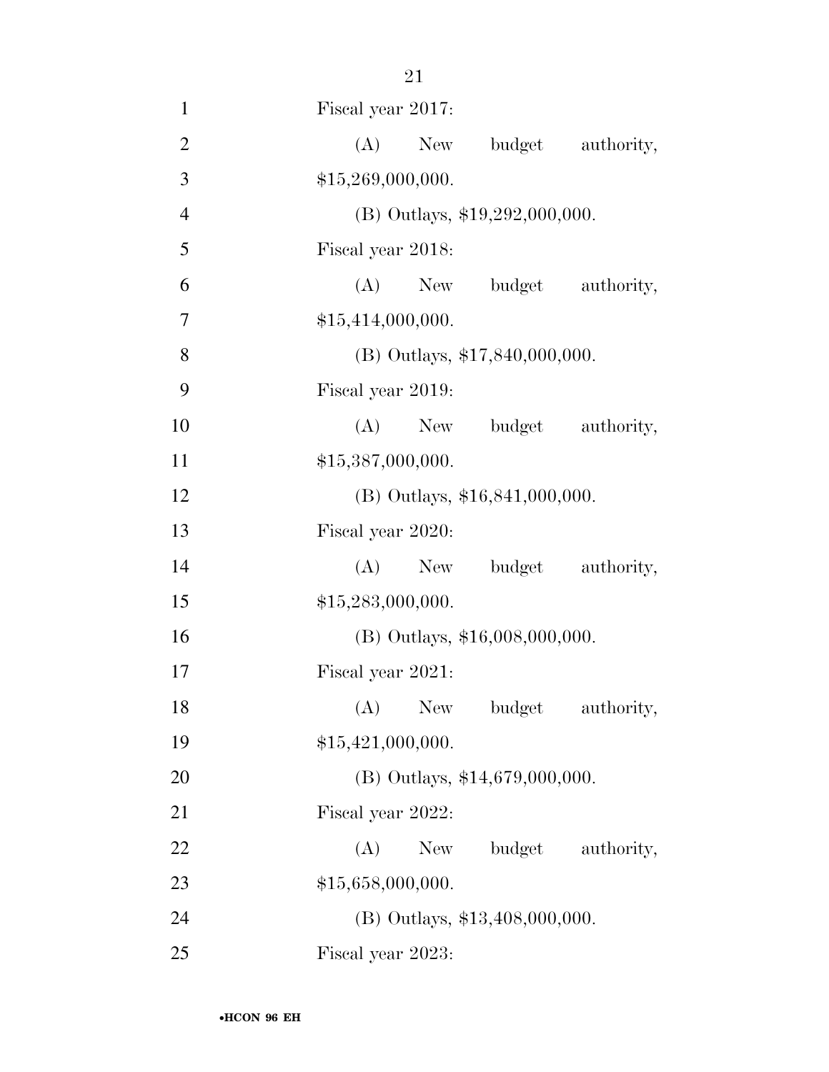| $\mathbf{1}$   | Fiscal year 2017:                  |
|----------------|------------------------------------|
| $\overline{2}$ | (A)<br>budget<br>New<br>authority, |
| 3              | \$15,269,000,000.                  |
| $\overline{4}$ | (B) Outlays, \$19,292,000,000.     |
| 5              | Fiscal year 2018:                  |
| 6              | (A)<br>New budget authority,       |
| 7              | \$15,414,000,000.                  |
| 8              | (B) Outlays, \$17,840,000,000.     |
| 9              | Fiscal year 2019:                  |
| 10             | (A) New budget authority,          |
| 11             | \$15,387,000,000.                  |
| 12             | (B) Outlays, \$16,841,000,000.     |
| 13             | Fiscal year 2020:                  |
| 14             | $(A)$ New<br>budget authority,     |
| 15             | \$15,283,000,000.                  |
| 16             | (B) Outlays, \$16,008,000,000.     |
| 17             | Fiscal year 2021:                  |
| 18             | (A) New budget authority,          |
| 19             | \$15,421,000,000.                  |
| 20             | $(B)$ Outlays, \$14,679,000,000.   |
| 21             | Fiscal year 2022:                  |
| 22             | $(A)$ New<br>budget authority,     |
| 23             | \$15,658,000,000.                  |
| 24             | (B) Outlays, \$13,408,000,000.     |
| 25             | Fiscal year 2023:                  |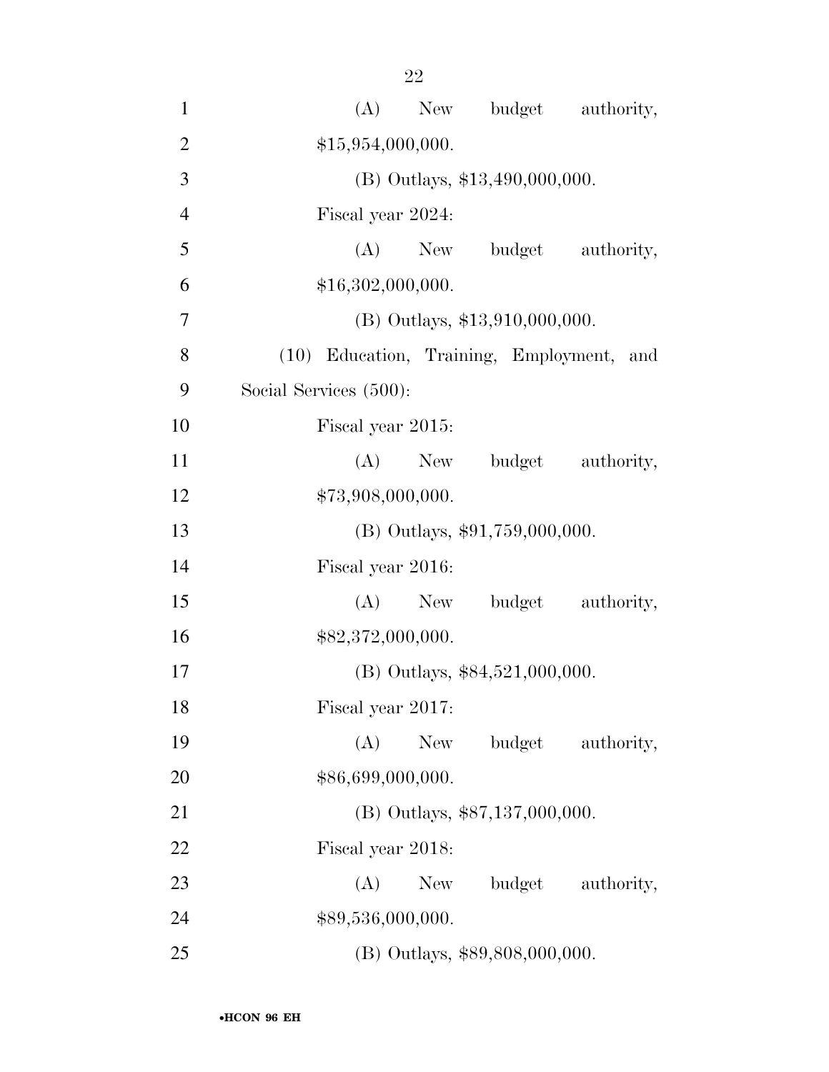| $\mathbf{1}$   | New budget authority,<br>(A)              |
|----------------|-------------------------------------------|
| $\overline{2}$ | \$15,954,000,000.                         |
| 3              | (B) Outlays, \$13,490,000,000.            |
| $\overline{4}$ | Fiscal year 2024:                         |
| 5              | (A)<br>budget authority,<br>New           |
| 6              | \$16,302,000,000.                         |
| 7              | $(B)$ Outlays, \$13,910,000,000.          |
| 8              | (10) Education, Training, Employment, and |
| 9              | Social Services (500):                    |
| 10             | Fiscal year 2015:                         |
| 11             | budget authority,<br>(A)<br>New           |
| 12             | \$73,908,000,000.                         |
| 13             | $(B)$ Outlays, \$91,759,000,000.          |
| 14             | Fiscal year 2016:                         |
| 15             | budget authority,<br>(A)<br>New           |
| 16             | \$82,372,000,000.                         |
| 17             | $(B)$ Outlays, \$84,521,000,000.          |
| 18             | Fiscal year 2017:                         |
| 19             | (A)<br>budget authority,<br>New           |
| 20             | \$86,699,000,000.                         |
| 21             | (B) Outlays, \$87,137,000,000.            |
| 22             | Fiscal year 2018:                         |
| 23             | budget authority,<br>New<br>(A)           |
| 24             | \$89,536,000,000.                         |
| 25             | (B) Outlays, \$89,808,000,000.            |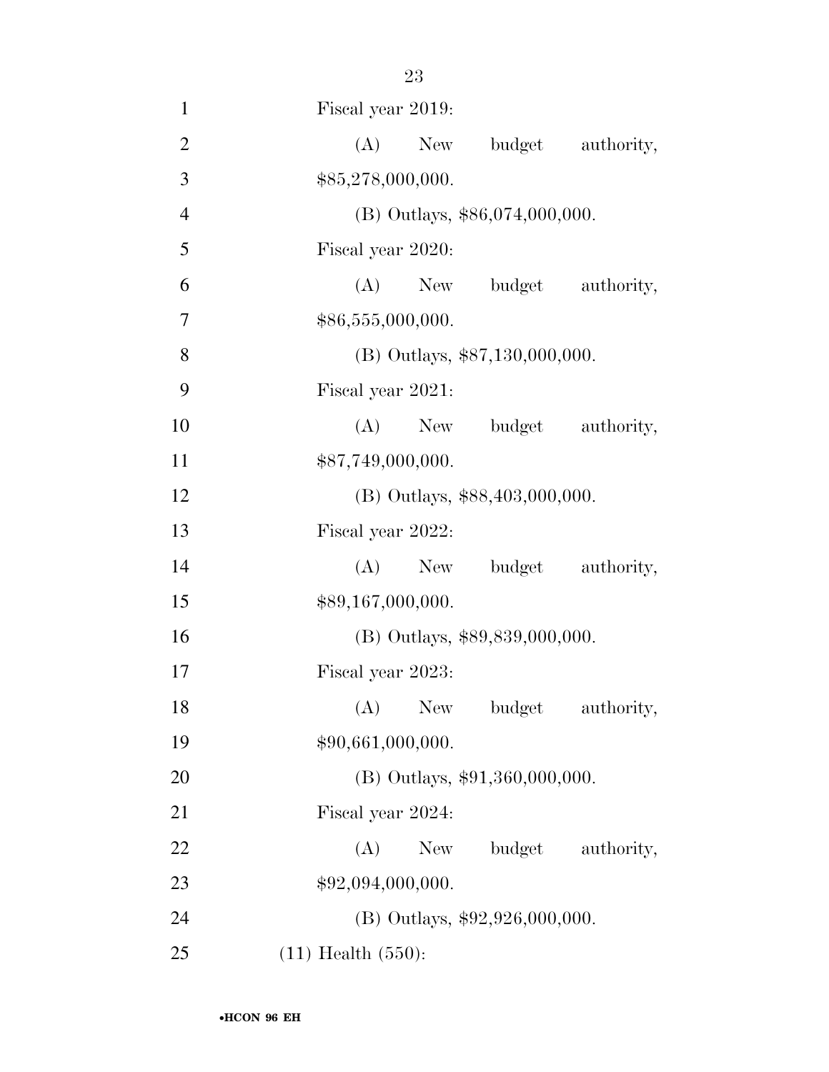| $\mathbf{1}$   | Fiscal year 2019:                |
|----------------|----------------------------------|
| $\overline{2}$ | (A)<br>budget authority,<br>New  |
| 3              | \$85,278,000,000.                |
| $\overline{4}$ | (B) Outlays, \$86,074,000,000.   |
| 5              | Fiscal year 2020:                |
| 6              | (A)<br>New budget authority,     |
| 7              | \$86,555,000,000.                |
| 8              | $(B)$ Outlays, \$87,130,000,000. |
| 9              | Fiscal year 2021:                |
| 10             | (A) New budget authority,        |
| 11             | \$87,749,000,000.                |
| 12             | (B) Outlays, \$88,403,000,000.   |
| 13             | Fiscal year 2022:                |
| 14             | (A) New budget authority,        |
| 15             | \$89,167,000,000.                |
| 16             | (B) Outlays, \$89,839,000,000.   |
| 17             | Fiscal year 2023:                |
| 18             | (A) New budget authority,        |
| 19             | \$90,661,000,000.                |
| 20             | $(B)$ Outlays, \$91,360,000,000. |
| 21             | Fiscal year 2024:                |
| 22             | (A)<br>New<br>budget authority,  |
| 23             | \$92,094,000,000.                |
| 24             | (B) Outlays, $$92,926,000,000$ . |
| 25             | $(11)$ Health $(550)$ :          |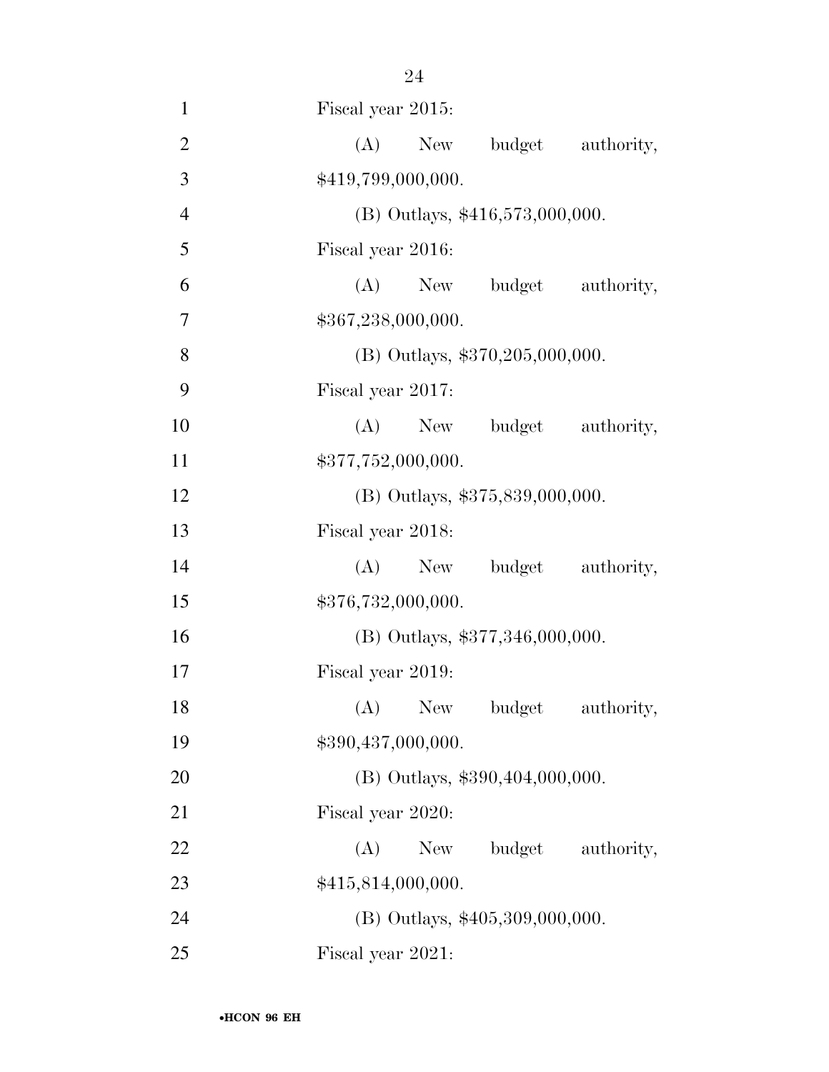| $\mathbf{1}$   | Fiscal year 2015:                 |                       |
|----------------|-----------------------------------|-----------------------|
| $\overline{2}$ | $(A)$ New<br>budget               | authority,            |
| 3              | \$419,799,000,000.                |                       |
| $\overline{4}$ | $(B)$ Outlays, \$416,573,000,000. |                       |
| 5              | Fiscal year 2016:                 |                       |
| 6              | (A)                               | New budget authority, |
| 7              | \$367,238,000,000.                |                       |
| 8              | (B) Outlays, \$370,205,000,000.   |                       |
| 9              | Fiscal year 2017:                 |                       |
| 10             | (A)                               | New budget authority, |
| 11             | \$377,752,000,000.                |                       |
| 12             | (B) Outlays, \$375,839,000,000.   |                       |
| 13             | Fiscal year 2018:                 |                       |
| 14             | $(A)$ New<br>budget               | authority,            |
| 15             | \$376,732,000,000.                |                       |
| 16             | (B) Outlays, \$377,346,000,000.   |                       |
| 17             | Fiscal year 2019:                 |                       |
| 18             | (A) New budget authority,         |                       |
| 19             | \$390,437,000,000.                |                       |
| 20             | (B) Outlays, \$390,404,000,000.   |                       |
| 21             | Fiscal year 2020:                 |                       |
| 22             | (A)<br>New                        | budget authority,     |
| 23             | \$415,814,000,000.                |                       |
| 24             | (B) Outlays, \$405,309,000,000.   |                       |
| 25             | Fiscal year 2021:                 |                       |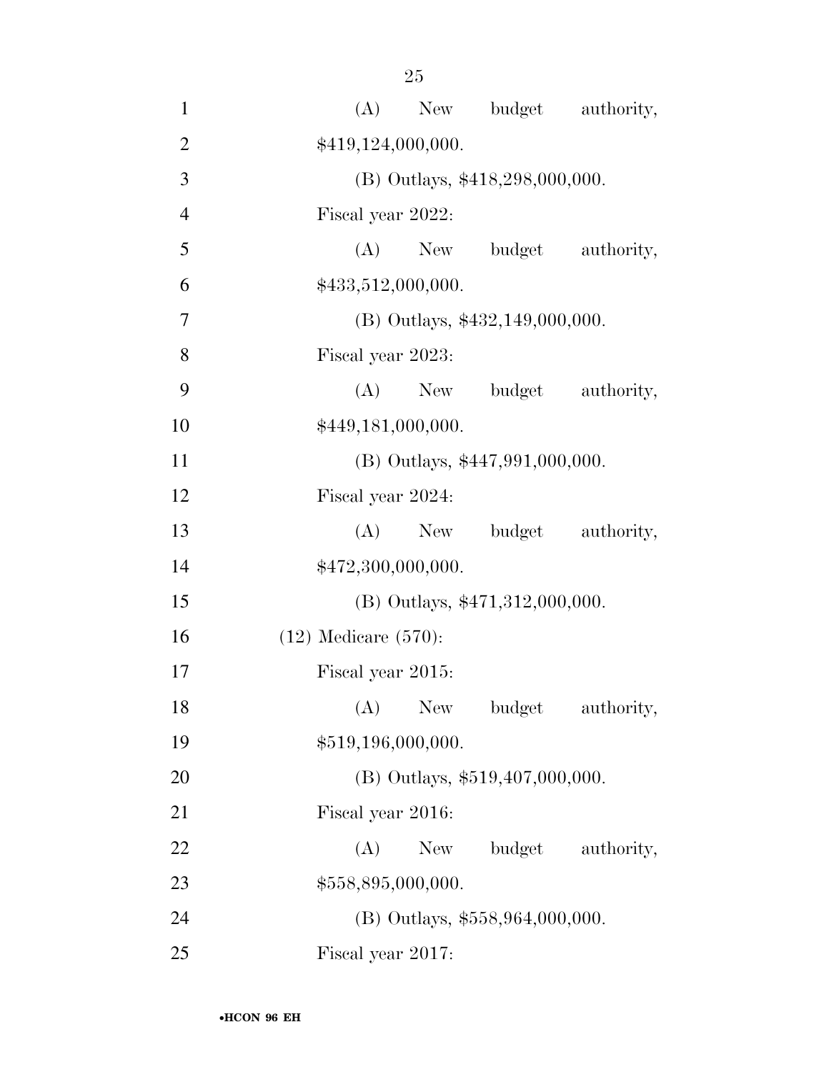| $\mathbf{1}$   | budget authority,<br>(A)<br>New       |
|----------------|---------------------------------------|
| $\overline{2}$ | \$419,124,000,000.                    |
| 3              | (B) Outlays, \$418,298,000,000.       |
| $\overline{4}$ | Fiscal year 2022:                     |
| 5              | budget<br>$(A)$ New<br>authority,     |
| 6              | \$433,512,000,000.                    |
| 7              | $(B)$ Outlays, \$432,149,000,000.     |
| 8              | Fiscal year 2023:                     |
| 9              | (A)<br>budget<br>authority,<br>New    |
| 10             | \$449,181,000,000.                    |
| 11             | $(B)$ Outlays, \$447,991,000,000.     |
| 12             | Fiscal year 2024:                     |
| 13             | budget authority,<br>$(A)$ New        |
| 14             | \$472,300,000,000.                    |
| 15             | $(B)$ Outlays, \$471,312,000,000.     |
| 16             | $(12)$ Medicare $(570)$ :             |
| 17             | Fiscal year 2015:                     |
| 18             | (A)<br>New<br>budget<br>authority,    |
| 19             | \$519,196,000,000.                    |
| 20             | $(B)$ Outlays, \$519,407,000,000.     |
| 21             | Fiscal year 2016:                     |
| 22             | (A)<br>New \,<br>budget<br>authority, |
| 23             | \$558,895,000,000.                    |
| 24             | $(B)$ Outlays, \$558,964,000,000.     |
| 25             | Fiscal year 2017:                     |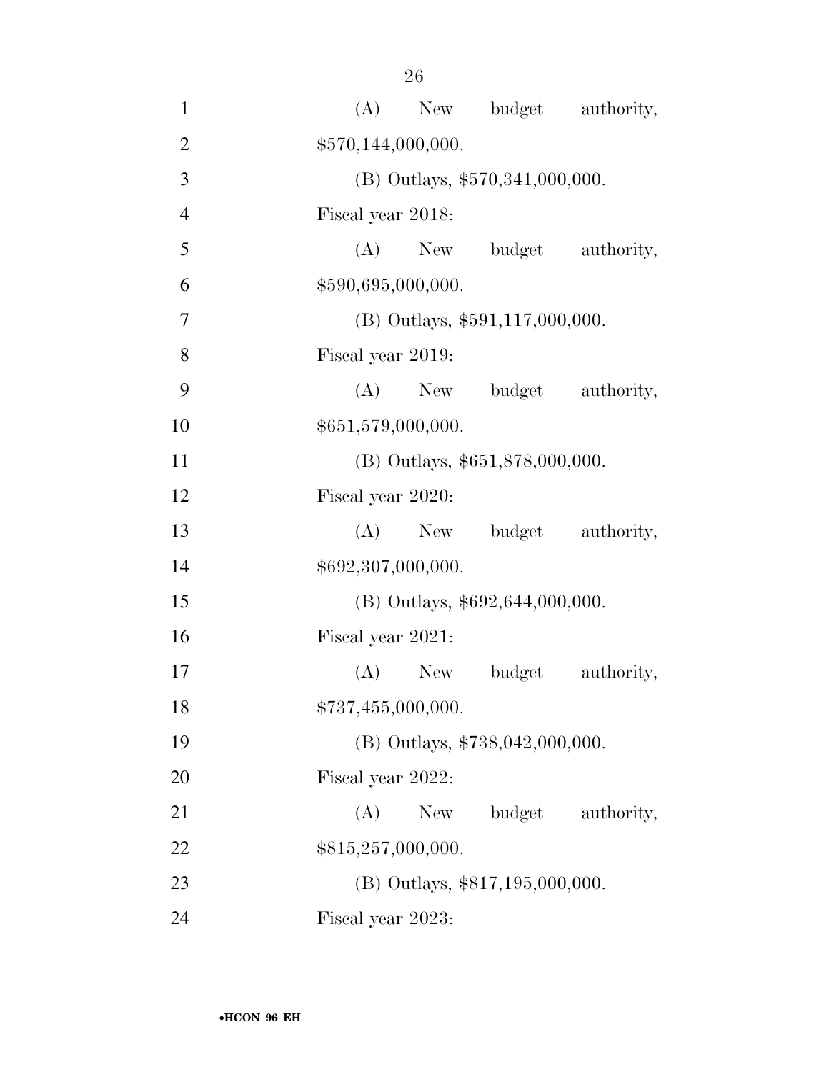| $\mathbf{1}$   | budget authority,<br>(A)<br>New    |
|----------------|------------------------------------|
| $\overline{2}$ | \$570,144,000,000.                 |
| 3              | (B) Outlays, \$570,341,000,000.    |
| $\overline{4}$ | Fiscal year 2018:                  |
| 5              | budget<br>$(A)$ New<br>authority,  |
| 6              | \$590,695,000,000.                 |
| 7              | $(B)$ Outlays, \$591,117,000,000.  |
| 8              | Fiscal year 2019:                  |
| 9              | (A) New budget<br>authority,       |
| 10             | \$651,579,000,000.                 |
| 11             | (B) Outlays, \$651,878,000,000.    |
| 12             | Fiscal year 2020:                  |
| 13             | budget<br>$(A)$ New<br>authority,  |
| 14             | \$692,307,000,000.                 |
| 15             | $(B)$ Outlays, \$692,644,000,000.  |
| 16             | Fiscal year 2021:                  |
| 17             | (A)<br>New<br>budget<br>authority, |
| 18             | \$737,455,000,000.                 |
| 19             | (B) Outlays, $$738,042,000,000$ .  |
| 20             | Fiscal year 2022:                  |
| 21             | budget<br>(A)<br>New<br>authority, |
| 22             | \$815,257,000,000.                 |
| 23             | (B) Outlays, \$817,195,000,000.    |
| 24             | Fiscal year 2023:                  |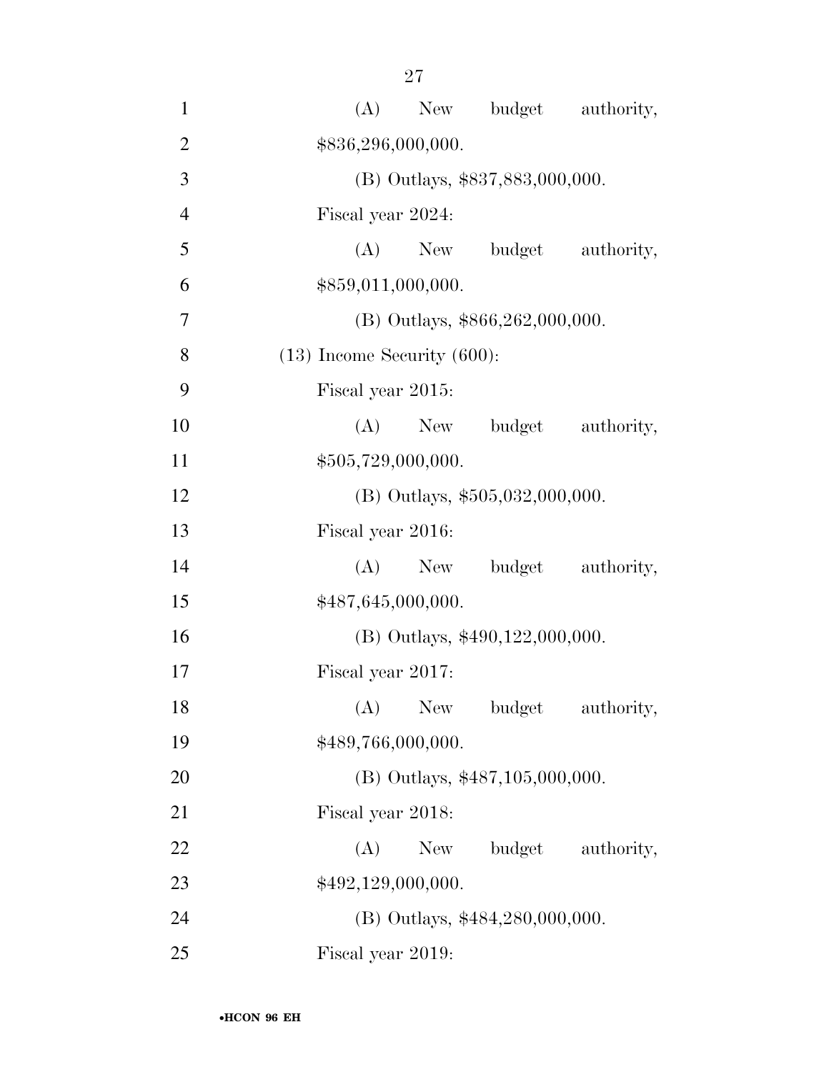| $\mathbf{1}$   | budget authority,<br>(A)<br>New    |
|----------------|------------------------------------|
| $\overline{2}$ | \$836,296,000,000.                 |
| 3              | (B) Outlays, \$837,883,000,000.    |
| $\overline{4}$ | Fiscal year 2024:                  |
| 5              | budget<br>$(A)$ New<br>authority,  |
| 6              | \$859,011,000,000.                 |
| 7              | $(B)$ Outlays, \$866,262,000,000.  |
| 8              | $(13)$ Income Security $(600)$ :   |
| 9              | Fiscal year 2015:                  |
| 10             | (A)<br>budget<br>New<br>authority, |
| 11             | \$505,729,000,000.                 |
| 12             | $(B)$ Outlays, \$505,032,000,000.  |
| 13             | Fiscal year 2016:                  |
| 14             | budget authority,<br>(A)<br>New    |
| 15             | \$487,645,000,000.                 |
| 16             | (B) Outlays, $$490,122,000,000$ .  |
| 17             | Fiscal year 2017:                  |
| 18             | (A)<br>New<br>budget<br>authority, |
| 19             | \$489,766,000,000.                 |
| 20             | $(B)$ Outlays, \$487,105,000,000.  |
| 21             | Fiscal year 2018:                  |
| 22             | (A)<br>New<br>budget authority,    |
| 23             | \$492,129,000,000.                 |
| 24             | (B) Outlays, \$484,280,000,000.    |
| 25             | Fiscal year 2019:                  |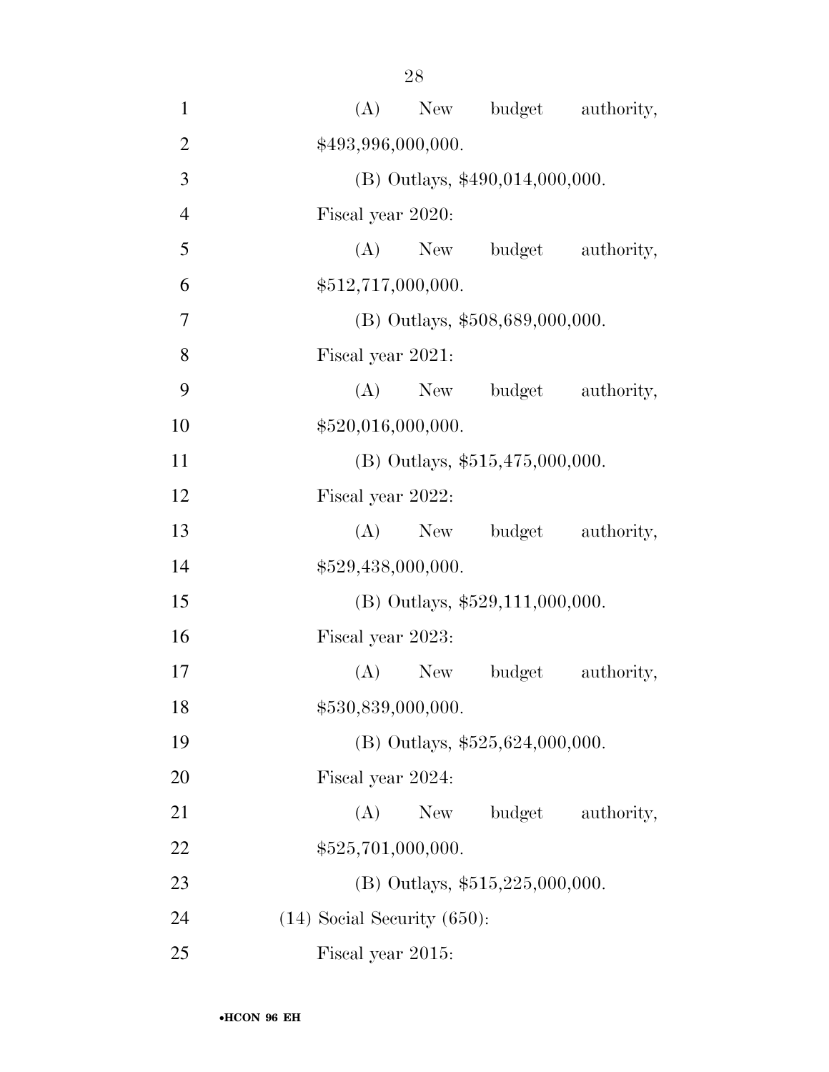| $\mathbf{1}$   | New budget authority,<br>(A)       |
|----------------|------------------------------------|
| $\overline{2}$ | \$493,996,000,000.                 |
| 3              | (B) Outlays, \$490,014,000,000.    |
| $\overline{4}$ | Fiscal year 2020:                  |
| 5              | (A)<br>New budget<br>authority,    |
| 6              | \$512,717,000,000.                 |
| 7              | (B) Outlays, \$508,689,000,000.    |
| 8              | Fiscal year 2021:                  |
| 9              | (A) New budget authority,          |
| 10             | \$520,016,000,000.                 |
| 11             | $(B)$ Outlays, \$515,475,000,000.  |
| 12             | Fiscal year 2022:                  |
| 13             | (A) New budget<br>authority,       |
| 14             | \$529,438,000,000.                 |
| 15             | (B) Outlays, \$529,111,000,000.    |
| 16             | Fiscal year 2023:                  |
| 17             | $(A)$ New<br>authority,<br>budget  |
| 18             | \$530,839,000,000.                 |
| 19             | (B) Outlays, $$525,624,000,000$ .  |
| 20             | Fiscal year 2024:                  |
| 21             | (A)<br>budget<br>New<br>authority, |
| 22             | \$525,701,000,000.                 |
| 23             | (B) Outlays, $$515,225,000,000$ .  |
| 24             | $(14)$ Social Security $(650)$ :   |
| 25             | Fiscal year 2015:                  |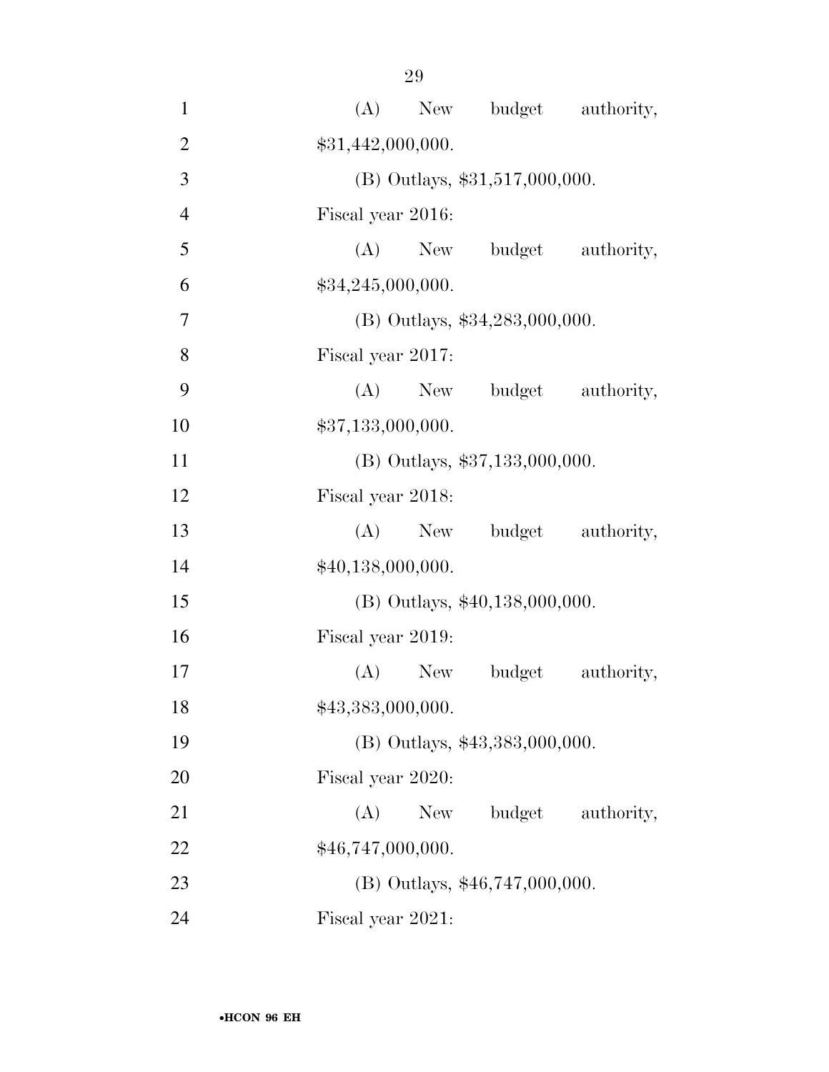| $\mathbf{1}$   | (A) New budget authority,          |
|----------------|------------------------------------|
| $\overline{2}$ | \$31,442,000,000.                  |
| $\overline{3}$ | $(B)$ Outlays, \$31,517,000,000.   |
| $\overline{4}$ | Fiscal year 2016:                  |
| 5              | (A) New budget authority,          |
| 6              | \$34,245,000,000.                  |
| $\overline{7}$ | (B) Outlays, \$34,283,000,000.     |
| 8              | Fiscal year 2017:                  |
| 9              | (A) New budget authority,          |
| 10             | \$37,133,000,000.                  |
| 11             | (B) Outlays, \$37,133,000,000.     |
| 12             | Fiscal year 2018:                  |
| 13             | (A) New budget authority,          |
| 14             | \$40,138,000,000.                  |
| 15             | (B) Outlays, \$40,138,000,000.     |
| 16             | Fiscal year 2019:                  |
| 17             | $(A)$ New<br>budget<br>authority,  |
| 18             | \$43,383,000,000.                  |
| 19             | (B) Outlays, \$43,383,000,000.     |
| 20             | Fiscal year 2020:                  |
| 21             | budget<br>(A)<br>New<br>authority, |
| 22             | \$46,747,000,000.                  |
| 23             | $(B)$ Outlays, \$46,747,000,000.   |
| 24             | Fiscal year 2021:                  |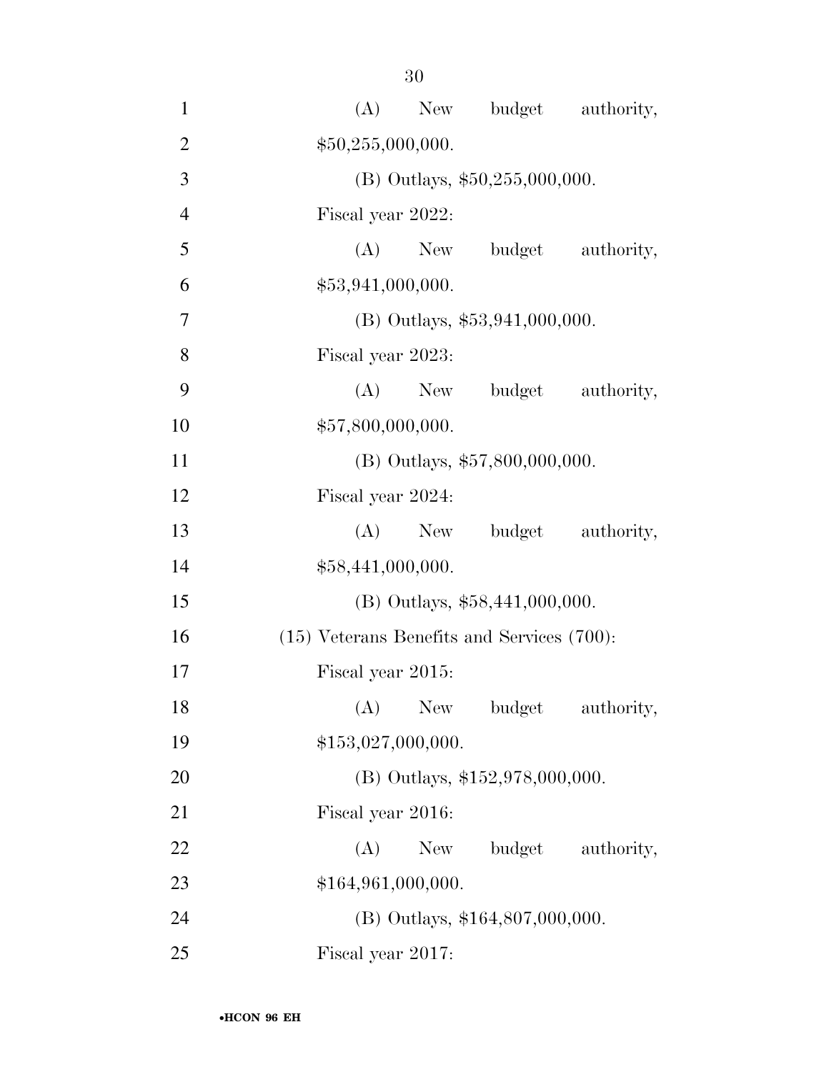| $\mathbf{1}$   | budget authority,<br>(A)<br>New                 |
|----------------|-------------------------------------------------|
| $\overline{2}$ | \$50,255,000,000.                               |
| 3              | $(B)$ Outlays, \$50,255,000,000.                |
| $\overline{4}$ | Fiscal year 2022:                               |
| 5              | $(A)$ New<br>budget authority,                  |
| 6              | \$53,941,000,000.                               |
| 7              | $(B)$ Outlays, \$53,941,000,000.                |
| 8              | Fiscal year 2023:                               |
| 9              | $(A)$ New<br>budget authority,                  |
| 10             | \$57,800,000,000.                               |
| 11             | (B) Outlays, \$57,800,000,000.                  |
| 12             | Fiscal year 2024:                               |
| 13             | $(A)$ New<br>budget authority,                  |
| 14             | \$58,441,000,000.                               |
| 15             | $(B)$ Outlays, \$58,441,000,000.                |
| 16             | $(15)$ Veterans Benefits and Services $(700)$ : |
| 17             | Fiscal year 2015:                               |
| 18             | (A)<br>New \,<br>budget<br>authority,           |
| 19             | \$153,027,000,000.                              |
| 20             | (B) Outlays, \$152,978,000,000.                 |
| 21             | Fiscal year 2016:                               |
| 22             | budget authority,<br>(A)<br>New                 |
| 23             | \$164,961,000,000.                              |
| 24             | (B) Outlays, \$164,807,000,000.                 |
| 25             | Fiscal year 2017:                               |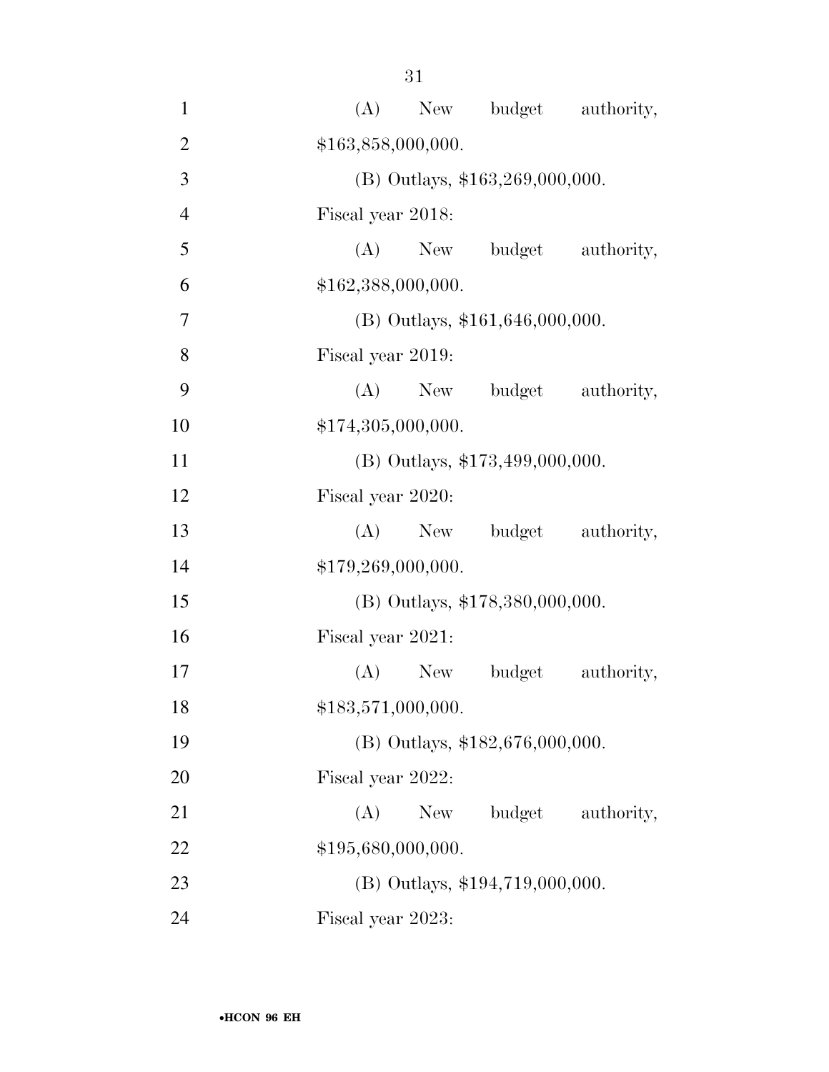| $\mathbf{1}$   | (A)<br>budget authority,<br>New    |
|----------------|------------------------------------|
| $\overline{2}$ | \$163,858,000,000.                 |
| 3              | (B) Outlays, \$163,269,000,000.    |
| $\overline{4}$ | Fiscal year 2018:                  |
| 5              | (A) New budget authority,          |
| 6              | \$162,388,000,000.                 |
| 7              | $(B)$ Outlays, \$161,646,000,000.  |
| 8              | Fiscal year 2019:                  |
| 9              | budget authority,<br>(A)<br>New    |
| 10             | \$174,305,000,000.                 |
| 11             | (B) Outlays, \$173,499,000,000.    |
| 12             | Fiscal year 2020:                  |
| 13             | $(A)$ New<br>budget authority,     |
| 14             | \$179,269,000,000.                 |
| 15             | (B) Outlays, \$178,380,000,000.    |
| 16             | Fiscal year 2021:                  |
| 17             | $(A)$ New<br>budget<br>authority,  |
| 18             | \$183,571,000,000.                 |
| 19             | (B) Outlays, \$182,676,000,000.    |
| 20             | Fiscal year 2022:                  |
| 21             | budget<br>(A)<br>New<br>authority, |
| 22             | \$195,680,000,000.                 |
| 23             | (B) Outlays, \$194,719,000,000.    |
| 24             | Fiscal year 2023:                  |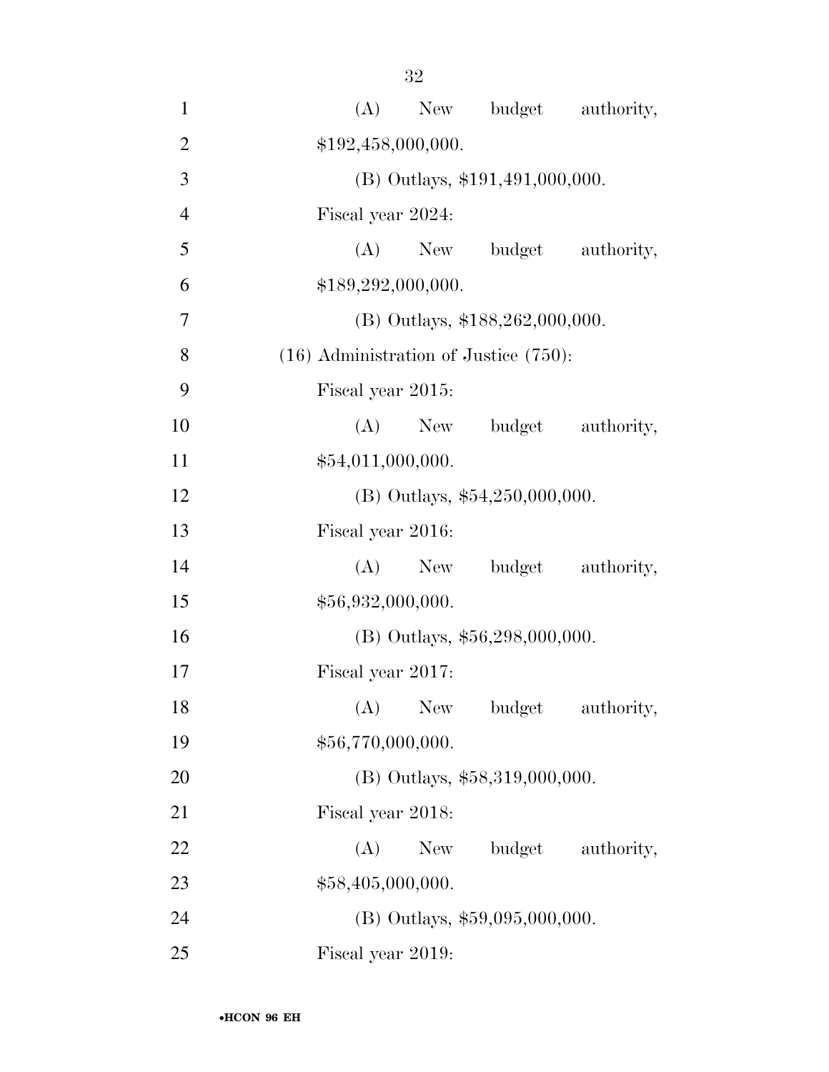| $\mathbf{1}$   | New budget authority,<br>(A)               |
|----------------|--------------------------------------------|
| $\overline{2}$ | \$192,458,000,000.                         |
| 3              | (B) Outlays, \$191,491,000,000.            |
| $\overline{4}$ | Fiscal year 2024:                          |
| 5              | $(A)$ New<br>budget authority,             |
| 6              | \$189,292,000,000.                         |
| 7              | (B) Outlays, \$188,262,000,000.            |
| 8              | $(16)$ Administration of Justice $(750)$ : |
| 9              | Fiscal year 2015:                          |
| 10             | (A)<br>budget authority,<br>New            |
| 11             | \$54,011,000,000.                          |
| 12             | (B) Outlays, \$54,250,000,000.             |
| 13             | Fiscal year 2016:                          |
| 14             | budget authority,<br>(A)<br>New            |
| 15             | \$56,932,000,000.                          |
| 16             | (B) Outlays, \$56,298,000,000.             |
| 17             | Fiscal year 2017:                          |
| 18             | $(A)$ New<br>budget<br>authority,          |
| 19             | \$56,770,000,000.                          |
| 20             | $(B)$ Outlays, \$58,319,000,000.           |
| 21             | Fiscal year 2018:                          |
| 22             | budget authority,<br>(A)<br>New            |
| 23             | \$58,405,000,000.                          |
| 24             | $(B)$ Outlays, \$59,095,000,000.           |
| 25             | Fiscal year 2019:                          |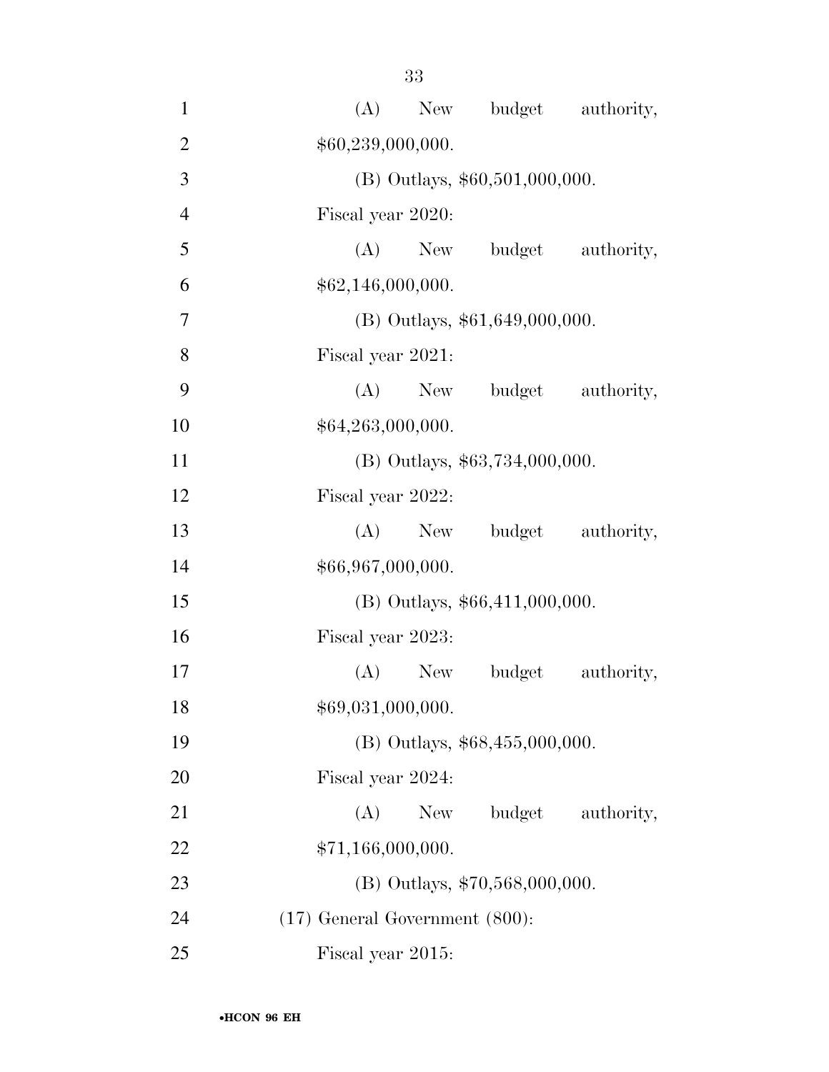| $\mathbf{1}$   | New budget authority,<br>(A)        |
|----------------|-------------------------------------|
| $\overline{2}$ | \$60,239,000,000.                   |
| 3              | (B) Outlays, \$60,501,000,000.      |
| $\overline{4}$ | Fiscal year 2020:                   |
| 5              | $(A)$ New<br>budget authority,      |
| 6              | \$62,146,000,000.                   |
| $\overline{7}$ | $(B)$ Outlays, \$61,649,000,000.    |
| 8              | Fiscal year 2021:                   |
| 9              | $(A)$ New<br>budget authority,      |
| 10             | \$64,263,000,000.                   |
| 11             | $(B)$ Outlays, \$63,734,000,000.    |
| 12             | Fiscal year 2022:                   |
| 13             | budget authority,<br>(A)<br>New     |
| 14             | \$66,967,000,000.                   |
| 15             | (B) Outlays, \$66,411,000,000.      |
| 16             | Fiscal year 2023:                   |
| 17             | $(A)$ New<br>authority,<br>budget   |
| 18             | \$69,031,000,000.                   |
| 19             | (B) Outlays, \$68,455,000,000.      |
| 20             | Fiscal year 2024:                   |
| 21             | budget<br>(A)<br>New<br>authority,  |
| 22             | \$71,166,000,000.                   |
| 23             | (B) Outlays, \$70,568,000,000.      |
| 24             | $(17)$ General Government $(800)$ : |
| 25             | Fiscal year 2015:                   |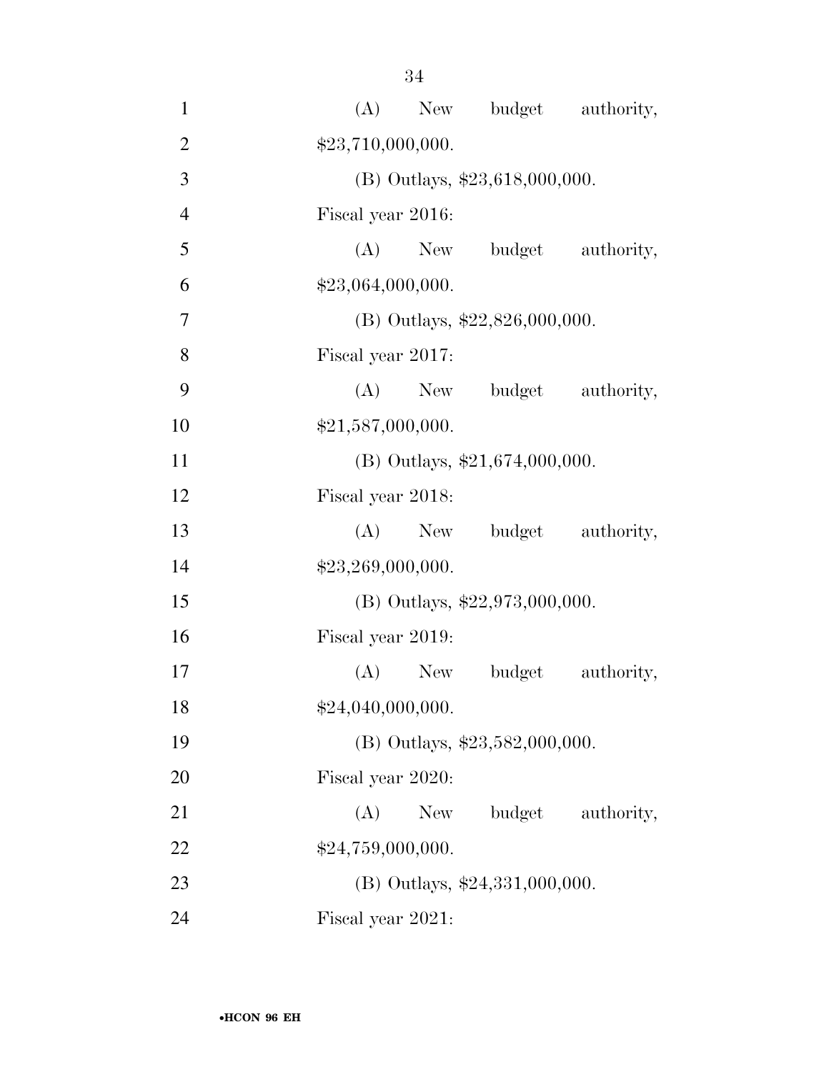| $\mathbf{1}$   | (A) New budget authority,         |
|----------------|-----------------------------------|
| $\overline{2}$ | \$23,710,000,000.                 |
| 3              | (B) Outlays, \$23,618,000,000.    |
| $\overline{4}$ | Fiscal year 2016:                 |
| 5              | (A) New budget authority,         |
| 6              | \$23,064,000,000.                 |
| 7              | (B) Outlays, $$22,826,000,000$ .  |
| 8              | Fiscal year 2017:                 |
| 9              | (A) New budget authority,         |
| 10             | \$21,587,000,000.                 |
| 11             | (B) Outlays, $$21,674,000,000$ .  |
| 12             | Fiscal year 2018:                 |
| 13             | (A) New budget authority,         |
| 14             | \$23,269,000,000.                 |
| 15             | (B) Outlays, $$22,973,000,000$ .  |
| 16             | Fiscal year 2019:                 |
| 17             | $(A)$ New<br>budget<br>authority, |
| 18             | \$24,040,000,000.                 |
| 19             | (B) Outlays, \$23,582,000,000.    |
| 20             | Fiscal year 2020:                 |
| 21             | $(A)$ New<br>budget<br>authority, |
| 22             | \$24,759,000,000.                 |
| 23             | $(B)$ Outlays, \$24,331,000,000.  |
| 24             | Fiscal year 2021:                 |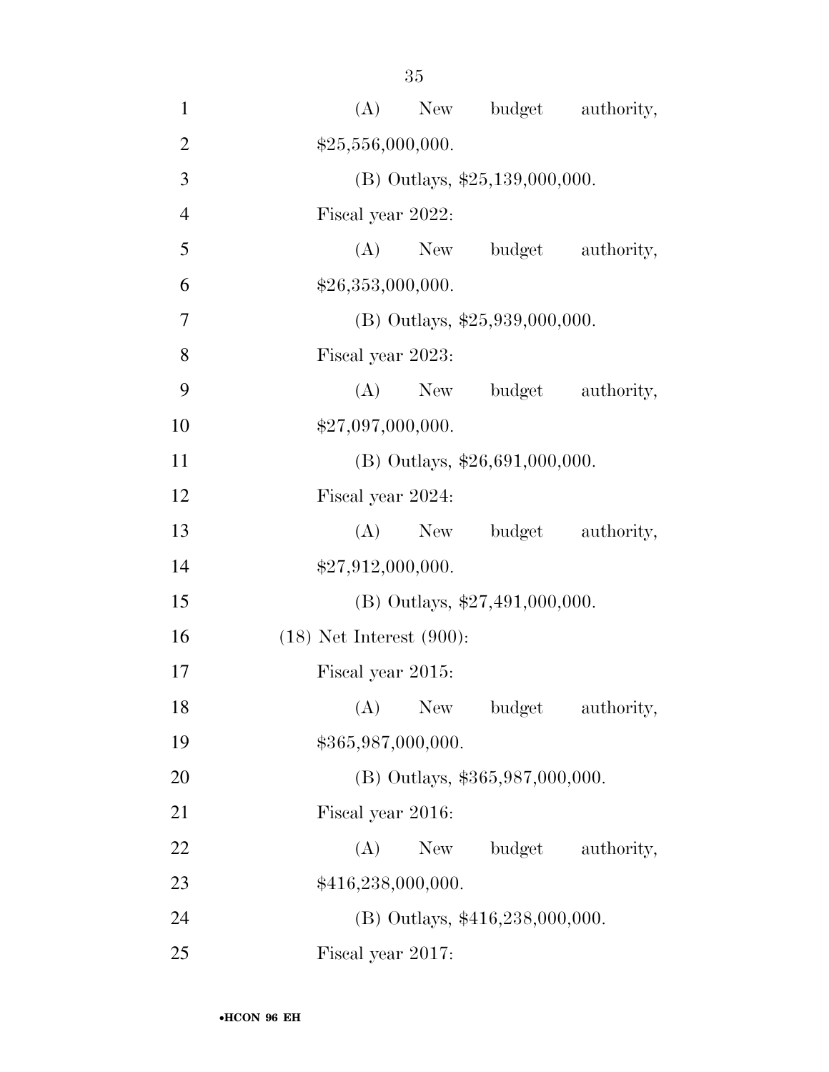| $\mathbf{1}$   | New budget authority,<br>(A)       |
|----------------|------------------------------------|
| $\overline{2}$ | \$25,556,000,000.                  |
| 3              | (B) Outlays, \$25,139,000,000.     |
| $\overline{4}$ | Fiscal year 2022:                  |
| 5              | (A) New budget authority,          |
| 6              | \$26,353,000,000.                  |
| $\overline{7}$ | (B) Outlays, $$25,939,000,000$ .   |
| 8              | Fiscal year 2023:                  |
| 9              | (A) New budget authority,          |
| 10             | \$27,097,000,000.                  |
| 11             | $(B)$ Outlays, \$26,691,000,000.   |
| 12             | Fiscal year 2024:                  |
| 13             | (A) New budget authority,          |
| 14             | \$27,912,000,000.                  |
| 15             | (B) Outlays, \$27,491,000,000.     |
| 16             | $(18)$ Net Interest $(900)$ :      |
| 17             | Fiscal year 2015:                  |
| 18             | (A)<br>New<br>authority,<br>budget |
| 19             | \$365,987,000,000.                 |
| 20             | (B) Outlays, \$365,987,000,000.    |
| 21             | Fiscal year 2016:                  |
| 22             | budget<br>(A)<br>New<br>authority, |
| 23             | \$416,238,000,000.                 |
| 24             | (B) Outlays, \$416,238,000,000.    |
| 25             | Fiscal year 2017:                  |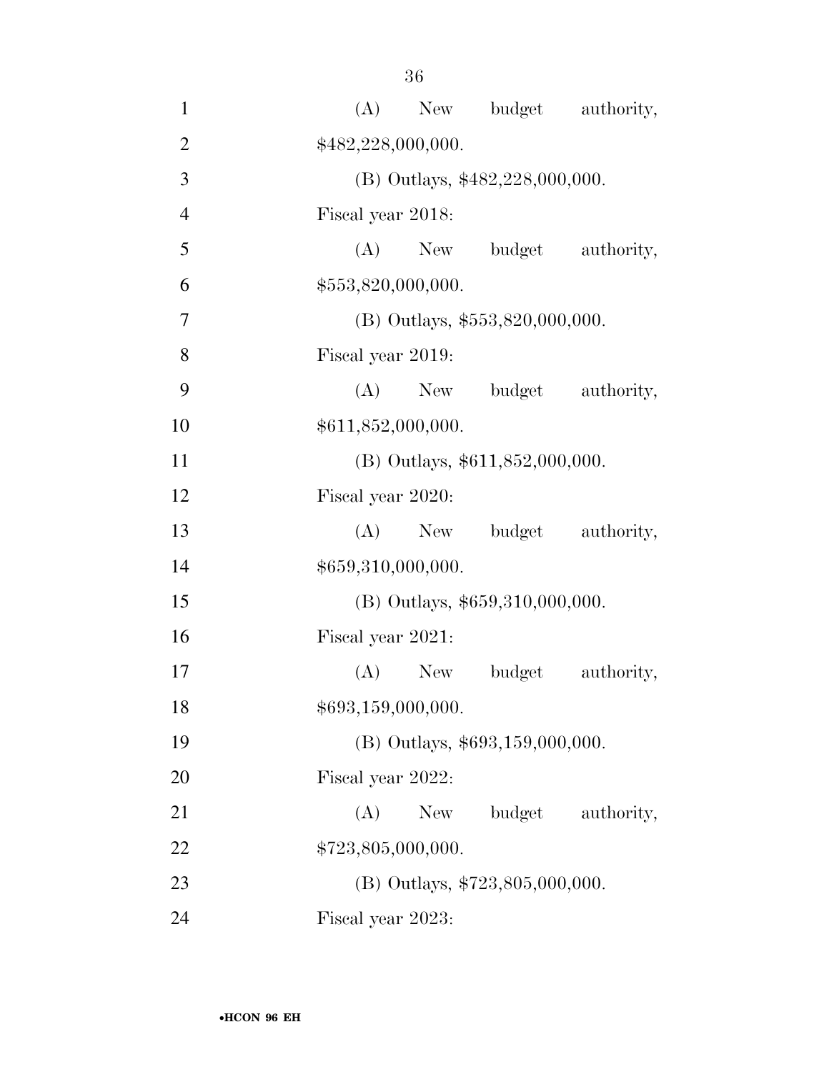| $\mathbf{1}$   | (A) New budget authority,          |
|----------------|------------------------------------|
| $\overline{2}$ | \$482,228,000,000.                 |
| 3              | (B) Outlays, \$482,228,000,000.    |
| $\overline{4}$ | Fiscal year 2018:                  |
| 5              | (A) New budget<br>authority,       |
| 6              | \$553,820,000,000.                 |
| 7              | $(B)$ Outlays, \$553,820,000,000.  |
| 8              | Fiscal year 2019:                  |
| 9              | (A) New budget<br>authority,       |
| 10             | \$611,852,000,000.                 |
| 11             | (B) Outlays, \$611,852,000,000.    |
| 12             | Fiscal year 2020:                  |
| 13             | $(A)$ New<br>budget<br>authority,  |
| 14             | \$659,310,000,000.                 |
| 15             | $(B)$ Outlays, \$659,310,000,000.  |
| 16             | Fiscal year 2021:                  |
| 17             | $(A)$ New<br>budget<br>authority,  |
| 18             | \$693,159,000,000.                 |
| 19             | $(B)$ Outlays, \$693,159,000,000.  |
| 20             | Fiscal year 2022:                  |
| 21             | budget<br>(A)<br>New<br>authority, |
| 22             | \$723,805,000,000.                 |
| 23             | (B) Outlays, $$723,805,000,000$ .  |
| 24             | Fiscal year 2023:                  |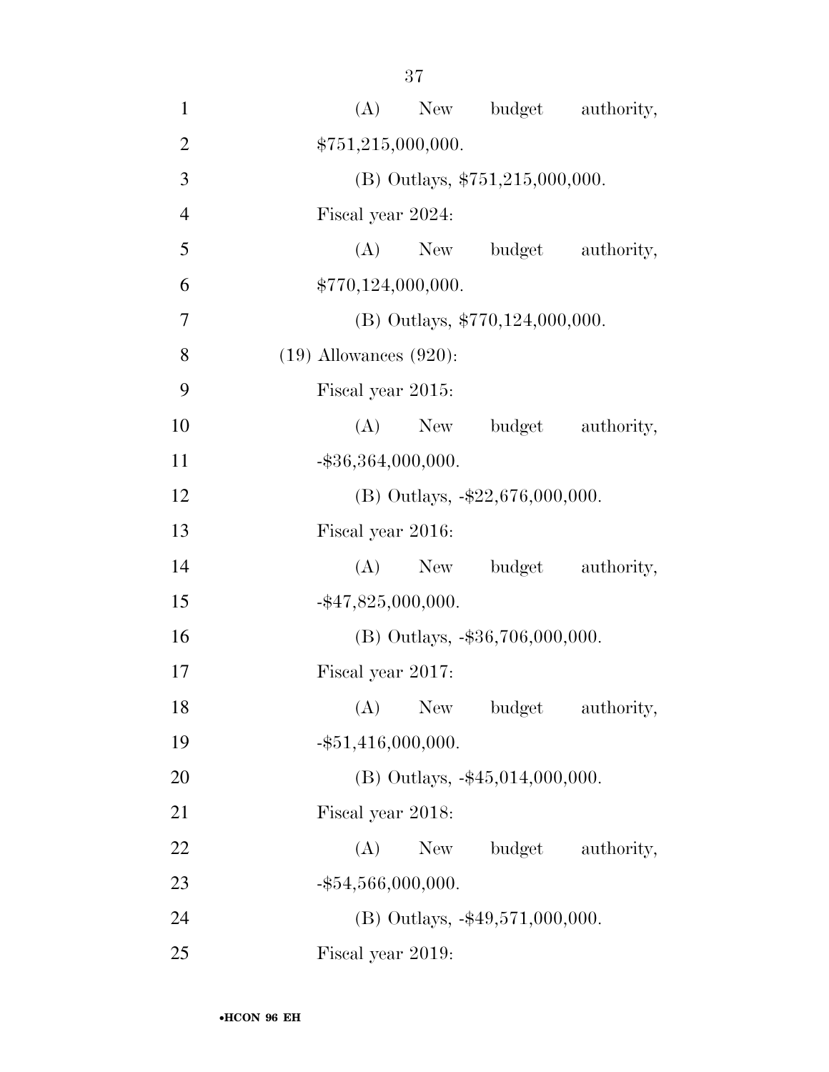| $\mathbf{1}$   | (A) New budget authority,          |
|----------------|------------------------------------|
| $\overline{2}$ | \$751,215,000,000.                 |
| 3              | (B) Outlays, \$751,215,000,000.    |
| $\overline{4}$ | Fiscal year 2024:                  |
| 5              | (A) New budget authority,          |
| 6              | \$770,124,000,000.                 |
| 7              | (B) Outlays, \$770,124,000,000.    |
| 8              | $(19)$ Allowances $(920)$ :        |
| 9              | Fiscal year 2015:                  |
| 10             | (A) New budget authority,          |
| 11             | $-$ \$36,364,000,000.              |
| 12             | (B) Outlays, $-\$22,676,000,000$ . |
| 13             | Fiscal year 2016:                  |
| 14             | $(A)$ New<br>budget authority,     |
| 15             | $-$ \$47,825,000,000.              |
| 16             | (B) Outlays, -\$36,706,000,000.    |
| 17             | Fiscal year 2017:                  |
| 18             | (A) New budget authority,          |
| 19             | $-$ \$51,416,000,000.              |
| 20             | $(B)$ Outlays, $-45,014,000,000$ . |
| 21             | Fiscal year 2018:                  |
| 22             | budget authority,<br>(A)<br>New    |
| 23             | $-$ \$54,566,000,000.              |
| 24             | (B) Outlays, -\$49,571,000,000.    |
| 25             | Fiscal year 2019:                  |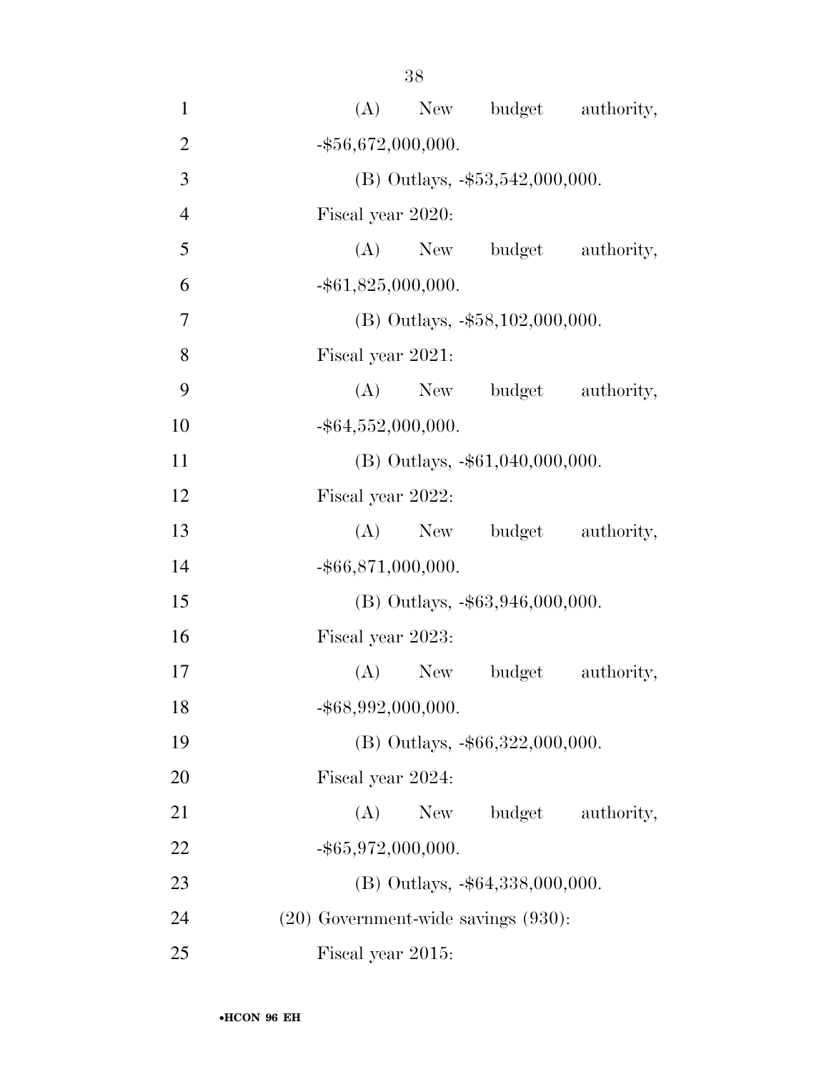| $\mathbf{1}$   | (A) New budget authority,                |
|----------------|------------------------------------------|
| $\overline{2}$ | $-$ \$56,672,000,000.                    |
| 3              | (B) Outlays, $-\$53,542,000,000$ .       |
| $\overline{4}$ | Fiscal year 2020:                        |
| 5              | (A) New budget authority,                |
| 6              | $-$ \$61,825,000,000.                    |
| $\overline{7}$ | $(B)$ Outlays, $-\$58,102,000,000$ .     |
| 8              | Fiscal year 2021:                        |
| 9              | (A) New budget authority,                |
| 10             | $-$ \$64,552,000,000.                    |
| 11             | (B) Outlays, -\$61,040,000,000.          |
| 12             | Fiscal year 2022:                        |
| 13             | budget authority,<br>$(A)$ New           |
| 14             | $-$ \$66,871,000,000.                    |
| 15             | $(B)$ Outlays, $-$ \$63,946,000,000.     |
| 16             | Fiscal year 2023:                        |
| 17             | $(A)$ New<br>budget<br>authority,        |
| 18             | $-$ \$68,992,000,000.                    |
| 19             | (B) Outlays, -\$66,322,000,000.          |
| 20             | Fiscal year 2024:                        |
| 21             | budget<br>(A)<br>New<br>authority,       |
| 22             | $-$ \$65,972,000,000.                    |
| 23             | (B) Outlays, -\$64,338,000,000.          |
| 24             | $(20)$ Government-wide savings $(930)$ : |
| 25             | Fiscal year 2015:                        |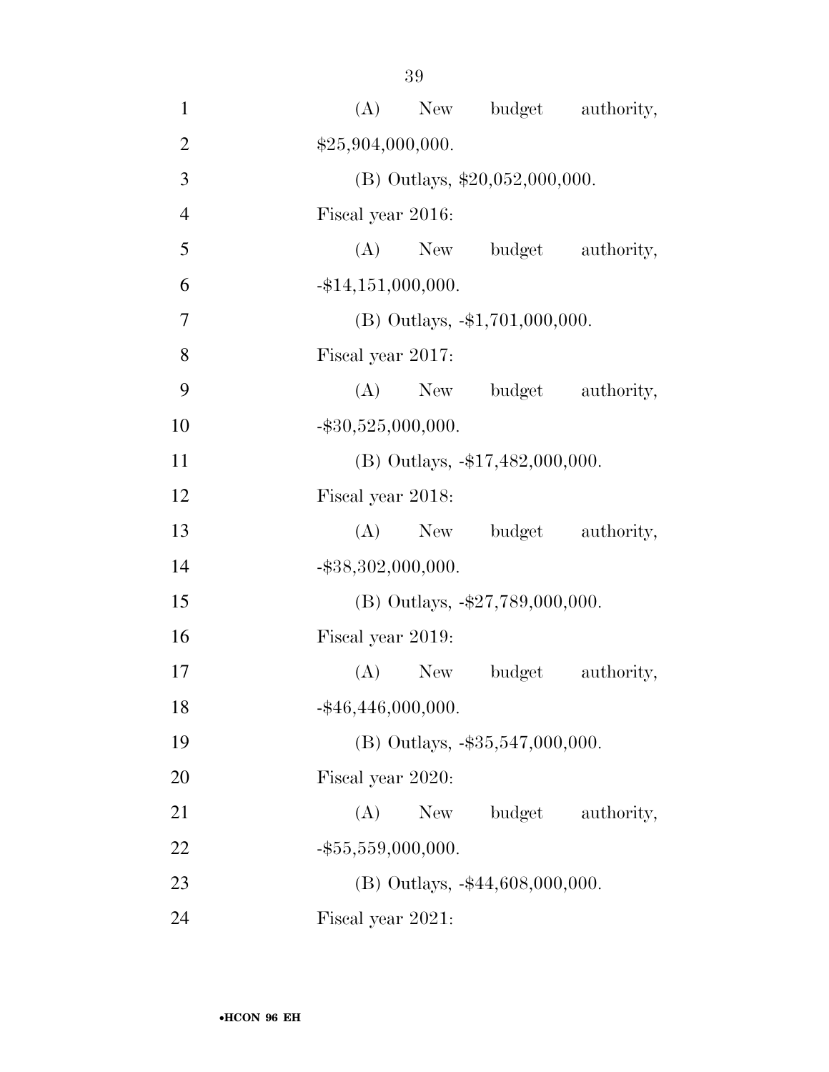| $\mathbf{1}$   | (A) New budget authority,          |
|----------------|------------------------------------|
| $\overline{2}$ | \$25,904,000,000.                  |
| 3              | (B) Outlays, $$20,052,000,000$ .   |
| $\overline{4}$ | Fiscal year 2016:                  |
| 5              | (A) New budget authority,          |
| 6              | $-$ \$14,151,000,000.              |
| $\overline{7}$ | $(B)$ Outlays, $-1,701,000,000$ .  |
| 8              | Fiscal year 2017:                  |
| 9              | (A) New budget authority,          |
| 10             | $-$ \$30,525,000,000.              |
| 11             | (B) Outlays, -\$17,482,000,000.    |
| 12             | Fiscal year 2018:                  |
| 13             | (A) New budget authority,          |
| 14             | $-$ \$38,302,000,000.              |
| 15             | (B) Outlays, $-\$27,789,000,000$ . |
| 16             | Fiscal year 2019:                  |
| 17             | (A) New budget<br>authority,       |
| 18             | $-$ \$46,446,000,000.              |
| 19             | (B) Outlays, -\$35,547,000,000.    |
| 20             | Fiscal year 2020:                  |
| 21             | budget<br>(A)<br>New<br>authority, |
| 22             | $-$ \$55,559,000,000.              |
| 23             | (B) Outlays, -\$44,608,000,000.    |
| 24             | Fiscal year 2021:                  |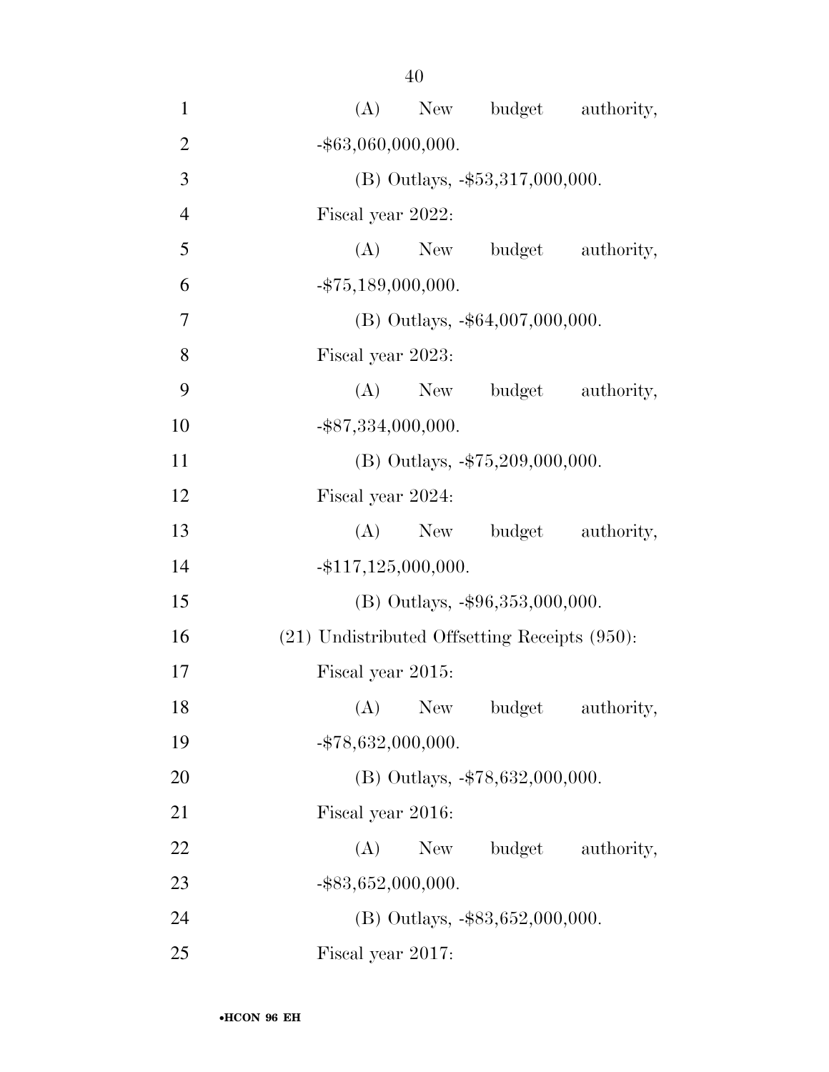| $\mathbf{1}$   | New budget authority,<br>(A)                       |
|----------------|----------------------------------------------------|
| $\overline{2}$ | $-$ \$63,060,000,000.                              |
| 3              | (B) Outlays, -\$53,317,000,000.                    |
| $\overline{4}$ | Fiscal year 2022:                                  |
| 5              | (A) New budget authority,                          |
| 6              | $-$ \$75,189,000,000.                              |
| $\overline{7}$ | $(B)$ Outlays, $-$ \$64,007,000,000.               |
| 8              | Fiscal year 2023:                                  |
| 9              | (A) New budget authority,                          |
| 10             | $-$ \$87,334,000,000.                              |
| 11             | $(B)$ Outlays, $-\$75,209,000,000$ .               |
| 12             | Fiscal year 2024:                                  |
| 13             | budget authority,<br>$(A)$ New                     |
| 14             | $-$ \$117,125,000,000.                             |
| 15             | $(B)$ Outlays, $-\$96,353,000,000$ .               |
| 16             | $(21)$ Undistributed Offsetting Receipts $(950)$ : |
| 17             | Fiscal year 2015:                                  |
| 18             | (A)<br>New<br>authority,<br>budget                 |
| 19             | $-$ \$78,632,000,000.                              |
| 20             | (B) Outlays, -\$78,632,000,000.                    |
| 21             | Fiscal year 2016:                                  |
| 22             | budget authority,<br>(A)<br>New                    |
| 23             | $-$ \$83,652,000,000.                              |
| 24             | $(B)$ Outlays, $-\$83,652,000,000$ .               |
| 25             | Fiscal year 2017:                                  |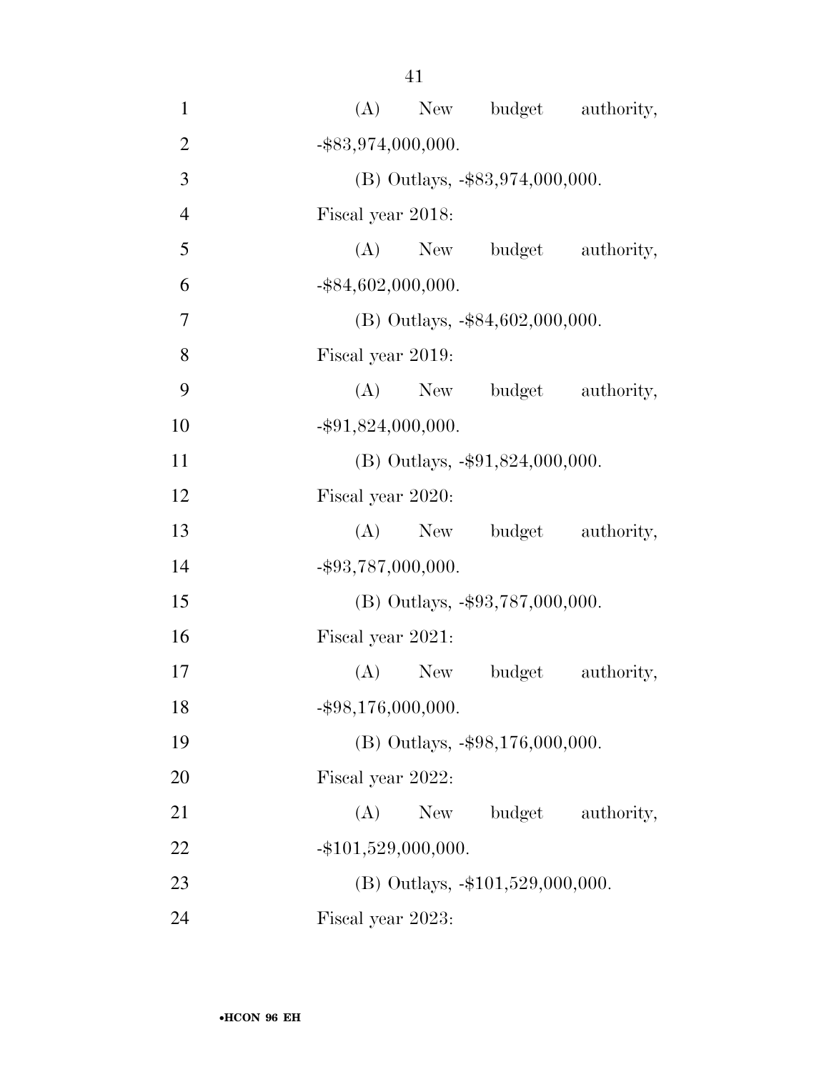| $\mathbf{1}$   | (A) New budget authority,            |
|----------------|--------------------------------------|
| $\overline{2}$ | $-$ \$83,974,000,000.                |
| 3              | $(B)$ Outlays, $-\$83,974,000,000$ . |
| $\overline{4}$ | Fiscal year 2018:                    |
| 5              | (A) New budget authority,            |
| 6              | $-$ \$84,602,000,000.                |
| 7              | $(B)$ Outlays, $-$ \$84,602,000,000. |
| 8              | Fiscal year 2019:                    |
| 9              | (A) New budget authority,            |
| 10             | $-$ \$91,824,000,000.                |
| 11             | (B) Outlays, -\$91,824,000,000.      |
| 12             | Fiscal year 2020:                    |
| 13             | $(A)$ New<br>budget authority,       |
| 14             | $-$ \$93,787,000,000.                |
| 15             | (B) Outlays, $-\$93,787,000,000$ .   |
| 16             | Fiscal year 2021:                    |
| 17             | budget<br>authority,<br>$(A)$ New    |
| 18             | $-$ \$98,176,000,000.                |
| 19             | (B) Outlays, -\$98,176,000,000.      |
| 20             | Fiscal year 2022:                    |
| 21             | budget<br>(A)<br>New<br>authority,   |
| 22             | $-$ \$101,529,000,000.               |
| 23             | (B) Outlays, -\$101,529,000,000.     |
| 24             | Fiscal year 2023:                    |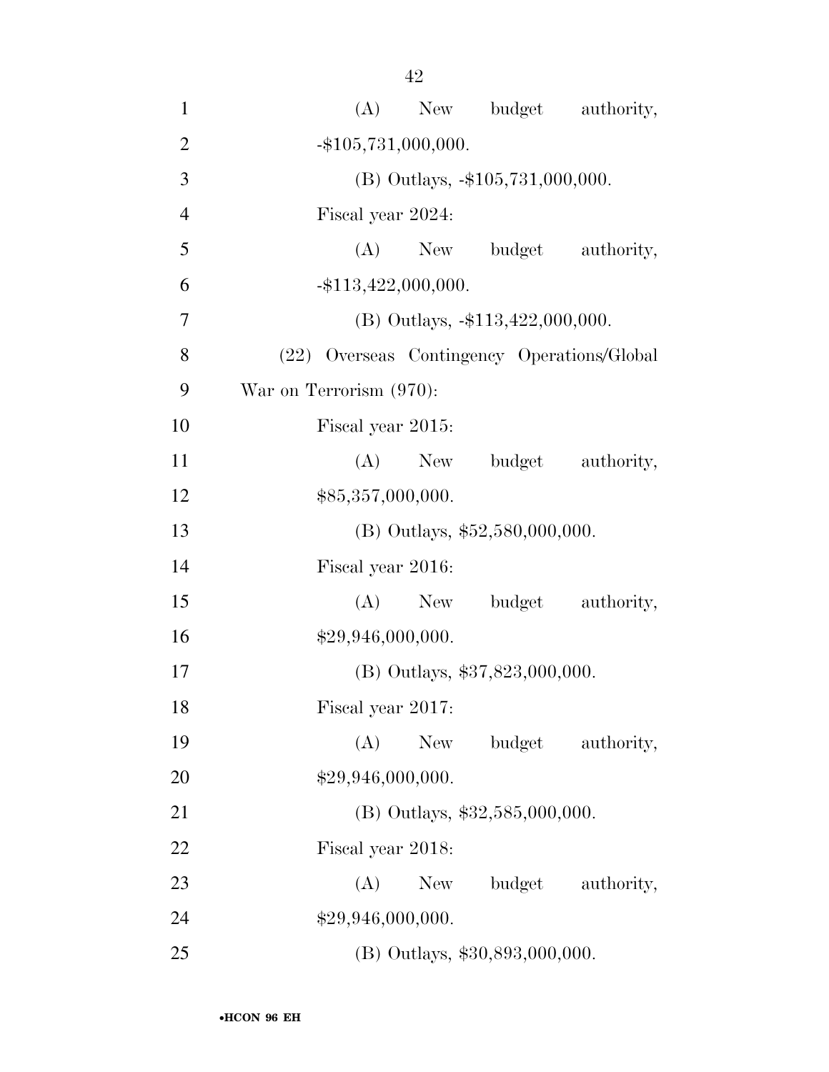| $\mathbf{1}$   | (A) New budget authority,                   |
|----------------|---------------------------------------------|
| $\overline{2}$ | $-$ \$105,731,000,000.                      |
| 3              | (B) Outlays, -\$105,731,000,000.            |
| $\overline{4}$ | Fiscal year 2024:                           |
| 5              | budget authority,<br>(A)<br>New             |
| 6              | $-$ \$113,422,000,000.                      |
| 7              | $(B)$ Outlays, $-\$113,422,000,000$ .       |
| 8              | (22) Overseas Contingency Operations/Global |
| 9              | War on Terrorism (970):                     |
| 10             | Fiscal year 2015:                           |
| 11             | (A)<br>budget authority,<br>New             |
| 12             | \$85,357,000,000.                           |
| 13             | $(B)$ Outlays, \$52,580,000,000.            |
| 14             | Fiscal year 2016:                           |
| 15             | budget authority,<br>(A)<br>New             |
| 16             | \$29,946,000,000.                           |
| 17             | (B) Outlays, \$37,823,000,000.              |
| 18             | Fiscal year 2017:                           |
| 19             | (A)<br>budget authority,<br>New             |
| 20             | \$29,946,000,000.                           |
| 21             | $(B)$ Outlays, \$32,585,000,000.            |
| 22             | Fiscal year 2018:                           |
| 23             | budget authority,<br>(A)<br>New \,          |
| 24             | \$29,946,000,000.                           |
| 25             | (B) Outlays, \$30,893,000,000.              |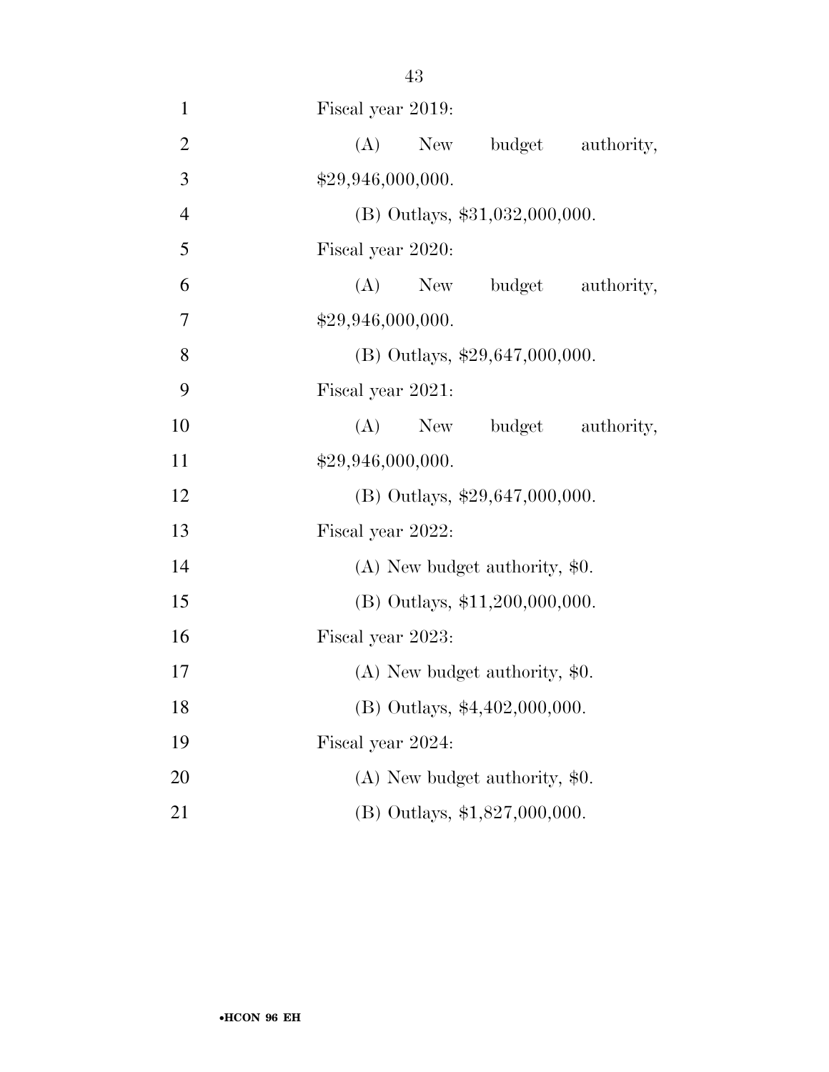| $\mathbf{1}$   | Fiscal year 2019:                  |
|----------------|------------------------------------|
| $\mathbf{2}$   | (A)<br>budget<br>authority,<br>New |
| $\overline{3}$ | \$29,946,000,000.                  |
| $\overline{4}$ | $(B)$ Outlays, \$31,032,000,000.   |
| 5              | Fiscal year 2020:                  |
| 6              | (A)<br>budget authority,<br>New    |
| $\overline{7}$ | \$29,946,000,000.                  |
| 8              | (B) Outlays, $$29,647,000,000$ .   |
| 9              | Fiscal year 2021:                  |
| 10             | (A)<br>New<br>budget authority,    |
| 11             | \$29,946,000,000.                  |
| 12             | (B) Outlays, \$29,647,000,000.     |
| 13             | Fiscal year 2022:                  |
| 14             | $(A)$ New budget authority, \$0.   |
| 15             | (B) Outlays, \$11,200,000,000.     |
| 16             | Fiscal year 2023:                  |
| 17             | $(A)$ New budget authority, \$0.   |
| 18             | (B) Outlays, \$4,402,000,000.      |
| 19             | Fiscal year 2024:                  |
| 20             | $(A)$ New budget authority, \$0.   |
| 21             | (B) Outlays, \$1,827,000,000.      |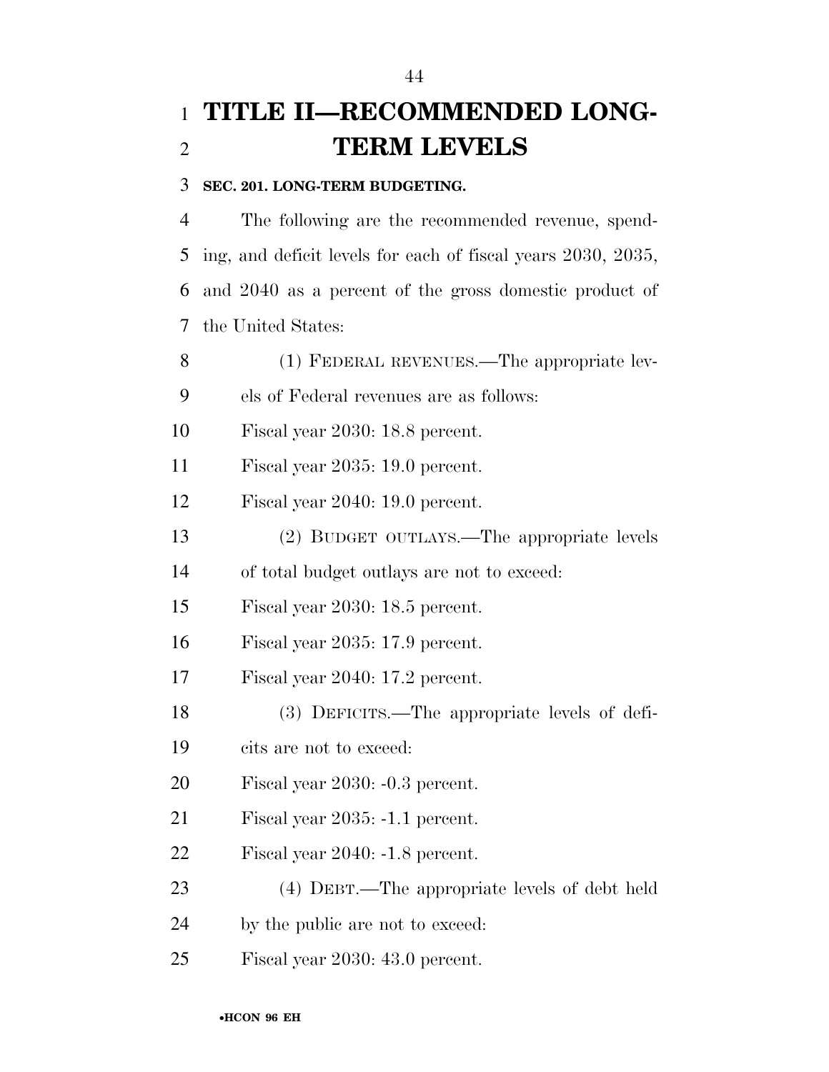# **TITLE II—RECOMMENDED LONG-TERM LEVELS**

#### **SEC. 201. LONG-TERM BUDGETING.**

 The following are the recommended revenue, spend- ing, and deficit levels for each of fiscal years 2030, 2035, and 2040 as a percent of the gross domestic product of the United States:

 (1) FEDERAL REVENUES.—The appropriate lev- els of Federal revenues are as follows: Fiscal year 2030: 18.8 percent. Fiscal year 2035: 19.0 percent. Fiscal year 2040: 19.0 percent. (2) BUDGET OUTLAYS.—The appropriate levels of total budget outlays are not to exceed: Fiscal year 2030: 18.5 percent. Fiscal year 2035: 17.9 percent. Fiscal year 2040: 17.2 percent. (3) DEFICITS.—The appropriate levels of defi- cits are not to exceed: Fiscal year 2030: -0.3 percent. Fiscal year 2035: -1.1 percent. Fiscal year 2040: -1.8 percent. (4) DEBT.—The appropriate levels of debt held by the public are not to exceed: Fiscal year 2030: 43.0 percent.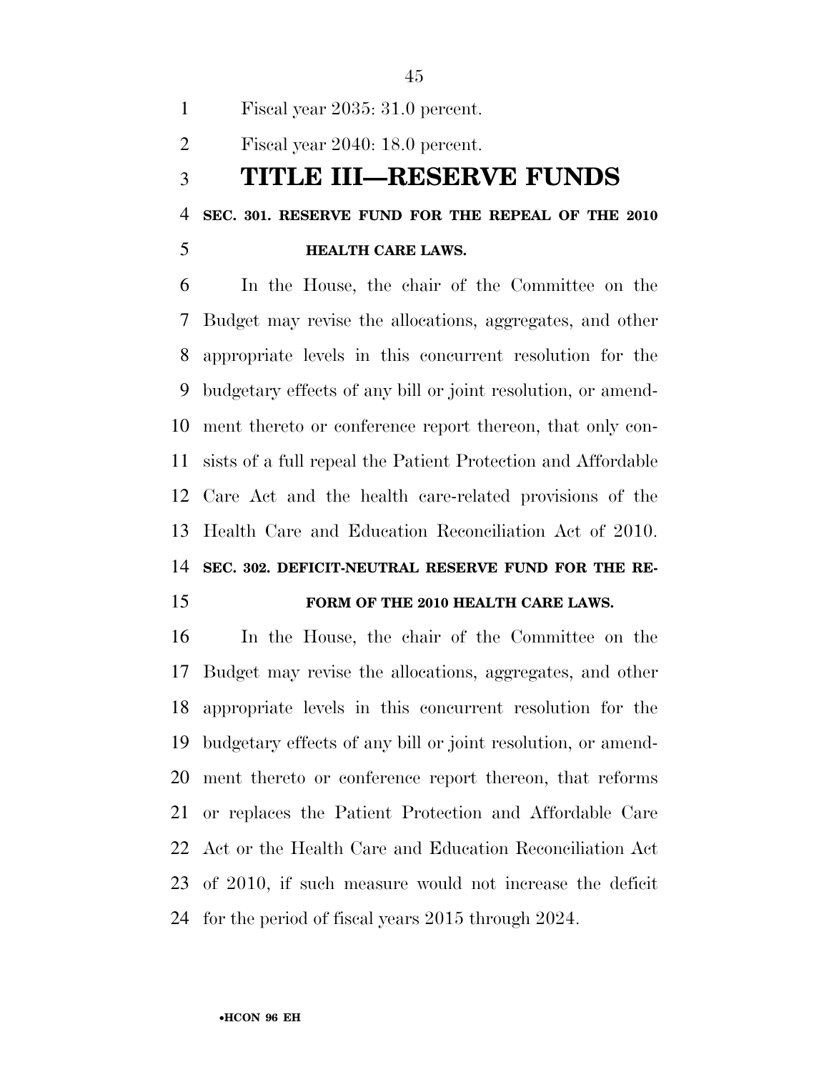Fiscal year 2035: 31.0 percent.

Fiscal year 2040: 18.0 percent.

#### **TITLE III—RESERVE FUNDS**

**SEC. 301. RESERVE FUND FOR THE REPEAL OF THE 2010** 

#### **HEALTH CARE LAWS.**

 In the House, the chair of the Committee on the Budget may revise the allocations, aggregates, and other appropriate levels in this concurrent resolution for the budgetary effects of any bill or joint resolution, or amend- ment thereto or conference report thereon, that only con- sists of a full repeal the Patient Protection and Affordable Care Act and the health care-related provisions of the Health Care and Education Reconciliation Act of 2010. **SEC. 302. DEFICIT-NEUTRAL RESERVE FUND FOR THE RE-**

#### **FORM OF THE 2010 HEALTH CARE LAWS.**

 In the House, the chair of the Committee on the Budget may revise the allocations, aggregates, and other appropriate levels in this concurrent resolution for the budgetary effects of any bill or joint resolution, or amend- ment thereto or conference report thereon, that reforms or replaces the Patient Protection and Affordable Care Act or the Health Care and Education Reconciliation Act of 2010, if such measure would not increase the deficit for the period of fiscal years 2015 through 2024.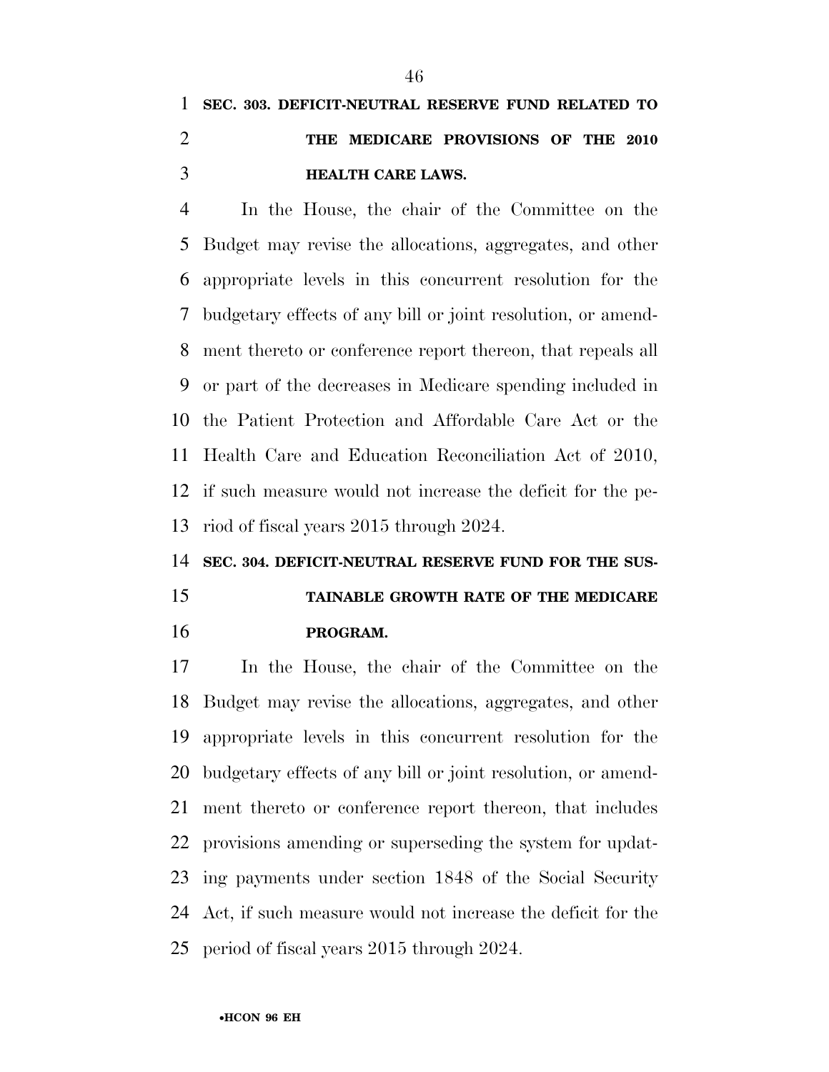# **SEC. 303. DEFICIT-NEUTRAL RESERVE FUND RELATED TO THE MEDICARE PROVISIONS OF THE 2010 HEALTH CARE LAWS.**

 In the House, the chair of the Committee on the Budget may revise the allocations, aggregates, and other appropriate levels in this concurrent resolution for the budgetary effects of any bill or joint resolution, or amend- ment thereto or conference report thereon, that repeals all or part of the decreases in Medicare spending included in the Patient Protection and Affordable Care Act or the Health Care and Education Reconciliation Act of 2010, if such measure would not increase the deficit for the pe-riod of fiscal years 2015 through 2024.

#### **SEC. 304. DEFICIT-NEUTRAL RESERVE FUND FOR THE SUS-**

# **TAINABLE GROWTH RATE OF THE MEDICARE PROGRAM.**

 In the House, the chair of the Committee on the Budget may revise the allocations, aggregates, and other appropriate levels in this concurrent resolution for the budgetary effects of any bill or joint resolution, or amend- ment thereto or conference report thereon, that includes provisions amending or superseding the system for updat- ing payments under section 1848 of the Social Security Act, if such measure would not increase the deficit for the period of fiscal years 2015 through 2024.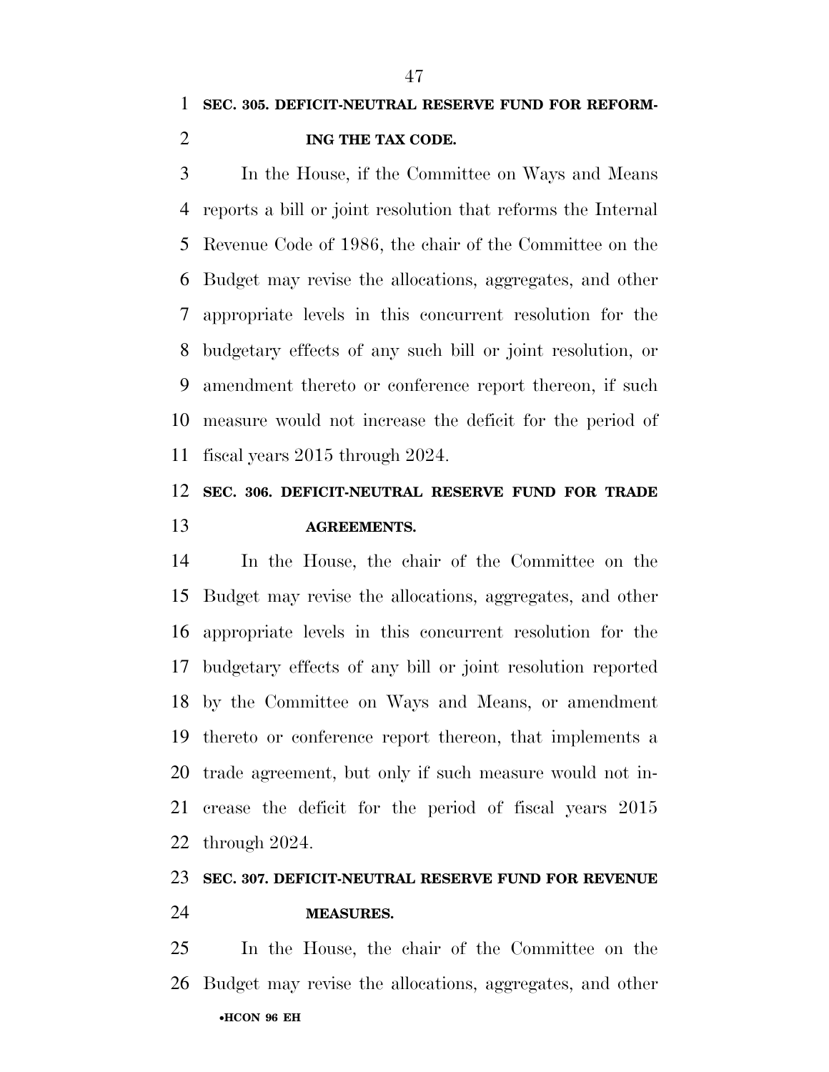In the House, if the Committee on Ways and Means reports a bill or joint resolution that reforms the Internal Revenue Code of 1986, the chair of the Committee on the Budget may revise the allocations, aggregates, and other appropriate levels in this concurrent resolution for the budgetary effects of any such bill or joint resolution, or amendment thereto or conference report thereon, if such measure would not increase the deficit for the period of fiscal years 2015 through 2024.

### **SEC. 306. DEFICIT-NEUTRAL RESERVE FUND FOR TRADE AGREEMENTS.**

 In the House, the chair of the Committee on the Budget may revise the allocations, aggregates, and other appropriate levels in this concurrent resolution for the budgetary effects of any bill or joint resolution reported by the Committee on Ways and Means, or amendment thereto or conference report thereon, that implements a trade agreement, but only if such measure would not in- crease the deficit for the period of fiscal years 2015 through 2024.

## **SEC. 307. DEFICIT-NEUTRAL RESERVE FUND FOR REVENUE**

#### **MEASURES.**

•**HCON 96 EH**  In the House, the chair of the Committee on the Budget may revise the allocations, aggregates, and other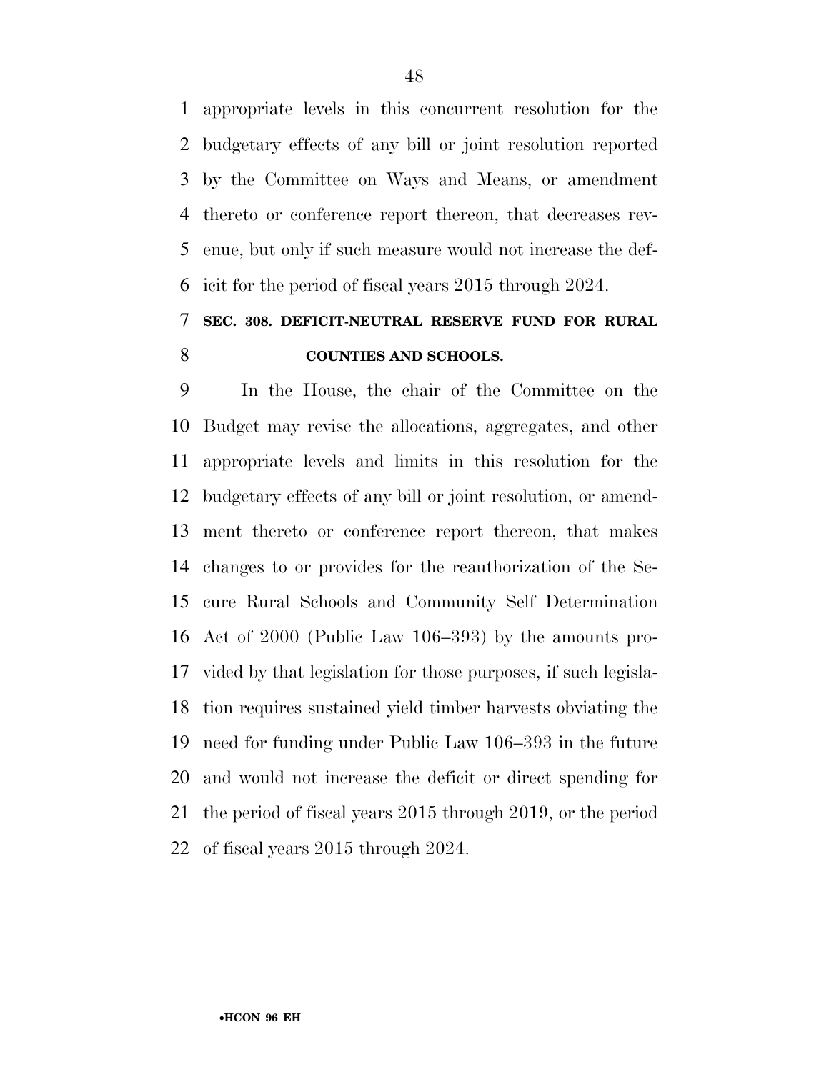appropriate levels in this concurrent resolution for the budgetary effects of any bill or joint resolution reported by the Committee on Ways and Means, or amendment thereto or conference report thereon, that decreases rev- enue, but only if such measure would not increase the def-icit for the period of fiscal years 2015 through 2024.

### **SEC. 308. DEFICIT-NEUTRAL RESERVE FUND FOR RURAL COUNTIES AND SCHOOLS.**

 In the House, the chair of the Committee on the Budget may revise the allocations, aggregates, and other appropriate levels and limits in this resolution for the budgetary effects of any bill or joint resolution, or amend- ment thereto or conference report thereon, that makes changes to or provides for the reauthorization of the Se- cure Rural Schools and Community Self Determination Act of 2000 (Public Law 106–393) by the amounts pro- vided by that legislation for those purposes, if such legisla- tion requires sustained yield timber harvests obviating the need for funding under Public Law 106–393 in the future and would not increase the deficit or direct spending for the period of fiscal years 2015 through 2019, or the period of fiscal years 2015 through 2024.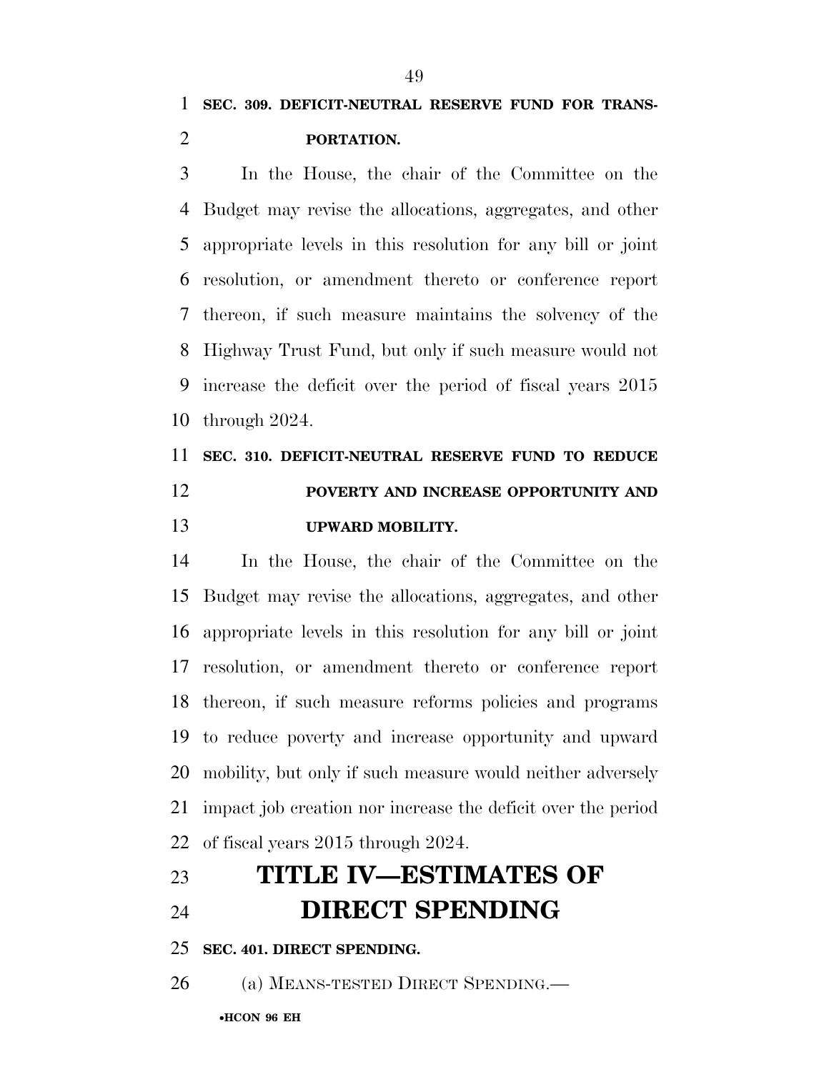**SEC. 309. DEFICIT-NEUTRAL RESERVE FUND FOR TRANS-PORTATION.** 

 In the House, the chair of the Committee on the Budget may revise the allocations, aggregates, and other appropriate levels in this resolution for any bill or joint resolution, or amendment thereto or conference report thereon, if such measure maintains the solvency of the Highway Trust Fund, but only if such measure would not increase the deficit over the period of fiscal years 2015 through 2024.

# **SEC. 310. DEFICIT-NEUTRAL RESERVE FUND TO REDUCE POVERTY AND INCREASE OPPORTUNITY AND UPWARD MOBILITY.**

 In the House, the chair of the Committee on the Budget may revise the allocations, aggregates, and other appropriate levels in this resolution for any bill or joint resolution, or amendment thereto or conference report thereon, if such measure reforms policies and programs to reduce poverty and increase opportunity and upward mobility, but only if such measure would neither adversely impact job creation nor increase the deficit over the period of fiscal years 2015 through 2024.

# **TITLE IV—ESTIMATES OF DIRECT SPENDING**

**SEC. 401. DIRECT SPENDING.** 

(a) MEANS-TESTED DIRECT SPENDING.—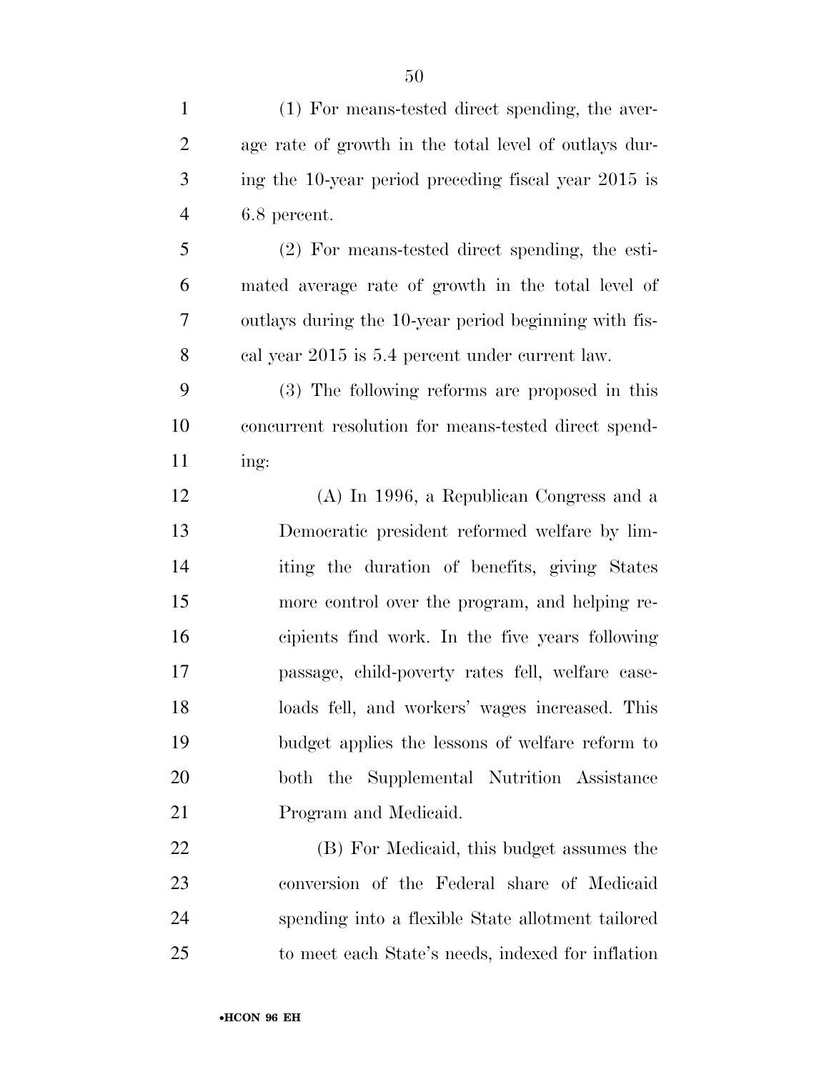| $\mathbf{1}$   | (1) For means-tested direct spending, the aver-       |
|----------------|-------------------------------------------------------|
| $\overline{2}$ | age rate of growth in the total level of outlays dur- |
| 3              | ing the 10-year period preceding fiscal year 2015 is  |
| $\overline{4}$ | 6.8 percent.                                          |
| 5              | $(2)$ For means-tested direct spending, the esti-     |
| 6              | mated average rate of growth in the total level of    |
| 7              | outlays during the 10-year period beginning with fis- |
| 8              | cal year 2015 is 5.4 percent under current law.       |
| 9              | (3) The following reforms are proposed in this        |
| 10             | concurrent resolution for means-tested direct spend-  |
| 11             | ing:                                                  |
| 12             | $(A)$ In 1996, a Republican Congress and a            |
| 13             | Democratic president reformed welfare by lim-         |
| 14             | iting the duration of benefits, giving States         |
| 15             | more control over the program, and helping re-        |
| 16             | cipients find work. In the five years following       |
| 17             | passage, child-poverty rates fell, welfare case-      |
| 18             | loads fell, and workers' wages increased. This        |
| 19             | budget applies the lessons of welfare reform to       |
| 20             | both the Supplemental Nutrition Assistance            |
| 21             | Program and Medicaid.                                 |
| 22             | (B) For Medicaid, this budget assumes the             |
| 23             | conversion of the Federal share of Medicaid           |
| 24             | spending into a flexible State allotment tailored     |
| 25             | to meet each State's needs, indexed for inflation     |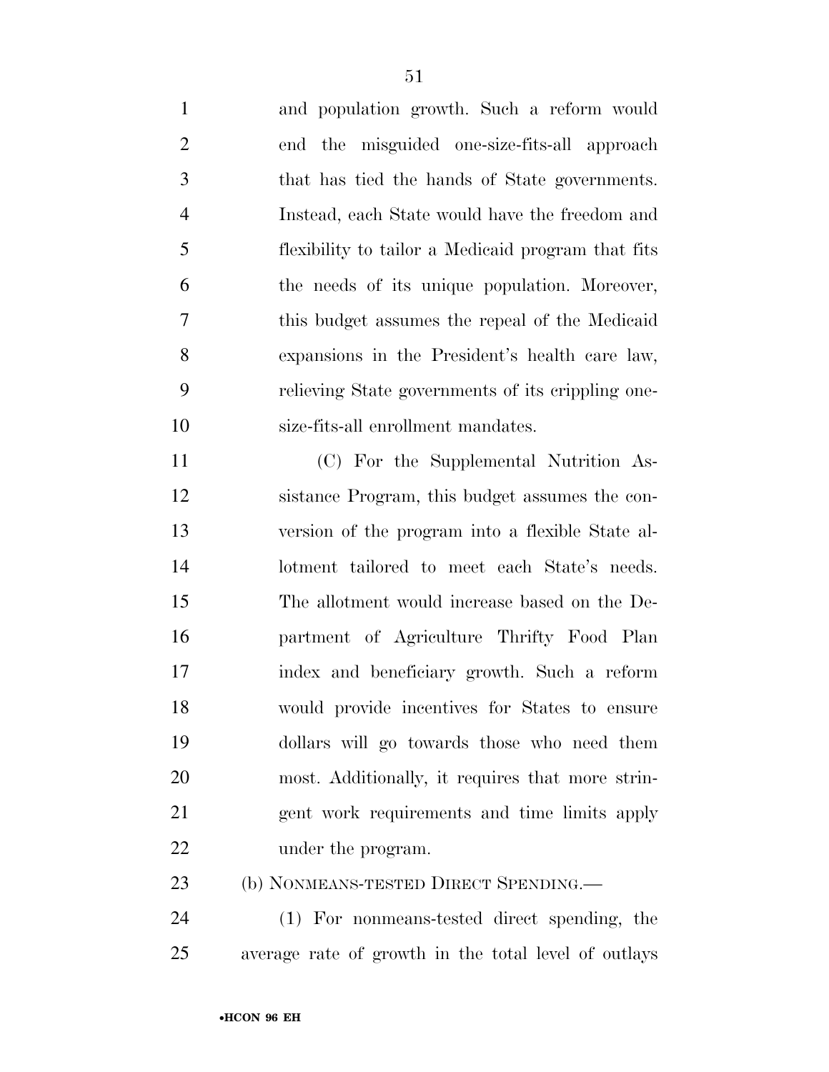and population growth. Such a reform would end the misguided one-size-fits-all approach that has tied the hands of State governments. Instead, each State would have the freedom and flexibility to tailor a Medicaid program that fits the needs of its unique population. Moreover, this budget assumes the repeal of the Medicaid expansions in the President's health care law, relieving State governments of its crippling one- size-fits-all enrollment mandates. (C) For the Supplemental Nutrition As-

 sistance Program, this budget assumes the con- version of the program into a flexible State al- lotment tailored to meet each State's needs. The allotment would increase based on the De- partment of Agriculture Thrifty Food Plan index and beneficiary growth. Such a reform would provide incentives for States to ensure dollars will go towards those who need them most. Additionally, it requires that more strin- gent work requirements and time limits apply 22 under the program.

(b) NONMEANS-TESTED DIRECT SPENDING.—

 (1) For nonmeans-tested direct spending, the average rate of growth in the total level of outlays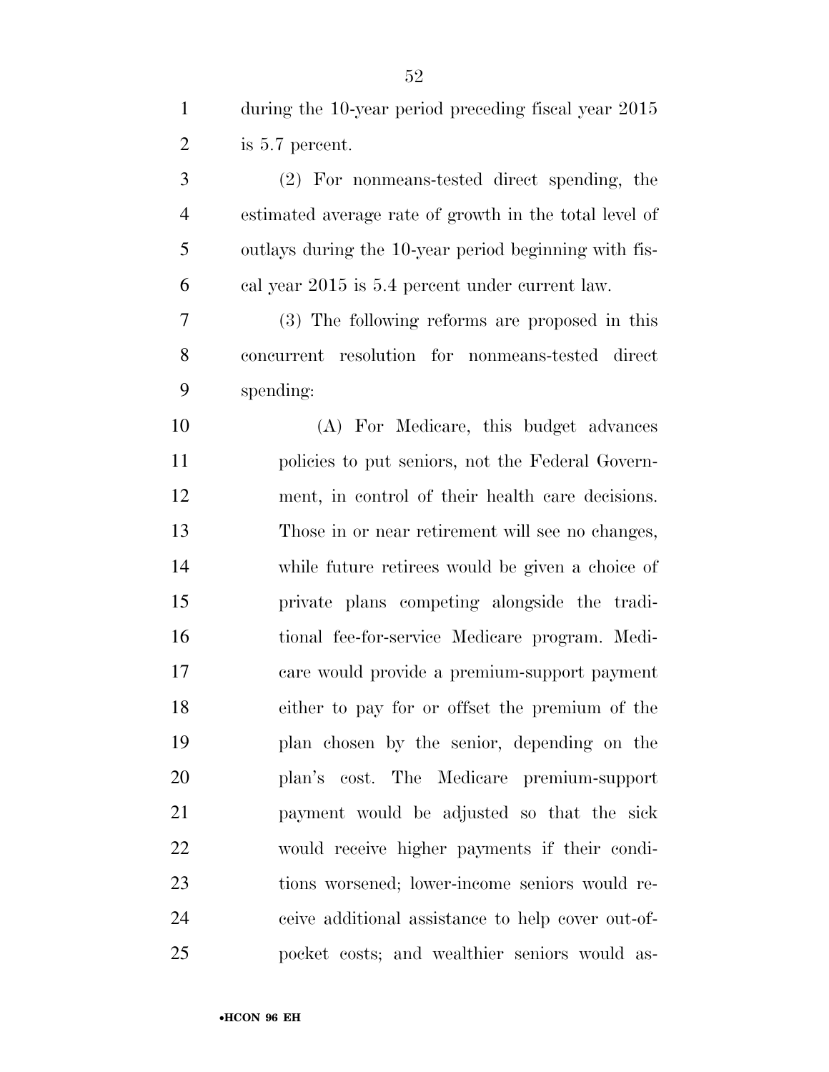| $\mathbf{1}$   | during the 10-year period preceding fiscal year 2015   |
|----------------|--------------------------------------------------------|
| $\overline{2}$ | is 5.7 percent.                                        |
| 3              | (2) For nonmeans-tested direct spending, the           |
| $\overline{4}$ | estimated average rate of growth in the total level of |
| 5              | outlays during the 10-year period beginning with fis-  |
| 6              | cal year 2015 is 5.4 percent under current law.        |
| 7              | (3) The following reforms are proposed in this         |
| 8              | concurrent resolution for nonmeans-tested direct       |
| 9              | spending:                                              |
| 10             | (A) For Medicare, this budget advances                 |
| 11             | policies to put seniors, not the Federal Govern-       |
| 12             | ment, in control of their health care decisions.       |
| 13             | Those in or near retirement will see no changes,       |
| 14             | while future retirees would be given a choice of       |
| 15             | private plans competing alongside the tradi-           |
| 16             | tional fee-for-service Medicare program. Medi-         |
| 17             | care would provide a premium-support payment           |
| 18             | either to pay for or offset the premium of the         |
| 19             | plan chosen by the senior, depending on the            |
| 20             | plan's cost. The Medicare premium-support              |
| 21             | payment would be adjusted so that the sick             |
| 22             | would receive higher payments if their condi-          |
| 23             | tions worsened; lower-income seniors would re-         |
| 24             | ceive additional assistance to help cover out-of-      |
| 25             | pocket costs; and wealthier seniors would as-          |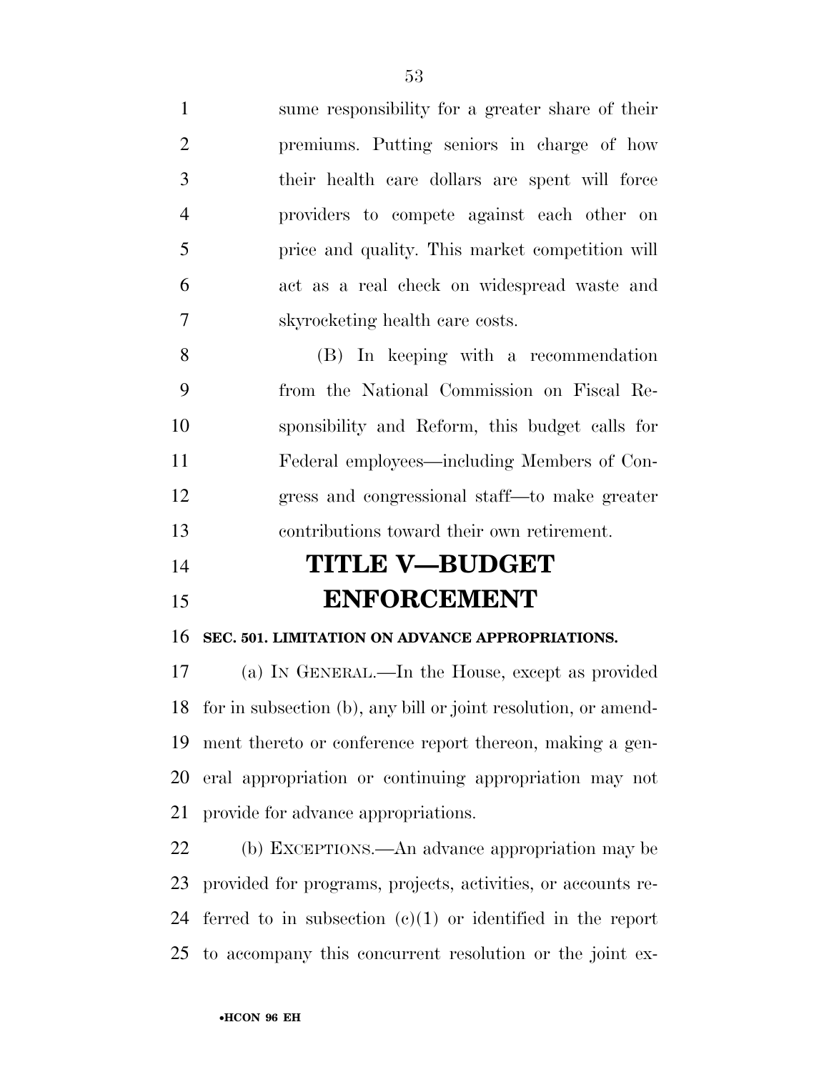sume responsibility for a greater share of their premiums. Putting seniors in charge of how their health care dollars are spent will force providers to compete against each other on price and quality. This market competition will act as a real check on widespread waste and skyrocketing health care costs.

 (B) In keeping with a recommendation from the National Commission on Fiscal Re- sponsibility and Reform, this budget calls for Federal employees—including Members of Con- gress and congressional staff—to make greater contributions toward their own retirement.

# **TITLE V—BUDGET ENFORCEMENT**

#### **SEC. 501. LIMITATION ON ADVANCE APPROPRIATIONS.**

 (a) IN GENERAL.—In the House, except as provided for in subsection (b), any bill or joint resolution, or amend- ment thereto or conference report thereon, making a gen- eral appropriation or continuing appropriation may not provide for advance appropriations.

 (b) EXCEPTIONS.—An advance appropriation may be provided for programs, projects, activities, or accounts re- ferred to in subsection (c)(1) or identified in the report to accompany this concurrent resolution or the joint ex-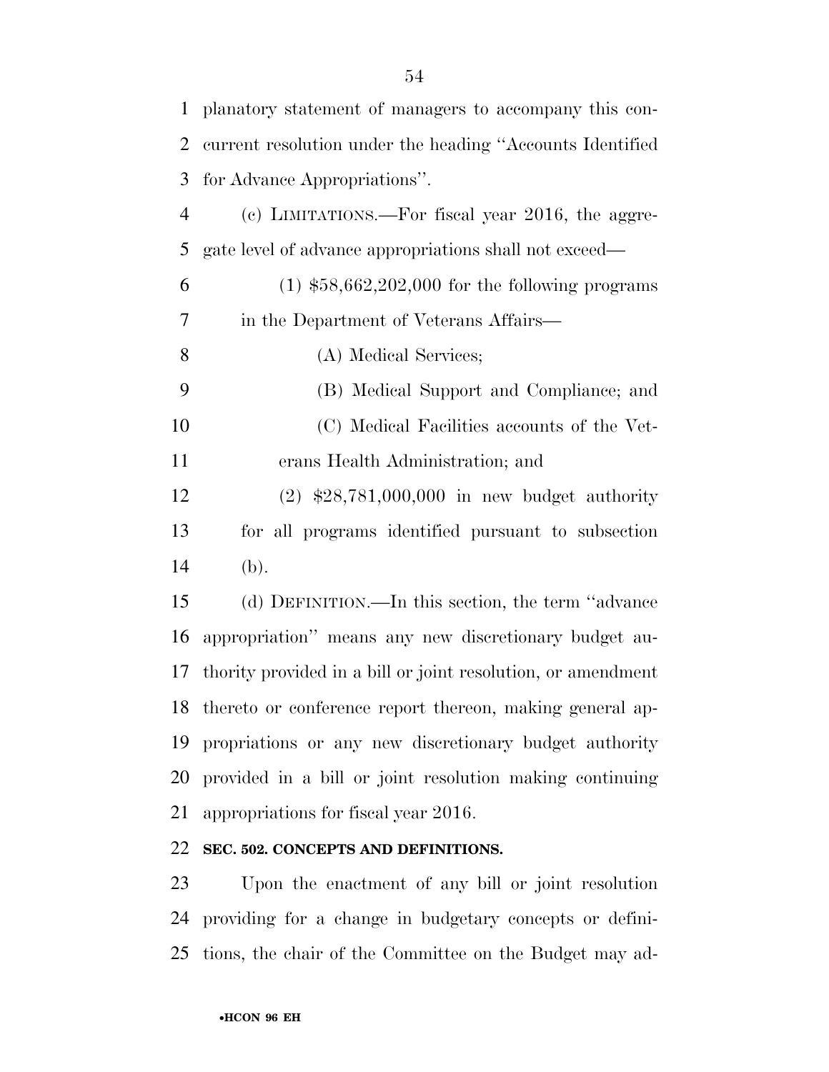| $\mathbf{1}$   | planatory statement of managers to accompany this con-       |
|----------------|--------------------------------------------------------------|
| $\overline{2}$ | current resolution under the heading "Accounts Identified    |
| 3              | for Advance Appropriations".                                 |
| $\overline{4}$ | (c) LIMITATIONS.—For fiscal year $2016$ , the aggre-         |
| 5              | gate level of advance appropriations shall not exceed—       |
| 6              | $(1)$ \$58,662,202,000 for the following programs            |
| 7              | in the Department of Veterans Affairs—                       |
| 8              | (A) Medical Services;                                        |
| 9              | (B) Medical Support and Compliance; and                      |
| 10             | (C) Medical Facilities accounts of the Vet-                  |
| 11             | erans Health Administration; and                             |
| 12             | $(2)$ \$28,781,000,000 in new budget authority               |
| 13             | for all programs identified pursuant to subsection           |
| 14             | (b).                                                         |
| 15             | (d) DEFINITION.—In this section, the term "advance           |
| 16             | appropriation" means any new discretionary budget au-        |
| 17             | thority provided in a bill or joint resolution, or amendment |
|                | 18 thereto or conference report thereon, making general ap-  |
| 19             | propriations or any new discretionary budget authority       |
| 20             | provided in a bill or joint resolution making continuing     |
| 21             | appropriations for fiscal year 2016.                         |
| 22             | SEC. 502. CONCEPTS AND DEFINITIONS.                          |

 Upon the enactment of any bill or joint resolution providing for a change in budgetary concepts or defini-tions, the chair of the Committee on the Budget may ad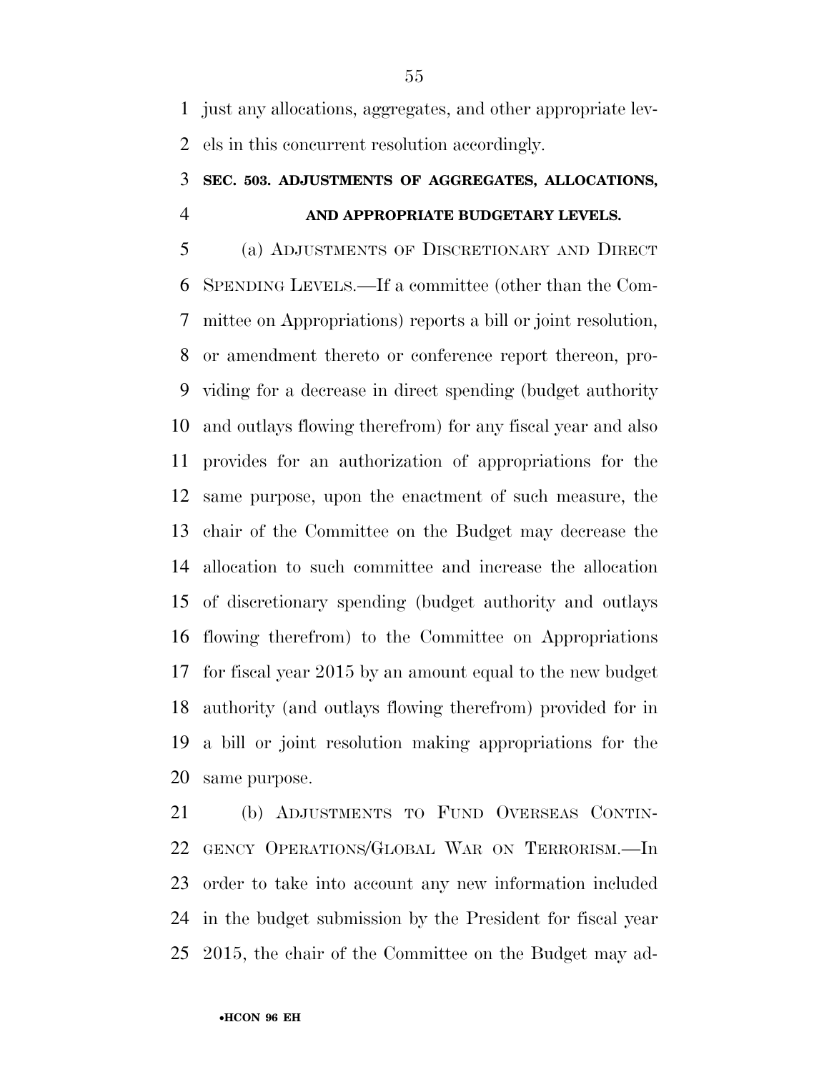just any allocations, aggregates, and other appropriate lev-els in this concurrent resolution accordingly.

### **SEC. 503. ADJUSTMENTS OF AGGREGATES, ALLOCATIONS, AND APPROPRIATE BUDGETARY LEVELS.**

 (a) ADJUSTMENTS OF DISCRETIONARY AND DIRECT SPENDING LEVELS.—If a committee (other than the Com- mittee on Appropriations) reports a bill or joint resolution, or amendment thereto or conference report thereon, pro- viding for a decrease in direct spending (budget authority and outlays flowing therefrom) for any fiscal year and also provides for an authorization of appropriations for the same purpose, upon the enactment of such measure, the chair of the Committee on the Budget may decrease the allocation to such committee and increase the allocation of discretionary spending (budget authority and outlays flowing therefrom) to the Committee on Appropriations for fiscal year 2015 by an amount equal to the new budget authority (and outlays flowing therefrom) provided for in a bill or joint resolution making appropriations for the same purpose.

 (b) ADJUSTMENTS TO FUND OVERSEAS CONTIN- GENCY OPERATIONS/GLOBAL WAR ON TERRORISM.—In order to take into account any new information included in the budget submission by the President for fiscal year 2015, the chair of the Committee on the Budget may ad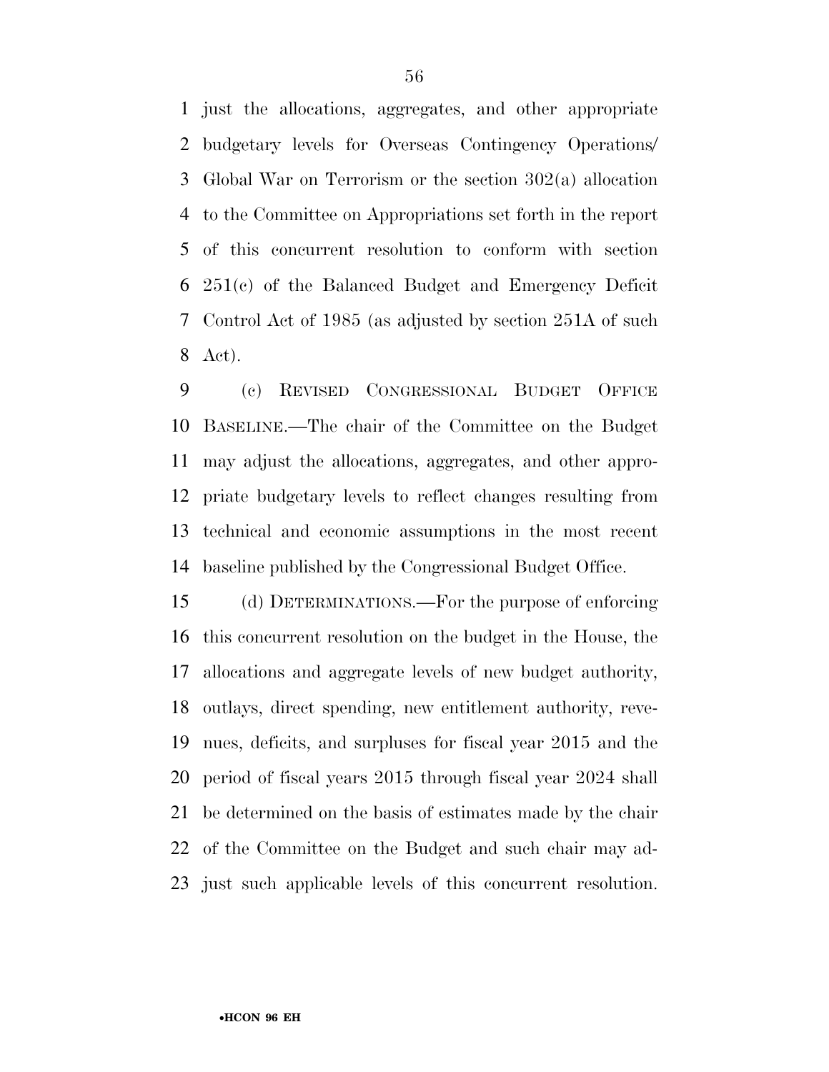just the allocations, aggregates, and other appropriate budgetary levels for Overseas Contingency Operations/ Global War on Terrorism or the section 302(a) allocation to the Committee on Appropriations set forth in the report of this concurrent resolution to conform with section 251(c) of the Balanced Budget and Emergency Deficit Control Act of 1985 (as adjusted by section 251A of such Act).

 (c) REVISED CONGRESSIONAL BUDGET OFFICE BASELINE.—The chair of the Committee on the Budget may adjust the allocations, aggregates, and other appro- priate budgetary levels to reflect changes resulting from technical and economic assumptions in the most recent baseline published by the Congressional Budget Office.

 (d) DETERMINATIONS.—For the purpose of enforcing this concurrent resolution on the budget in the House, the allocations and aggregate levels of new budget authority, outlays, direct spending, new entitlement authority, reve- nues, deficits, and surpluses for fiscal year 2015 and the period of fiscal years 2015 through fiscal year 2024 shall be determined on the basis of estimates made by the chair of the Committee on the Budget and such chair may ad-just such applicable levels of this concurrent resolution.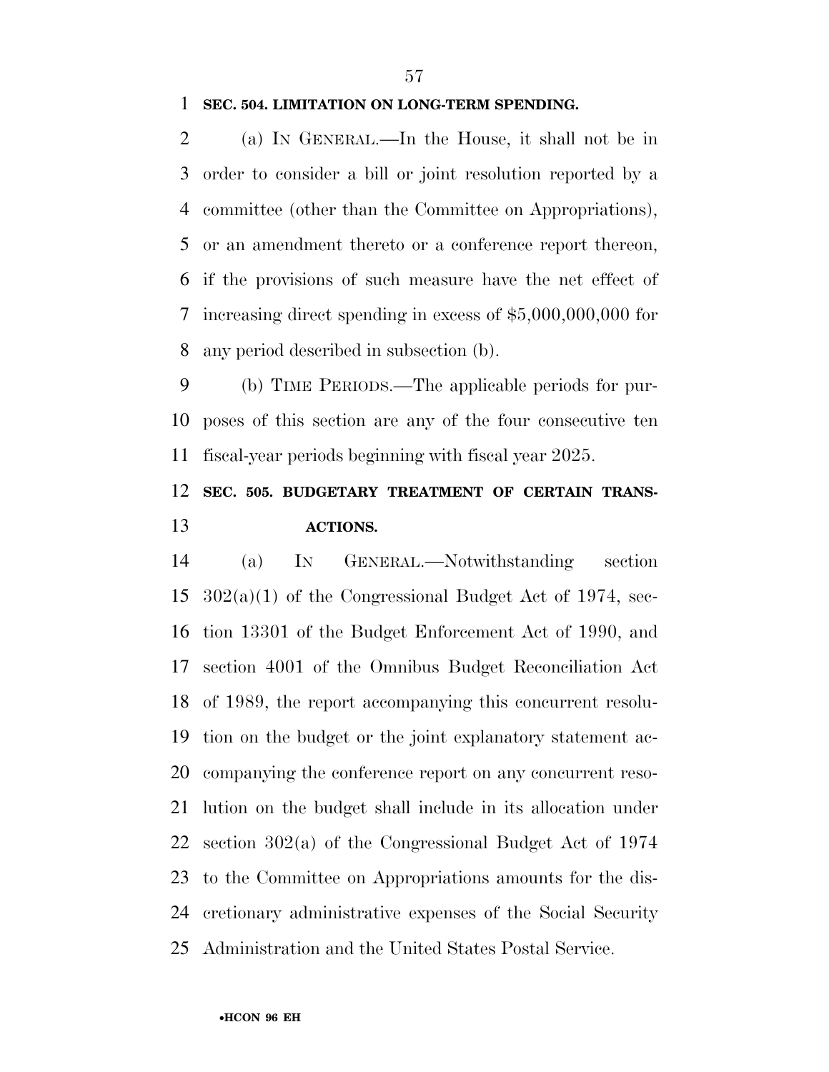#### **SEC. 504. LIMITATION ON LONG-TERM SPENDING.**

 (a) IN GENERAL.—In the House, it shall not be in order to consider a bill or joint resolution reported by a committee (other than the Committee on Appropriations), or an amendment thereto or a conference report thereon, if the provisions of such measure have the net effect of increasing direct spending in excess of \$5,000,000,000 for any period described in subsection (b).

 (b) TIME PERIODS.—The applicable periods for pur- poses of this section are any of the four consecutive ten fiscal-year periods beginning with fiscal year 2025.

### **SEC. 505. BUDGETARY TREATMENT OF CERTAIN TRANS-ACTIONS.**

 (a) IN GENERAL.—Notwithstanding section  $302(a)(1)$  of the Congressional Budget Act of 1974, sec- tion 13301 of the Budget Enforcement Act of 1990, and section 4001 of the Omnibus Budget Reconciliation Act of 1989, the report accompanying this concurrent resolu- tion on the budget or the joint explanatory statement ac- companying the conference report on any concurrent reso- lution on the budget shall include in its allocation under section 302(a) of the Congressional Budget Act of 1974 to the Committee on Appropriations amounts for the dis- cretionary administrative expenses of the Social Security Administration and the United States Postal Service.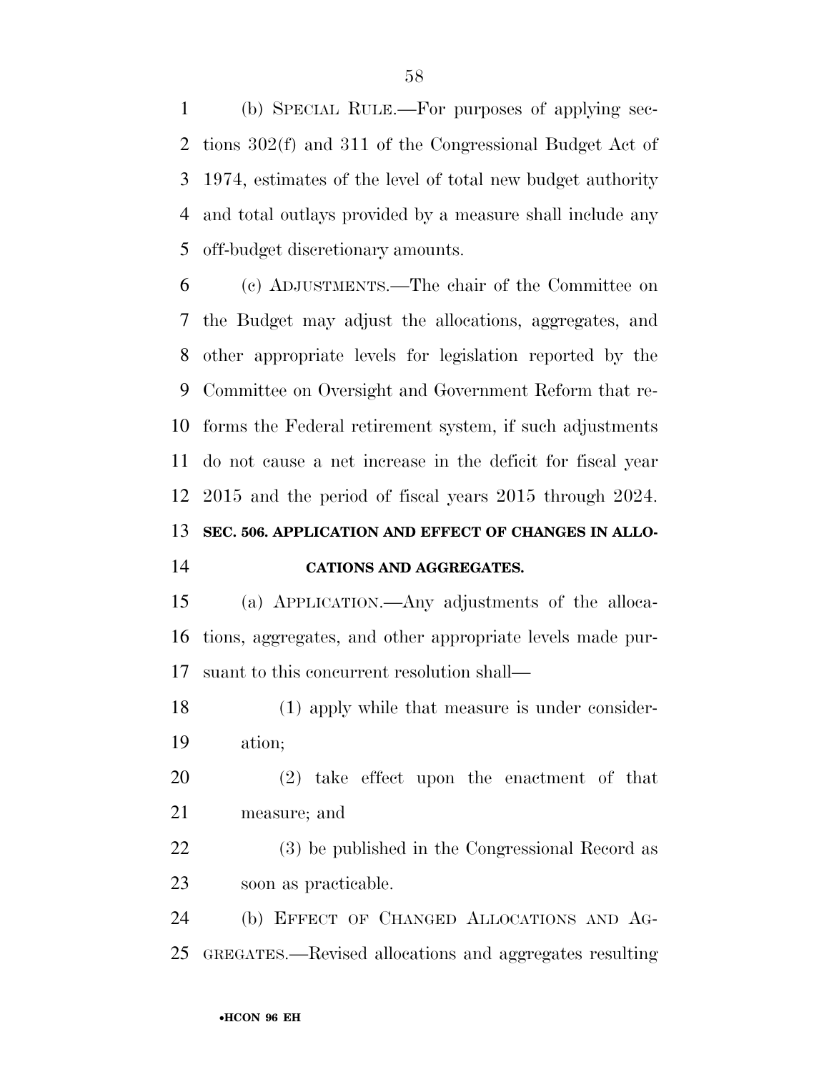(b) SPECIAL RULE.—For purposes of applying sec- tions 302(f) and 311 of the Congressional Budget Act of 1974, estimates of the level of total new budget authority and total outlays provided by a measure shall include any off-budget discretionary amounts.

 (c) ADJUSTMENTS.—The chair of the Committee on the Budget may adjust the allocations, aggregates, and other appropriate levels for legislation reported by the Committee on Oversight and Government Reform that re- forms the Federal retirement system, if such adjustments do not cause a net increase in the deficit for fiscal year 2015 and the period of fiscal years 2015 through 2024. **SEC. 506. APPLICATION AND EFFECT OF CHANGES IN ALLO-**

#### **CATIONS AND AGGREGATES.**

 (a) APPLICATION.—Any adjustments of the alloca- tions, aggregates, and other appropriate levels made pur-suant to this concurrent resolution shall—

 (1) apply while that measure is under consider-ation;

 (2) take effect upon the enactment of that measure; and

 (3) be published in the Congressional Record as soon as practicable.

 (b) EFFECT OF CHANGED ALLOCATIONS AND AG-GREGATES.—Revised allocations and aggregates resulting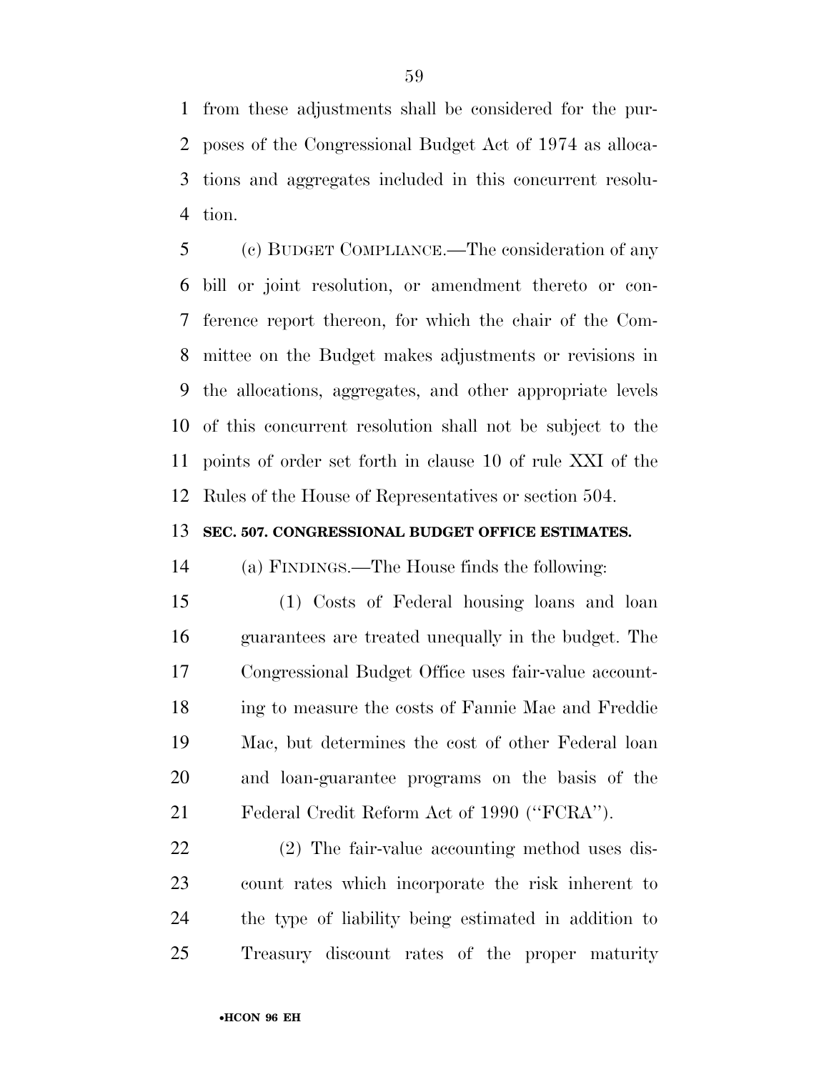from these adjustments shall be considered for the pur- poses of the Congressional Budget Act of 1974 as alloca- tions and aggregates included in this concurrent resolu-tion.

 (c) BUDGET COMPLIANCE.—The consideration of any bill or joint resolution, or amendment thereto or con- ference report thereon, for which the chair of the Com- mittee on the Budget makes adjustments or revisions in the allocations, aggregates, and other appropriate levels of this concurrent resolution shall not be subject to the points of order set forth in clause 10 of rule XXI of the Rules of the House of Representatives or section 504.

#### **SEC. 507. CONGRESSIONAL BUDGET OFFICE ESTIMATES.**

(a) FINDINGS.—The House finds the following:

 (1) Costs of Federal housing loans and loan guarantees are treated unequally in the budget. The Congressional Budget Office uses fair-value account- ing to measure the costs of Fannie Mae and Freddie Mac, but determines the cost of other Federal loan and loan-guarantee programs on the basis of the Federal Credit Reform Act of 1990 (''FCRA'').

 (2) The fair-value accounting method uses dis- count rates which incorporate the risk inherent to the type of liability being estimated in addition to Treasury discount rates of the proper maturity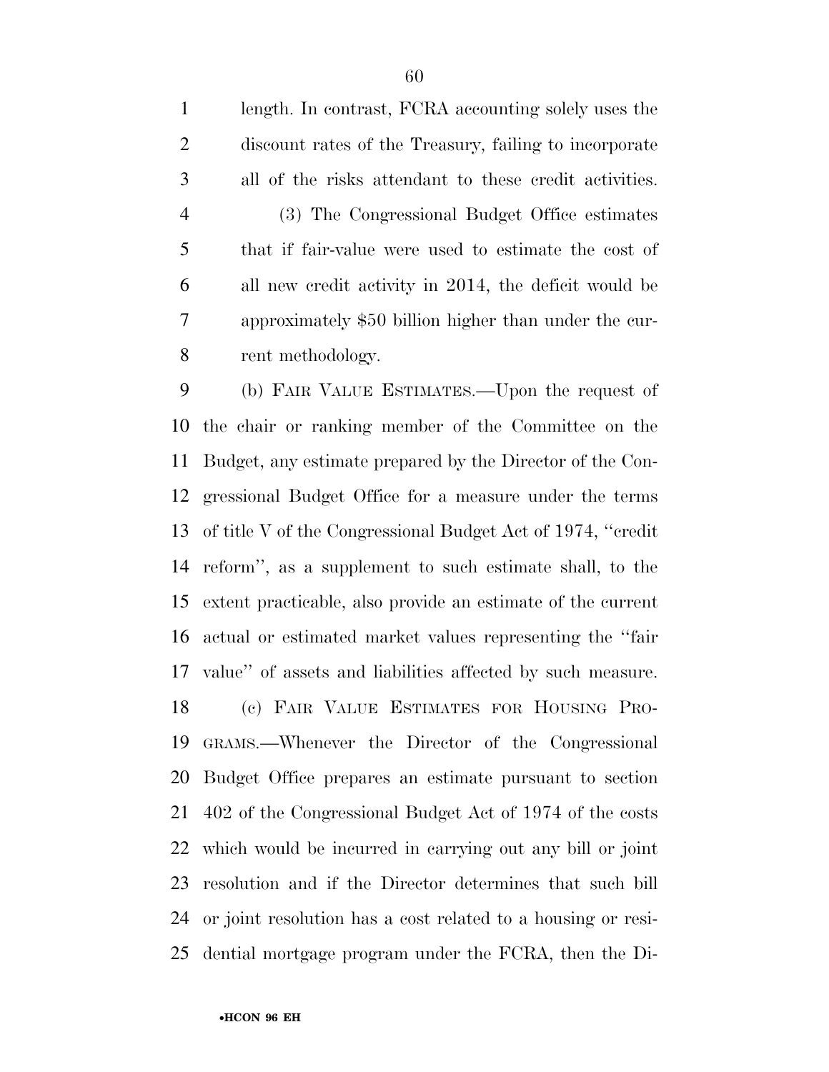length. In contrast, FCRA accounting solely uses the discount rates of the Treasury, failing to incorporate all of the risks attendant to these credit activities.

 (3) The Congressional Budget Office estimates that if fair-value were used to estimate the cost of all new credit activity in 2014, the deficit would be approximately \$50 billion higher than under the cur-rent methodology.

 (b) FAIR VALUE ESTIMATES.—Upon the request of the chair or ranking member of the Committee on the Budget, any estimate prepared by the Director of the Con- gressional Budget Office for a measure under the terms of title V of the Congressional Budget Act of 1974, ''credit reform'', as a supplement to such estimate shall, to the extent practicable, also provide an estimate of the current actual or estimated market values representing the ''fair value'' of assets and liabilities affected by such measure. (c) FAIR VALUE ESTIMATES FOR HOUSING PRO- GRAMS.—Whenever the Director of the Congressional Budget Office prepares an estimate pursuant to section 402 of the Congressional Budget Act of 1974 of the costs which would be incurred in carrying out any bill or joint resolution and if the Director determines that such bill or joint resolution has a cost related to a housing or resi-dential mortgage program under the FCRA, then the Di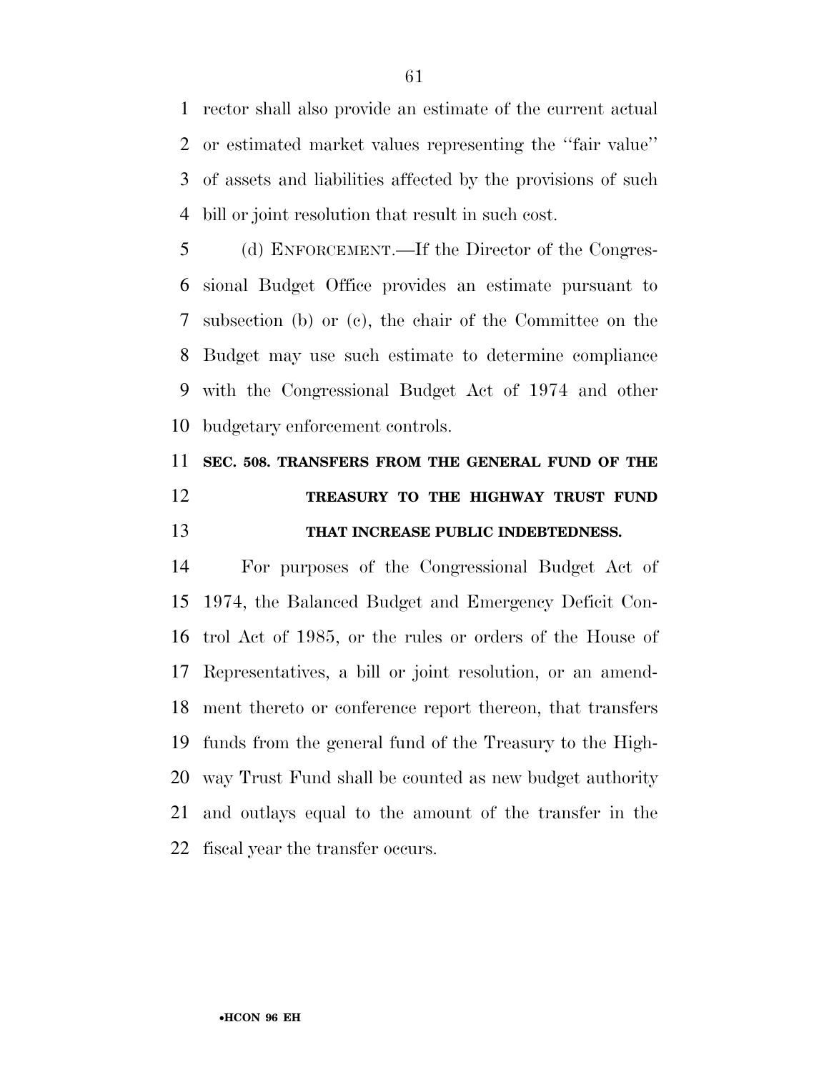rector shall also provide an estimate of the current actual or estimated market values representing the ''fair value'' of assets and liabilities affected by the provisions of such bill or joint resolution that result in such cost.

 (d) ENFORCEMENT.—If the Director of the Congres- sional Budget Office provides an estimate pursuant to subsection (b) or (c), the chair of the Committee on the Budget may use such estimate to determine compliance with the Congressional Budget Act of 1974 and other budgetary enforcement controls.

# **SEC. 508. TRANSFERS FROM THE GENERAL FUND OF THE TREASURY TO THE HIGHWAY TRUST FUND THAT INCREASE PUBLIC INDEBTEDNESS.**

 For purposes of the Congressional Budget Act of 1974, the Balanced Budget and Emergency Deficit Con- trol Act of 1985, or the rules or orders of the House of Representatives, a bill or joint resolution, or an amend- ment thereto or conference report thereon, that transfers funds from the general fund of the Treasury to the High- way Trust Fund shall be counted as new budget authority and outlays equal to the amount of the transfer in the fiscal year the transfer occurs.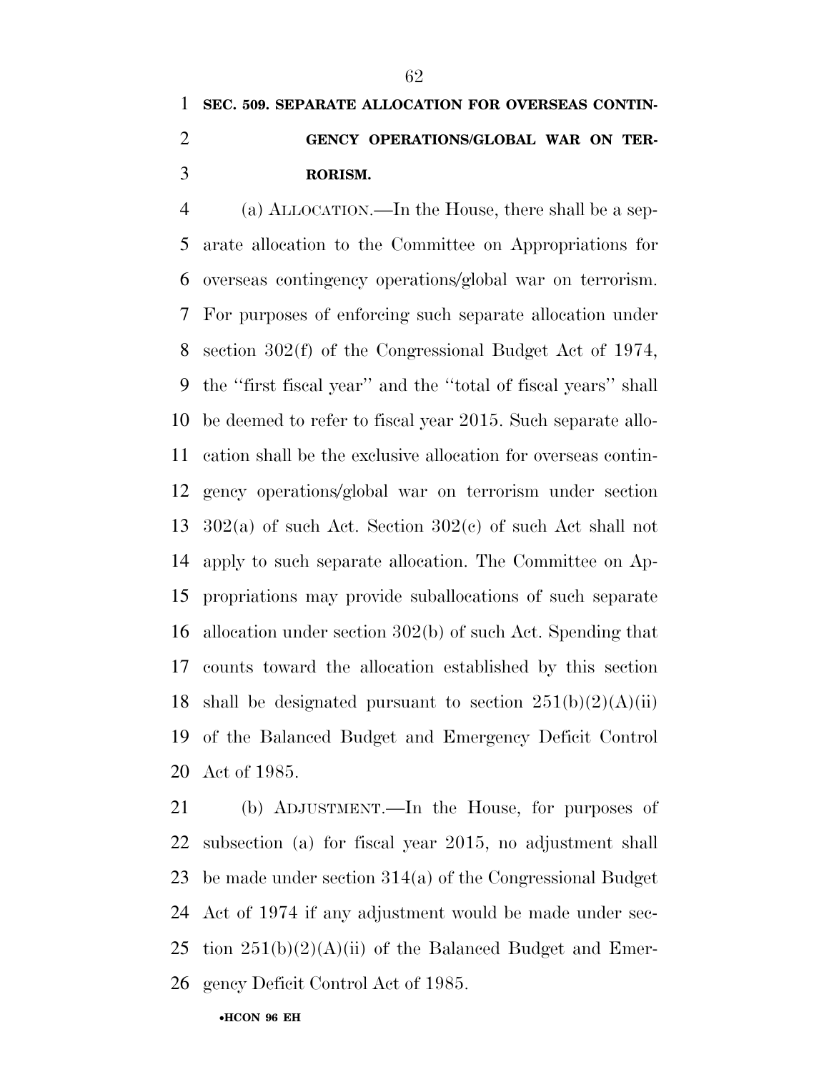## **SEC. 509. SEPARATE ALLOCATION FOR OVERSEAS CONTIN- GENCY OPERATIONS/GLOBAL WAR ON TER-RORISM.**

 (a) ALLOCATION.—In the House, there shall be a sep- arate allocation to the Committee on Appropriations for overseas contingency operations/global war on terrorism. For purposes of enforcing such separate allocation under section 302(f) of the Congressional Budget Act of 1974, the ''first fiscal year'' and the ''total of fiscal years'' shall be deemed to refer to fiscal year 2015. Such separate allo- cation shall be the exclusive allocation for overseas contin- gency operations/global war on terrorism under section 302(a) of such Act. Section 302(c) of such Act shall not apply to such separate allocation. The Committee on Ap- propriations may provide suballocations of such separate allocation under section 302(b) of such Act. Spending that counts toward the allocation established by this section 18 shall be designated pursuant to section  $251(b)(2)(A)(ii)$  of the Balanced Budget and Emergency Deficit Control Act of 1985.

 (b) ADJUSTMENT.—In the House, for purposes of subsection (a) for fiscal year 2015, no adjustment shall be made under section 314(a) of the Congressional Budget Act of 1974 if any adjustment would be made under sec-25 tion  $251(b)(2)(A)(ii)$  of the Balanced Budget and Emer-gency Deficit Control Act of 1985.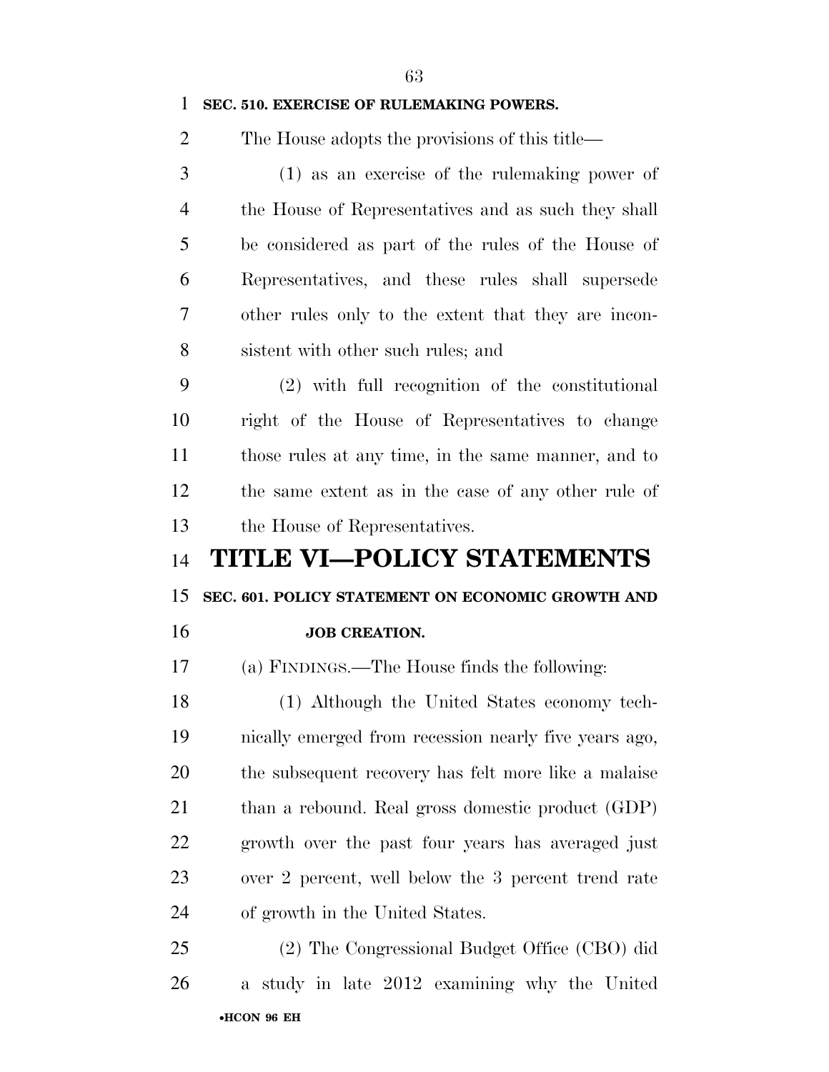**SEC. 510. EXERCISE OF RULEMAKING POWERS.**  The House adopts the provisions of this title— (1) as an exercise of the rulemaking power of the House of Representatives and as such they shall be considered as part of the rules of the House of Representatives, and these rules shall supersede other rules only to the extent that they are incon- sistent with other such rules; and (2) with full recognition of the constitutional right of the House of Representatives to change those rules at any time, in the same manner, and to the same extent as in the case of any other rule of the House of Representatives. **TITLE VI—POLICY STATEMENTS SEC. 601. POLICY STATEMENT ON ECONOMIC GROWTH AND JOB CREATION.**  (a) FINDINGS.—The House finds the following: (1) Although the United States economy tech- nically emerged from recession nearly five years ago, the subsequent recovery has felt more like a malaise than a rebound. Real gross domestic product (GDP) growth over the past four years has averaged just over 2 percent, well below the 3 percent trend rate of growth in the United States. (2) The Congressional Budget Office (CBO) did

•**HCON 96 EH**  a study in late 2012 examining why the United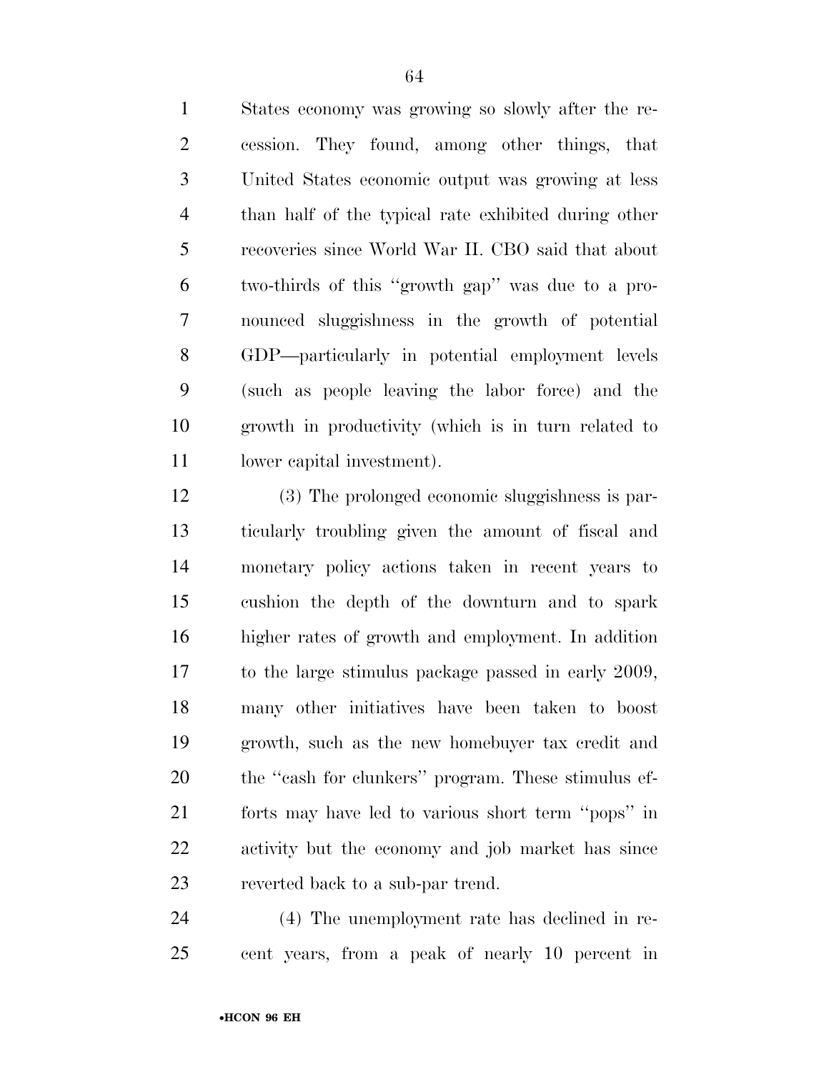States economy was growing so slowly after the re- cession. They found, among other things, that United States economic output was growing at less than half of the typical rate exhibited during other recoveries since World War II. CBO said that about two-thirds of this ''growth gap'' was due to a pro- nounced sluggishness in the growth of potential GDP—particularly in potential employment levels (such as people leaving the labor force) and the growth in productivity (which is in turn related to lower capital investment).

 (3) The prolonged economic sluggishness is par- ticularly troubling given the amount of fiscal and monetary policy actions taken in recent years to cushion the depth of the downturn and to spark higher rates of growth and employment. In addition to the large stimulus package passed in early 2009, many other initiatives have been taken to boost growth, such as the new homebuyer tax credit and 20 the "cash for clunkers" program. These stimulus ef- forts may have led to various short term ''pops'' in activity but the economy and job market has since reverted back to a sub-par trend.

 (4) The unemployment rate has declined in re-cent years, from a peak of nearly 10 percent in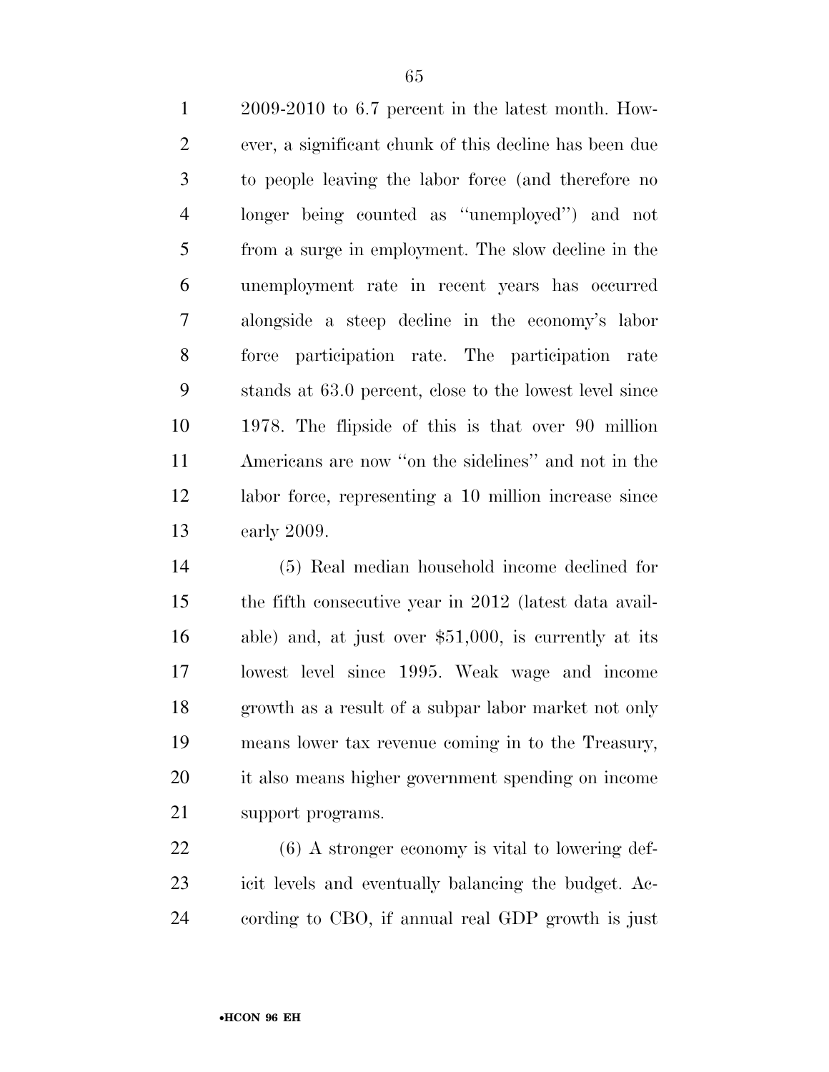2009-2010 to 6.7 percent in the latest month. How- ever, a significant chunk of this decline has been due to people leaving the labor force (and therefore no longer being counted as ''unemployed'') and not from a surge in employment. The slow decline in the unemployment rate in recent years has occurred alongside a steep decline in the economy's labor force participation rate. The participation rate stands at 63.0 percent, close to the lowest level since 1978. The flipside of this is that over 90 million Americans are now ''on the sidelines'' and not in the labor force, representing a 10 million increase since early 2009.

 (5) Real median household income declined for the fifth consecutive year in 2012 (latest data avail- able) and, at just over \$51,000, is currently at its lowest level since 1995. Weak wage and income growth as a result of a subpar labor market not only means lower tax revenue coming in to the Treasury, it also means higher government spending on income support programs.

 (6) A stronger economy is vital to lowering def- icit levels and eventually balancing the budget. Ac-cording to CBO, if annual real GDP growth is just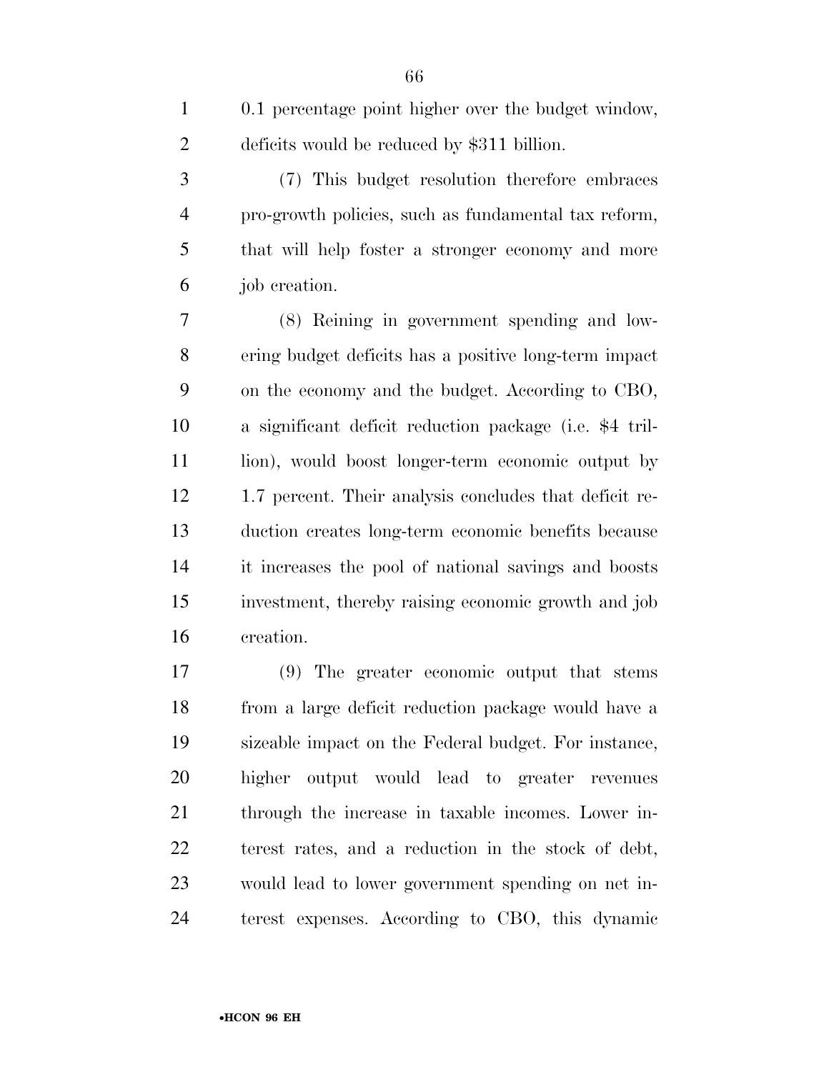| $\mathbf{1}$   | 0.1 percentage point higher over the budget window,     |
|----------------|---------------------------------------------------------|
| $\overline{2}$ | deficits would be reduced by \$311 billion.             |
| 3              | (7) This budget resolution therefore embraces           |
| $\overline{4}$ | pro-growth policies, such as fundamental tax reform,    |
| 5              | that will help foster a stronger economy and more       |
| 6              | job creation.                                           |
| 7              | (8) Reining in government spending and low-             |
| $8\,$          | ering budget deficits has a positive long-term impact   |
| 9              | on the economy and the budget. According to CBO,        |
| 10             | a significant deficit reduction package (i.e. \$4 tril- |
| 11             | lion), would boost longer-term economic output by       |
| 12             | 1.7 percent. Their analysis concludes that deficit re-  |
| 13             | duction creates long-term economic benefits because     |
| 14             | it increases the pool of national savings and boosts    |
| 15             | investment, thereby raising economic growth and job     |
| 16             | creation.                                               |
| 17             | (9) The greater economic output that stems              |

 from a large deficit reduction package would have a sizeable impact on the Federal budget. For instance, higher output would lead to greater revenues through the increase in taxable incomes. Lower in- terest rates, and a reduction in the stock of debt, would lead to lower government spending on net in-terest expenses. According to CBO, this dynamic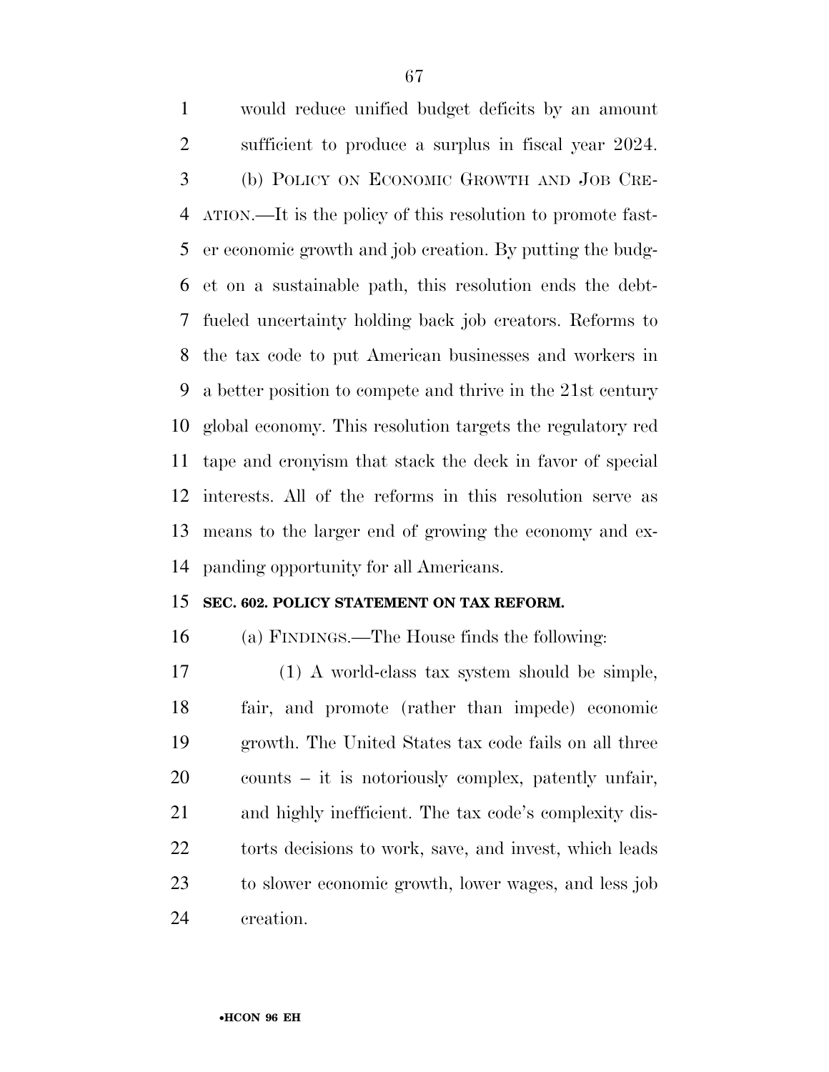would reduce unified budget deficits by an amount sufficient to produce a surplus in fiscal year 2024. (b) POLICY ON ECONOMIC GROWTH AND JOB CRE- ATION.—It is the policy of this resolution to promote fast- er economic growth and job creation. By putting the budg- et on a sustainable path, this resolution ends the debt- fueled uncertainty holding back job creators. Reforms to the tax code to put American businesses and workers in a better position to compete and thrive in the 21st century global economy. This resolution targets the regulatory red tape and cronyism that stack the deck in favor of special interests. All of the reforms in this resolution serve as means to the larger end of growing the economy and ex-panding opportunity for all Americans.

#### **SEC. 602. POLICY STATEMENT ON TAX REFORM.**

(a) FINDINGS.—The House finds the following:

 (1) A world-class tax system should be simple, fair, and promote (rather than impede) economic growth. The United States tax code fails on all three counts – it is notoriously complex, patently unfair, and highly inefficient. The tax code's complexity dis-22 torts decisions to work, save, and invest, which leads to slower economic growth, lower wages, and less job creation.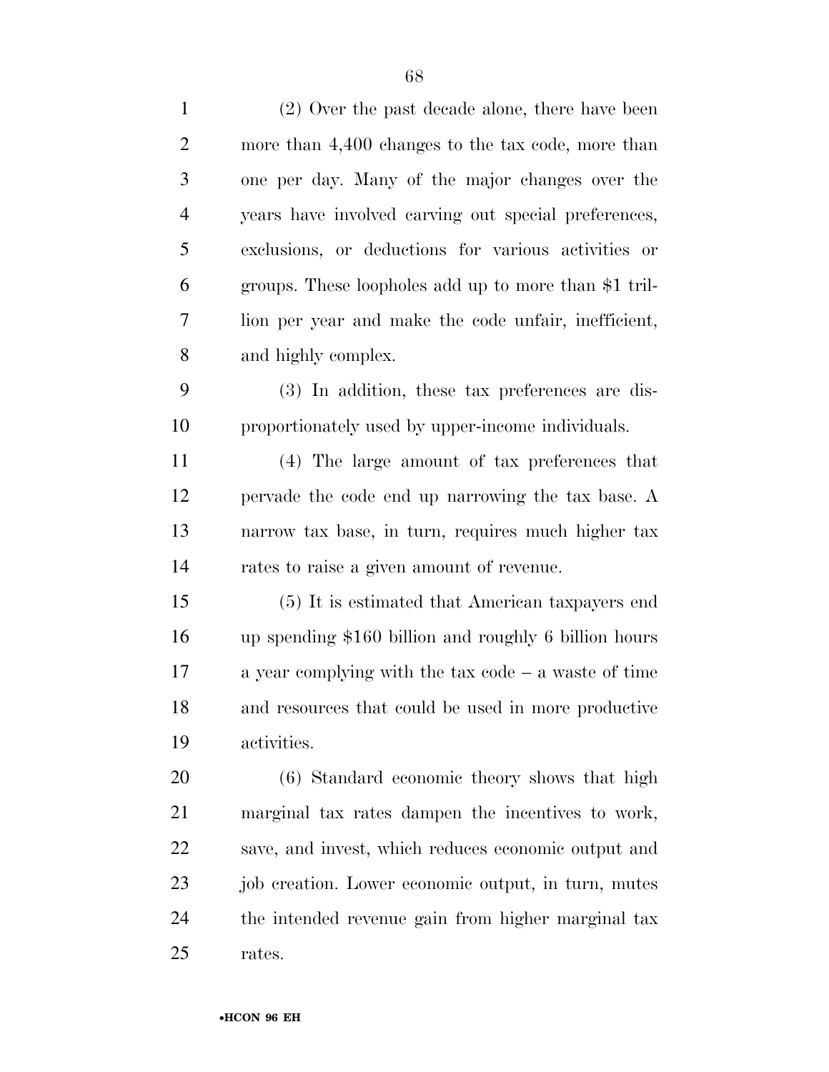| $\mathbf{1}$   | (2) Over the past decade alone, there have been        |
|----------------|--------------------------------------------------------|
| $\overline{2}$ | more than 4,400 changes to the tax code, more than     |
| 3              | one per day. Many of the major changes over the        |
| $\overline{4}$ | years have involved carving out special preferences,   |
| 5              | exclusions, or deductions for various activities or    |
| 6              | groups. These loopholes add up to more than \$1 tril-  |
| $\tau$         | lion per year and make the code unfair, inefficient,   |
| 8              | and highly complex.                                    |
| 9              | (3) In addition, these tax preferences are dis-        |
| 10             | proportionately used by upper-income individuals.      |
| 11             | (4) The large amount of tax preferences that           |
| 12             | pervade the code end up narrowing the tax base. A      |
| 13             | narrow tax base, in turn, requires much higher tax     |
| 14             | rates to raise a given amount of revenue.              |
| 15             | (5) It is estimated that American taxpayers end        |
| 16             | up spending \$160 billion and roughly 6 billion hours  |
| 17             | a year complying with the tax code $-$ a waste of time |
| 18             | and resources that could be used in more productive    |
| 19             | activities.                                            |
| 20             | (6) Standard economic theory shows that high           |
| 21             | marginal tax rates dampen the incentives to work,      |
| 22             | save, and invest, which reduces economic output and    |
| 23             | job creation. Lower economic output, in turn, mutes    |
| 24             | the intended revenue gain from higher marginal tax     |
| 25             | rates.                                                 |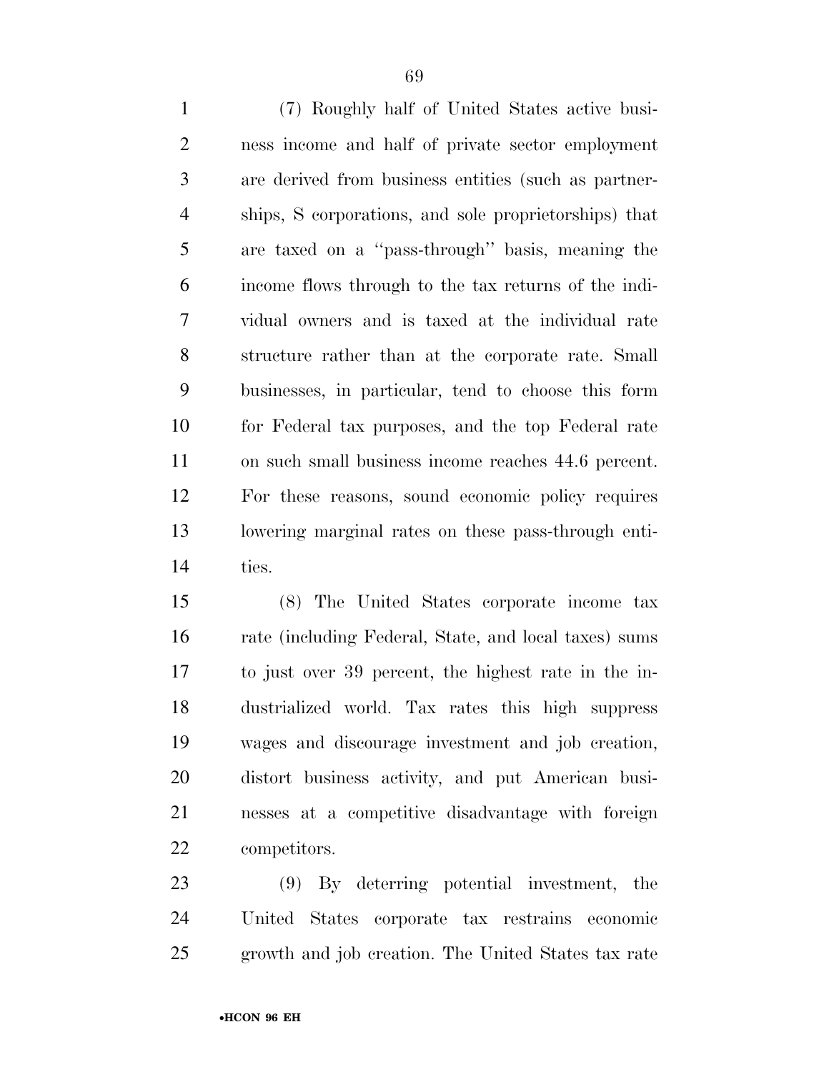(7) Roughly half of United States active busi- ness income and half of private sector employment are derived from business entities (such as partner- ships, S corporations, and sole proprietorships) that are taxed on a ''pass-through'' basis, meaning the income flows through to the tax returns of the indi- vidual owners and is taxed at the individual rate structure rather than at the corporate rate. Small businesses, in particular, tend to choose this form for Federal tax purposes, and the top Federal rate on such small business income reaches 44.6 percent. For these reasons, sound economic policy requires lowering marginal rates on these pass-through enti-ties.

 (8) The United States corporate income tax rate (including Federal, State, and local taxes) sums to just over 39 percent, the highest rate in the in- dustrialized world. Tax rates this high suppress wages and discourage investment and job creation, distort business activity, and put American busi- nesses at a competitive disadvantage with foreign competitors.

 (9) By deterring potential investment, the United States corporate tax restrains economic growth and job creation. The United States tax rate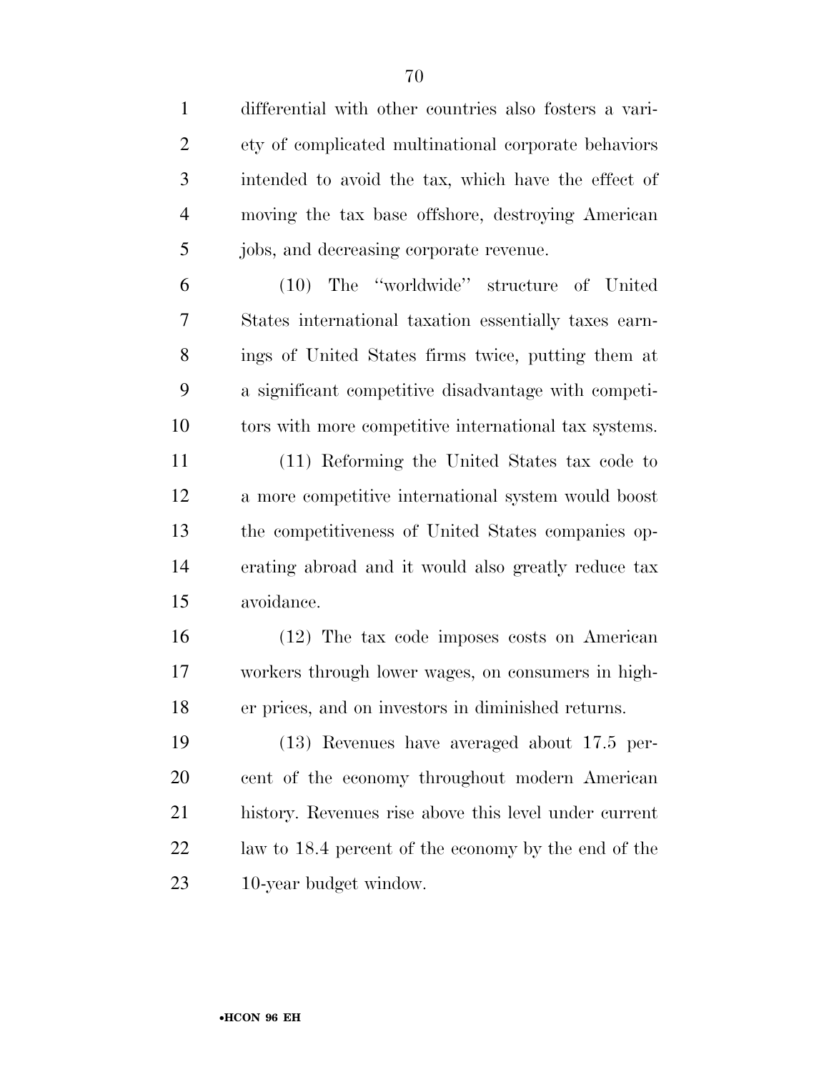differential with other countries also fosters a vari- ety of complicated multinational corporate behaviors intended to avoid the tax, which have the effect of moving the tax base offshore, destroying American jobs, and decreasing corporate revenue.

 (10) The ''worldwide'' structure of United States international taxation essentially taxes earn- ings of United States firms twice, putting them at a significant competitive disadvantage with competi-tors with more competitive international tax systems.

 (11) Reforming the United States tax code to a more competitive international system would boost the competitiveness of United States companies op- erating abroad and it would also greatly reduce tax avoidance.

 (12) The tax code imposes costs on American workers through lower wages, on consumers in high-er prices, and on investors in diminished returns.

 (13) Revenues have averaged about 17.5 per- cent of the economy throughout modern American history. Revenues rise above this level under current law to 18.4 percent of the economy by the end of the 10-year budget window.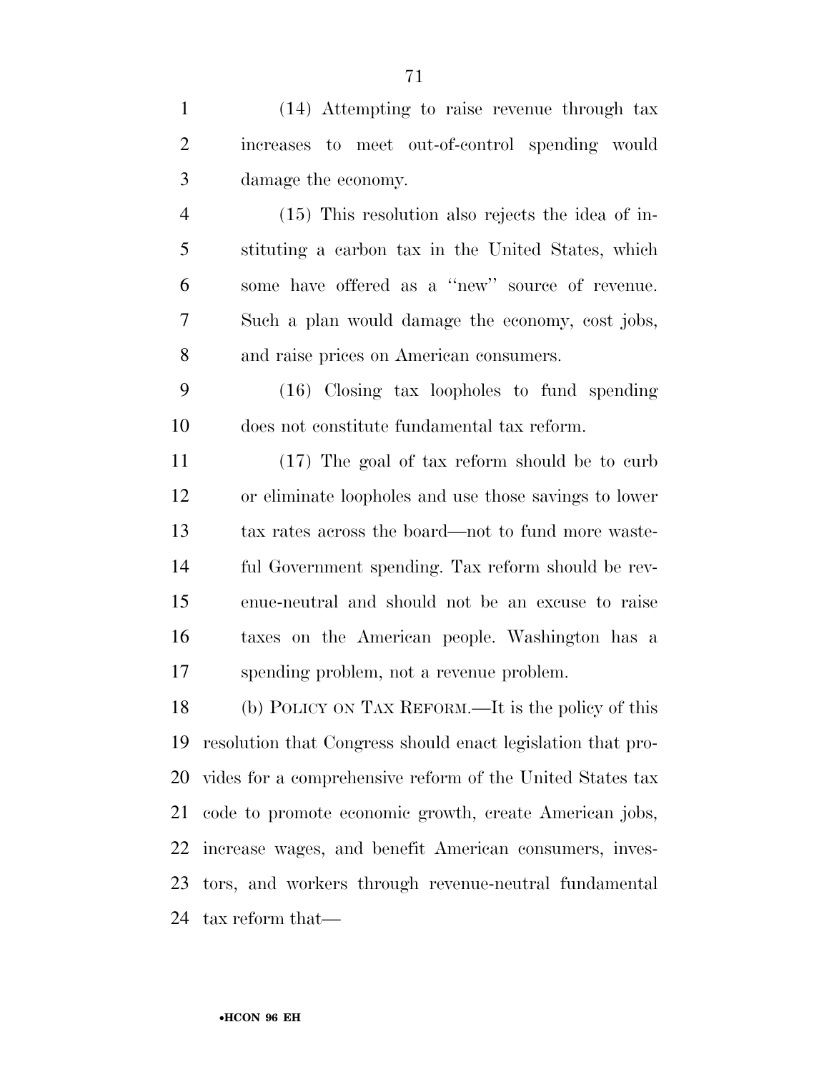(14) Attempting to raise revenue through tax increases to meet out-of-control spending would damage the economy.

 (15) This resolution also rejects the idea of in- stituting a carbon tax in the United States, which some have offered as a ''new'' source of revenue. Such a plan would damage the economy, cost jobs, and raise prices on American consumers.

 (16) Closing tax loopholes to fund spending does not constitute fundamental tax reform.

 (17) The goal of tax reform should be to curb or eliminate loopholes and use those savings to lower tax rates across the board—not to fund more waste- ful Government spending. Tax reform should be rev- enue-neutral and should not be an excuse to raise taxes on the American people. Washington has a spending problem, not a revenue problem.

 (b) POLICY ON TAX REFORM.—It is the policy of this resolution that Congress should enact legislation that pro- vides for a comprehensive reform of the United States tax code to promote economic growth, create American jobs, increase wages, and benefit American consumers, inves- tors, and workers through revenue-neutral fundamental tax reform that—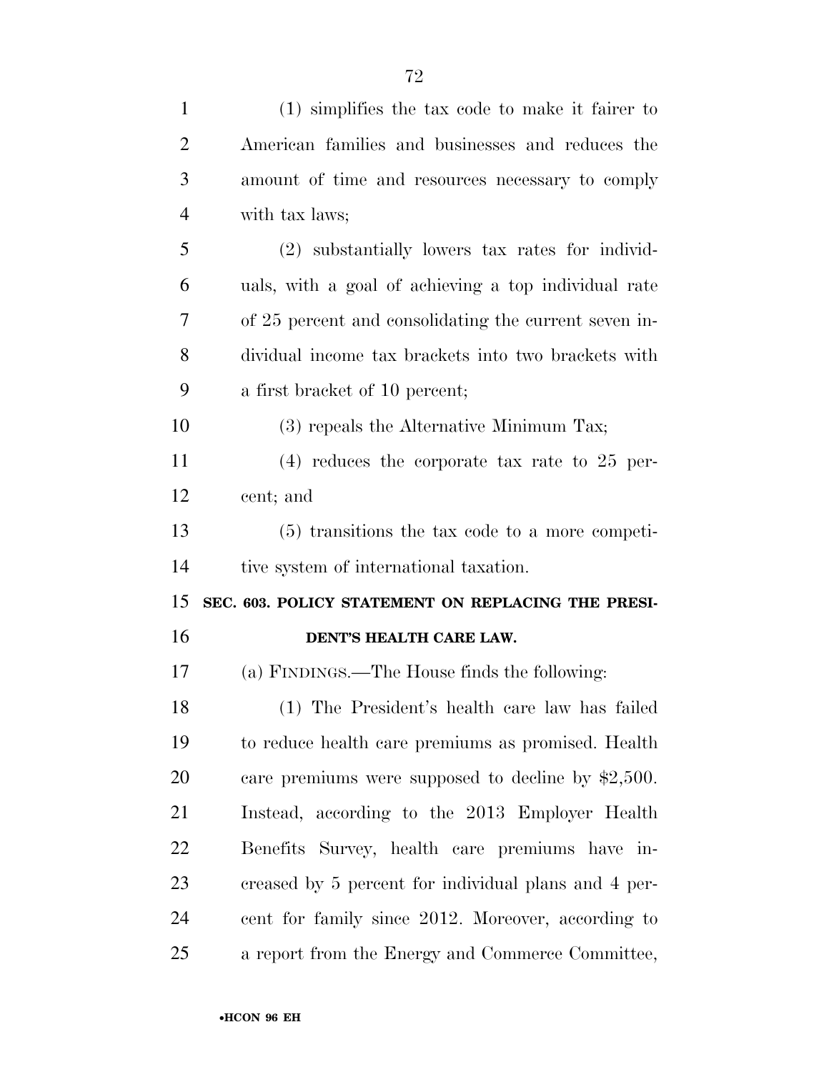| $\mathbf{1}$   | $(1)$ simplifies the tax code to make it fairer to    |
|----------------|-------------------------------------------------------|
| $\overline{c}$ | American families and businesses and reduces the      |
| 3              | amount of time and resources necessary to comply      |
| $\overline{4}$ | with tax laws;                                        |
| 5              | (2) substantially lowers tax rates for individ-       |
| 6              | uals, with a goal of achieving a top individual rate  |
| 7              | of 25 percent and consolidating the current seven in- |
| 8              | dividual income tax brackets into two brackets with   |
| 9              | a first bracket of 10 percent;                        |
| 10             | (3) repeals the Alternative Minimum Tax;              |
| 11             | $(4)$ reduces the corporate tax rate to 25 per-       |
| 12             | cent; and                                             |
|                |                                                       |
| 13             | $(5)$ transitions the tax code to a more competi-     |
| 14             | tive system of international taxation.                |
| 15             | SEC. 603. POLICY STATEMENT ON REPLACING THE PRESI-    |
| 16             | DENT'S HEALTH CARE LAW.                               |
| 17             | (a) FINDINGS.—The House finds the following:          |
| 18             | (1) The President's health care law has failed        |
| 19             | to reduce health care premiums as promised. Health    |
| 20             | care premiums were supposed to decline by $$2,500$ .  |
| 21             | Instead, according to the 2013 Employer Health        |
| 22             | Benefits Survey, health care premiums have in-        |
| 23             | creased by 5 percent for individual plans and 4 per-  |
| 24             | cent for family since 2012. Moreover, according to    |
| 25             | a report from the Energy and Commerce Committee,      |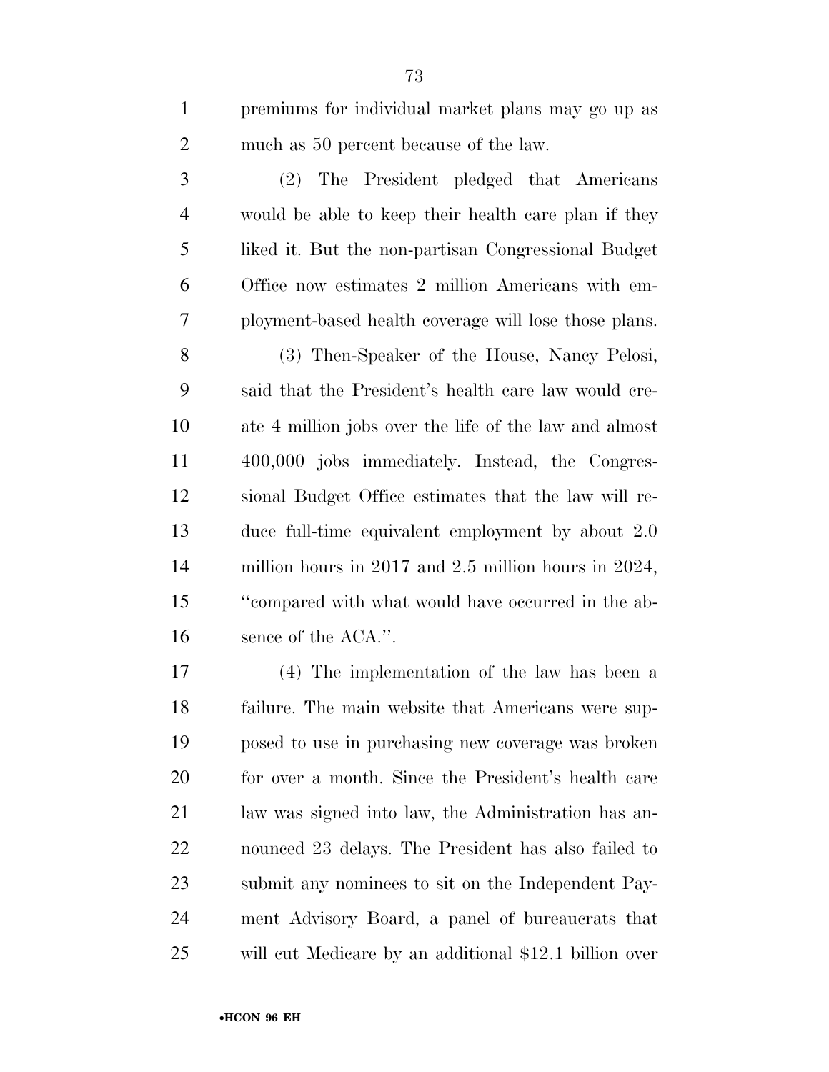premiums for individual market plans may go up as much as 50 percent because of the law.

 (2) The President pledged that Americans would be able to keep their health care plan if they liked it. But the non-partisan Congressional Budget Office now estimates 2 million Americans with em-ployment-based health coverage will lose those plans.

 (3) Then-Speaker of the House, Nancy Pelosi, said that the President's health care law would cre- ate 4 million jobs over the life of the law and almost 400,000 jobs immediately. Instead, the Congres- sional Budget Office estimates that the law will re- duce full-time equivalent employment by about 2.0 million hours in 2017 and 2.5 million hours in 2024, ''compared with what would have occurred in the ab-16 sence of the ACA.".

 (4) The implementation of the law has been a failure. The main website that Americans were sup- posed to use in purchasing new coverage was broken for over a month. Since the President's health care law was signed into law, the Administration has an- nounced 23 delays. The President has also failed to submit any nominees to sit on the Independent Pay- ment Advisory Board, a panel of bureaucrats that will cut Medicare by an additional \$12.1 billion over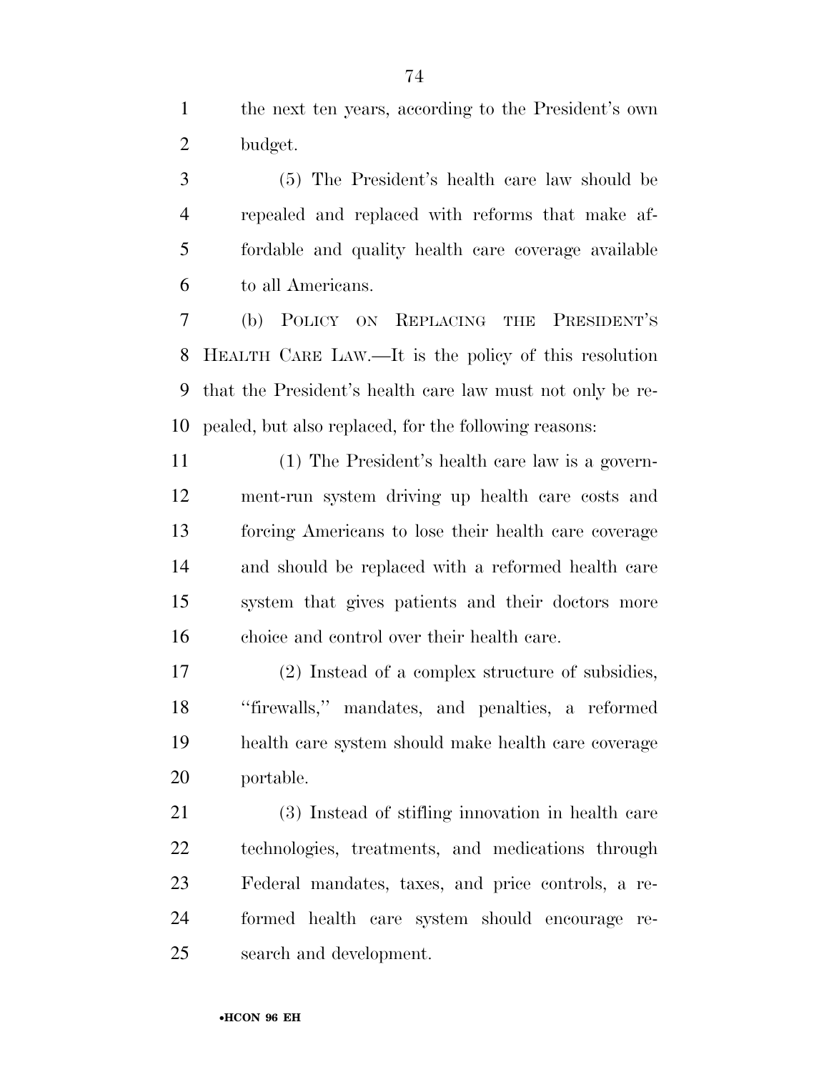the next ten years, according to the President's own budget.

 (5) The President's health care law should be repealed and replaced with reforms that make af- fordable and quality health care coverage available to all Americans.

 (b) POLICY ON REPLACING THE PRESIDENT'S HEALTH CARE LAW.—It is the policy of this resolution that the President's health care law must not only be re-pealed, but also replaced, for the following reasons:

 (1) The President's health care law is a govern- ment-run system driving up health care costs and forcing Americans to lose their health care coverage and should be replaced with a reformed health care system that gives patients and their doctors more choice and control over their health care.

 (2) Instead of a complex structure of subsidies, ''firewalls,'' mandates, and penalties, a reformed health care system should make health care coverage portable.

 (3) Instead of stifling innovation in health care technologies, treatments, and medications through Federal mandates, taxes, and price controls, a re- formed health care system should encourage re-search and development.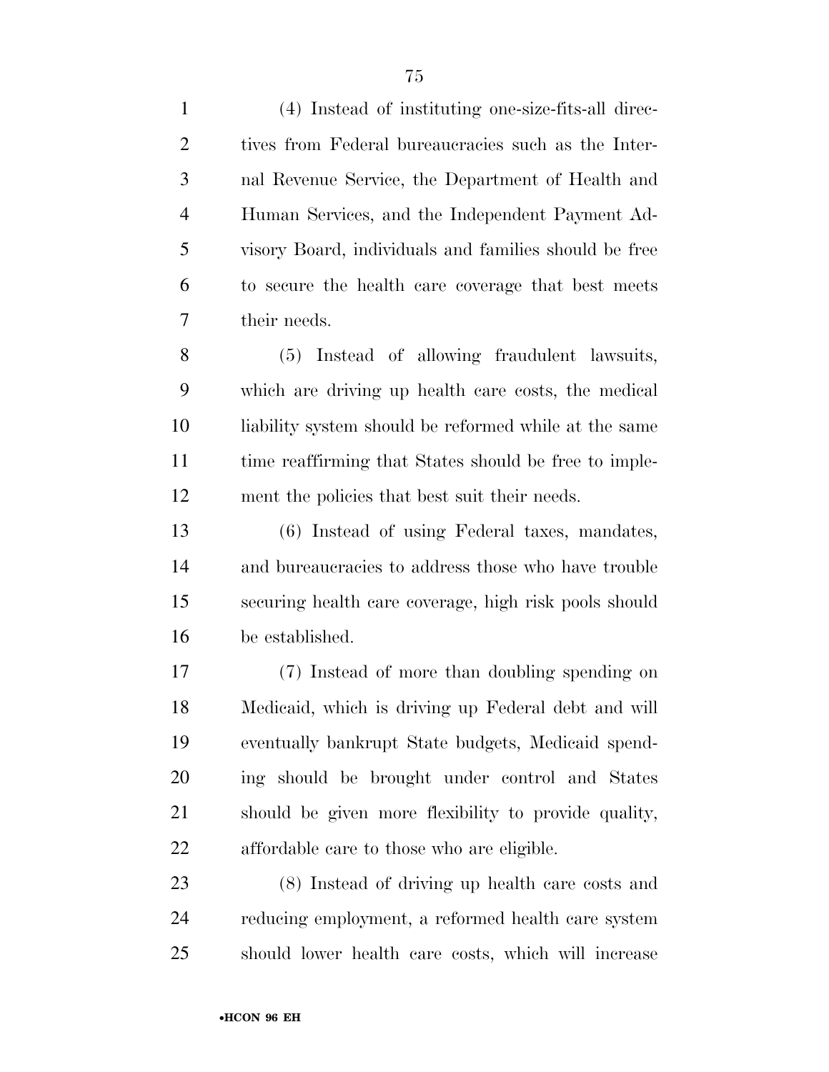(4) Instead of instituting one-size-fits-all direc- tives from Federal bureaucracies such as the Inter- nal Revenue Service, the Department of Health and Human Services, and the Independent Payment Ad- visory Board, individuals and families should be free to secure the health care coverage that best meets

their needs.

 (5) Instead of allowing fraudulent lawsuits, which are driving up health care costs, the medical 10 liability system should be reformed while at the same 11 time reaffirming that States should be free to imple-ment the policies that best suit their needs.

 (6) Instead of using Federal taxes, mandates, and bureaucracies to address those who have trouble securing health care coverage, high risk pools should be established.

 (7) Instead of more than doubling spending on Medicaid, which is driving up Federal debt and will eventually bankrupt State budgets, Medicaid spend- ing should be brought under control and States should be given more flexibility to provide quality, affordable care to those who are eligible.

 (8) Instead of driving up health care costs and reducing employment, a reformed health care system should lower health care costs, which will increase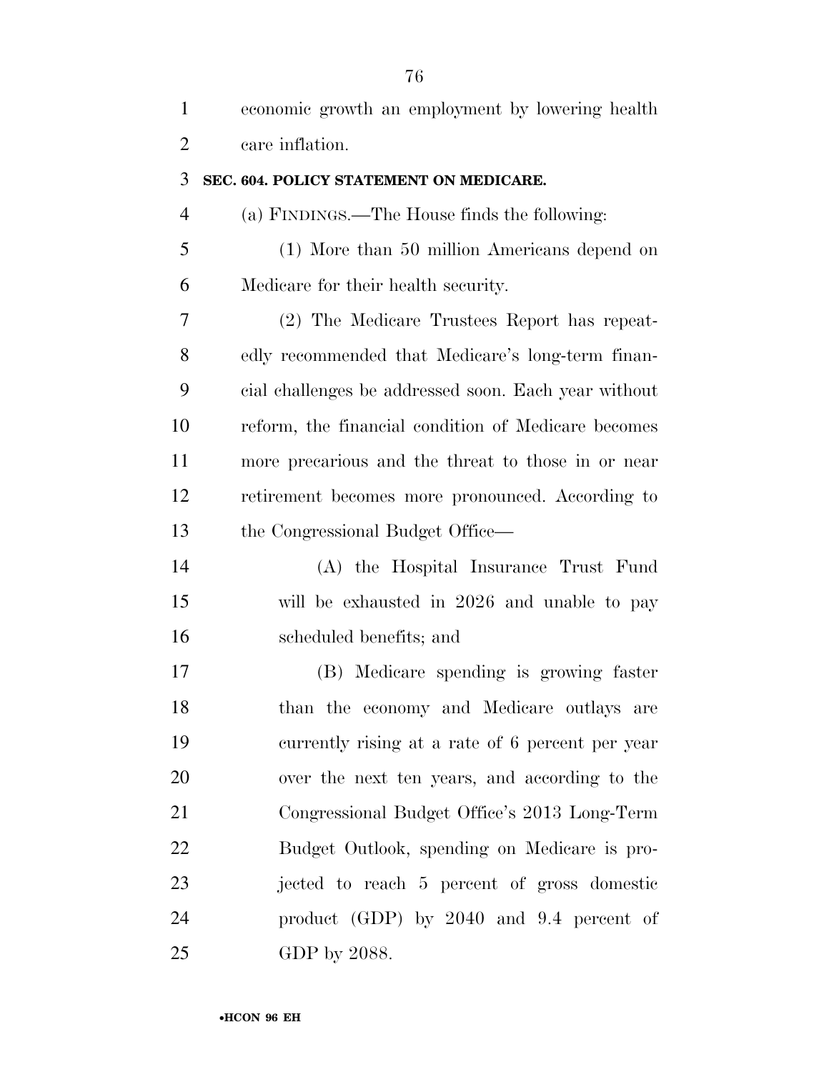| $\mathbf{1}$   | economic growth an employment by lowering health     |
|----------------|------------------------------------------------------|
| $\overline{2}$ | care inflation.                                      |
| 3              | SEC. 604. POLICY STATEMENT ON MEDICARE.              |
| $\overline{4}$ | (a) FINDINGS.—The House finds the following:         |
| 5              | (1) More than 50 million Americans depend on         |
| 6              | Medicare for their health security.                  |
| 7              | (2) The Medicare Trustees Report has repeat-         |
| 8              | edly recommended that Medicare's long-term finan-    |
| 9              | cial challenges be addressed soon. Each year without |
| 10             | reform, the financial condition of Medicare becomes  |
| 11             | more precarious and the threat to those in or near   |
| 12             | retirement becomes more pronounced. According to     |
| 13             | the Congressional Budget Office—                     |
| 14             | (A) the Hospital Insurance Trust Fund                |
| 15             | will be exhausted in 2026 and unable to pay          |
| 16             | scheduled benefits; and                              |
| 17             | (B) Medicare spending is growing faster              |
| 18             | than the economy and Medicare outlays are            |
| 19             | currently rising at a rate of 6 percent per year     |
| 20             | over the next ten years, and according to the        |
| 21             | Congressional Budget Office's 2013 Long-Term         |
| 22             | Budget Outlook, spending on Medicare is pro-         |
| 23             | jected to reach 5 percent of gross domestic          |
| 24             | product (GDP) by 2040 and 9.4 percent of             |
| 25             | GDP by 2088.                                         |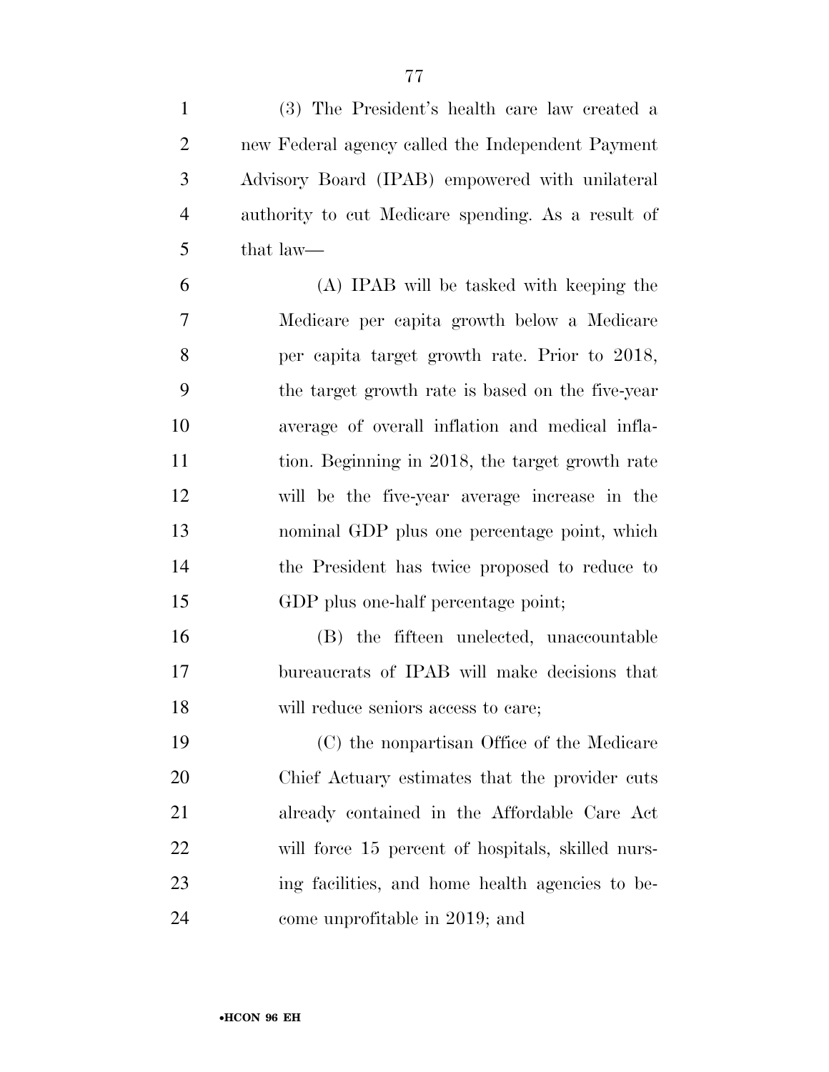(3) The President's health care law created a new Federal agency called the Independent Payment Advisory Board (IPAB) empowered with unilateral authority to cut Medicare spending. As a result of that law—

 (A) IPAB will be tasked with keeping the Medicare per capita growth below a Medicare per capita target growth rate. Prior to 2018, the target growth rate is based on the five-year average of overall inflation and medical infla- tion. Beginning in 2018, the target growth rate will be the five-year average increase in the nominal GDP plus one percentage point, which the President has twice proposed to reduce to GDP plus one-half percentage point;

 (B) the fifteen unelected, unaccountable bureaucrats of IPAB will make decisions that will reduce seniors access to care;

 (C) the nonpartisan Office of the Medicare Chief Actuary estimates that the provider cuts already contained in the Affordable Care Act will force 15 percent of hospitals, skilled nurs- ing facilities, and home health agencies to be-come unprofitable in 2019; and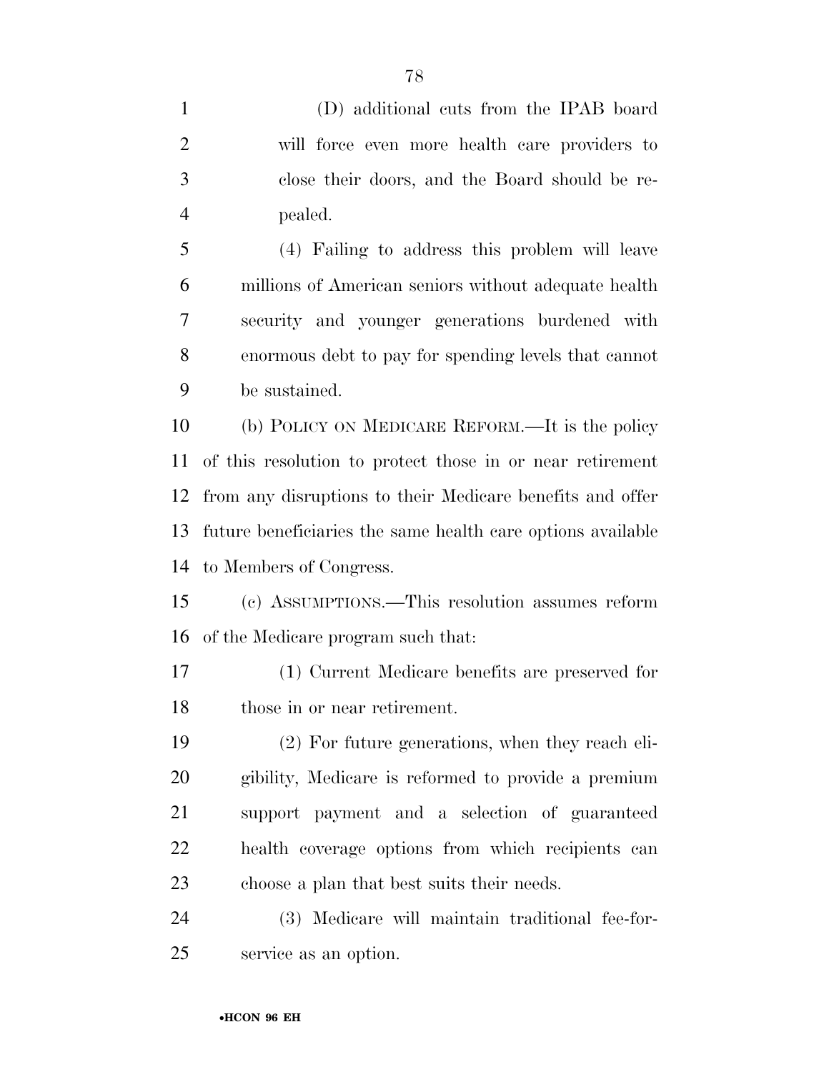(D) additional cuts from the IPAB board will force even more health care providers to close their doors, and the Board should be re-pealed.

 (4) Failing to address this problem will leave millions of American seniors without adequate health security and younger generations burdened with enormous debt to pay for spending levels that cannot be sustained.

 (b) POLICY ON MEDICARE REFORM.—It is the policy of this resolution to protect those in or near retirement from any disruptions to their Medicare benefits and offer future beneficiaries the same health care options available to Members of Congress.

 (c) ASSUMPTIONS.—This resolution assumes reform of the Medicare program such that:

 (1) Current Medicare benefits are preserved for those in or near retirement.

 (2) For future generations, when they reach eli- gibility, Medicare is reformed to provide a premium support payment and a selection of guaranteed health coverage options from which recipients can choose a plan that best suits their needs.

 (3) Medicare will maintain traditional fee-for-service as an option.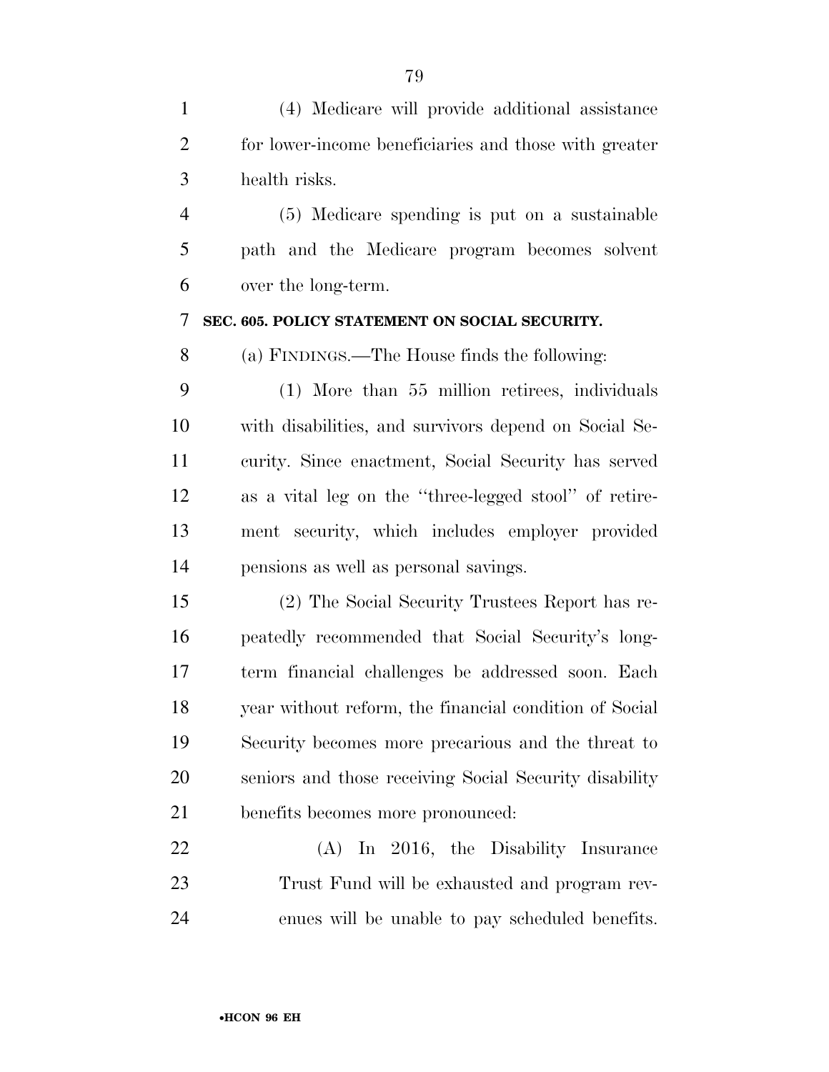(4) Medicare will provide additional assistance for lower-income beneficiaries and those with greater health risks. (5) Medicare spending is put on a sustainable path and the Medicare program becomes solvent over the long-term. **SEC. 605. POLICY STATEMENT ON SOCIAL SECURITY.**  (a) FINDINGS.—The House finds the following: (1) More than 55 million retirees, individuals with disabilities, and survivors depend on Social Se- curity. Since enactment, Social Security has served as a vital leg on the ''three-legged stool'' of retire- ment security, which includes employer provided pensions as well as personal savings. (2) The Social Security Trustees Report has re- peatedly recommended that Social Security's long- term financial challenges be addressed soon. Each year without reform, the financial condition of Social Security becomes more precarious and the threat to seniors and those receiving Social Security disability benefits becomes more pronounced: (A) In 2016, the Disability Insurance Trust Fund will be exhausted and program rev-enues will be unable to pay scheduled benefits.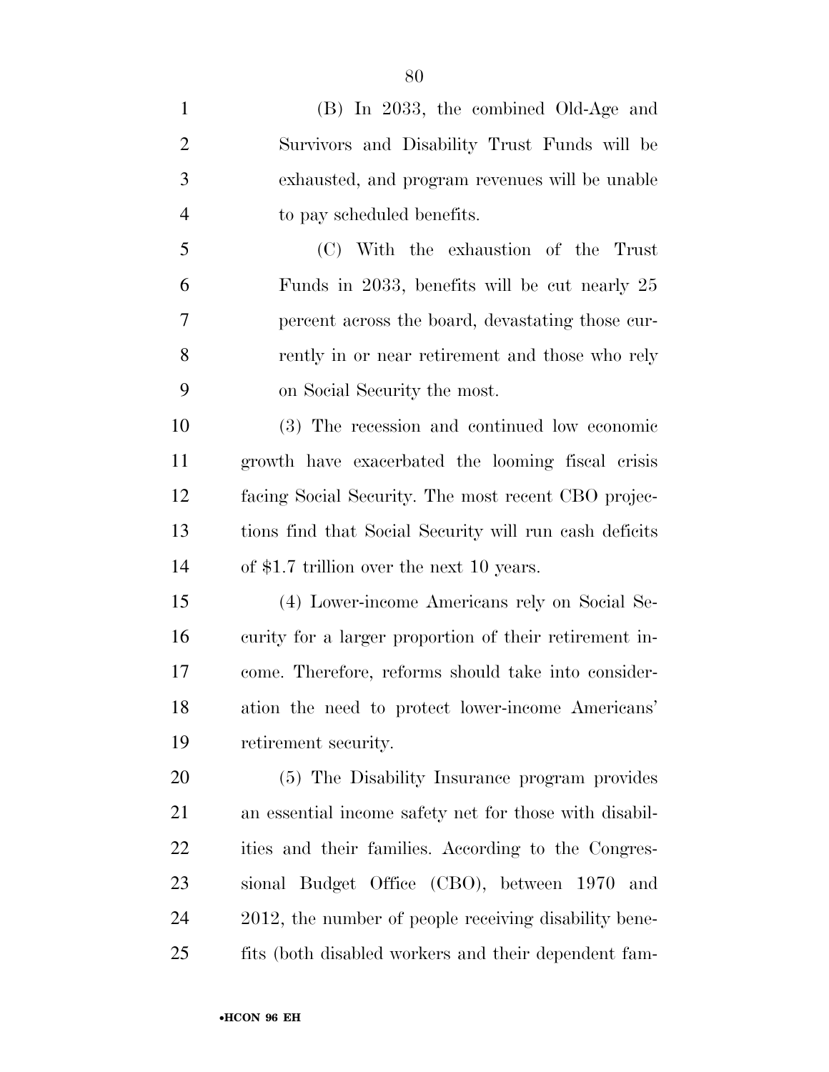| $\mathbf{1}$   | (B) In 2033, the combined Old-Age and                  |
|----------------|--------------------------------------------------------|
| $\overline{2}$ | Survivors and Disability Trust Funds will be           |
| 3              | exhausted, and program revenues will be unable         |
| $\overline{4}$ | to pay scheduled benefits.                             |
| 5              | (C) With the exhaustion of the Trust                   |
| 6              | Funds in 2033, benefits will be cut nearly 25          |
| 7              | percent across the board, devastating those cur-       |
| 8              | rently in or near retirement and those who rely        |
| 9              | on Social Security the most.                           |
| 10             | (3) The recession and continued low economic           |
| 11             | growth have exacerbated the looming fiscal crisis      |
| 12             | facing Social Security. The most recent CBO projec-    |
| 13             | tions find that Social Security will run cash deficits |
| 14             | of \$1.7 trillion over the next 10 years.              |
| 15             | (4) Lower-income Americans rely on Social Se-          |
| 16             | curity for a larger proportion of their retirement in- |
| 17             | come. Therefore, reforms should take into consider-    |
| 18             | ation the need to protect lower-income Americans'      |
| 19             | retirement security.                                   |
| 20             | (5) The Disability Insurance program provides          |
| 21             | an essential income safety net for those with disabil- |
| <u>22</u>      | ities and their families. According to the Congres-    |
| 23             | sional Budget Office (CBO), between 1970<br>and        |
| 24             | 2012, the number of people receiving disability bene-  |
| 25             | fits (both disabled workers and their dependent fam-   |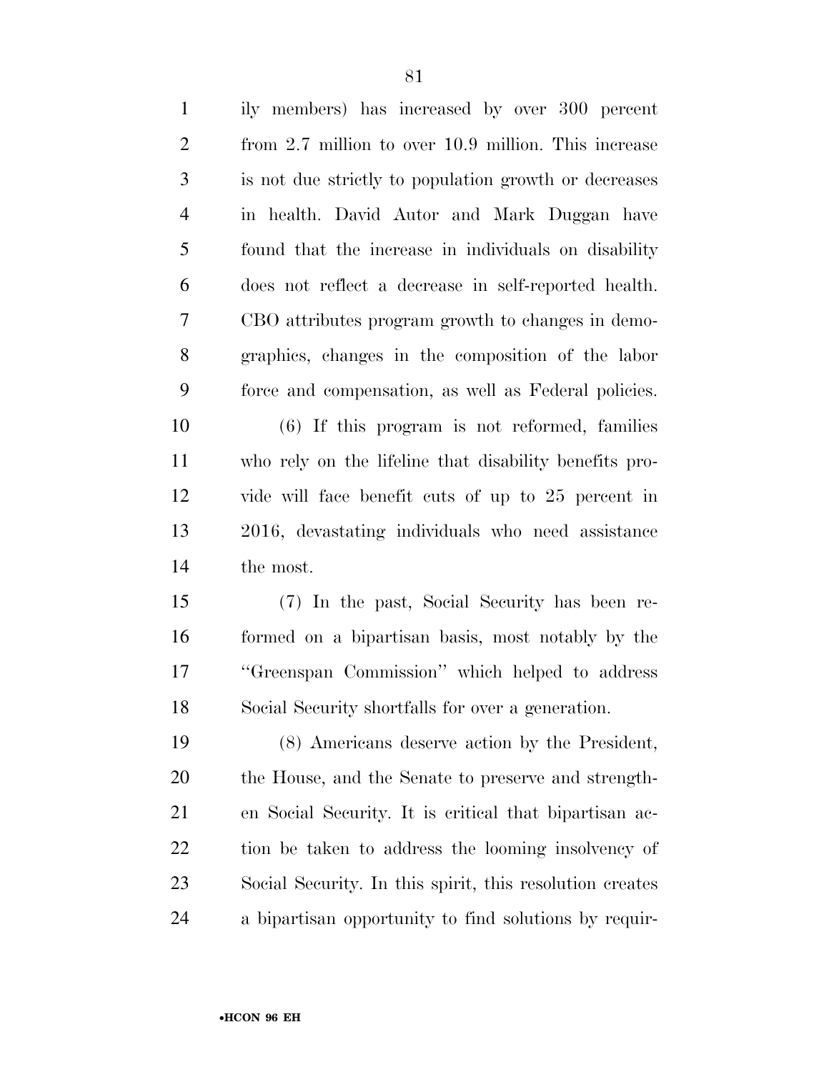| $\mathbf{1}$   | ily members) has increased by over 300 percent           |
|----------------|----------------------------------------------------------|
| $\mathbf{2}$   | from 2.7 million to over 10.9 million. This increase     |
| 3              | is not due strictly to population growth or decreases    |
| $\overline{4}$ | in health. David Autor and Mark Duggan have              |
| 5              | found that the increase in individuals on disability     |
| 6              | does not reflect a decrease in self-reported health.     |
| $\tau$         | CBO attributes program growth to changes in demo-        |
| 8              | graphics, changes in the composition of the labor        |
| 9              | force and compensation, as well as Federal policies.     |
| 10             | $(6)$ If this program is not reformed, families          |
| 11             | who rely on the lifeline that disability benefits pro-   |
| 12             | vide will face benefit cuts of up to 25 percent in       |
| 13             | 2016, devastating individuals who need assistance        |
| 14             | the most.                                                |
| 15             | (7) In the past, Social Security has been re-            |
| 16             | formed on a bipartisan basis, most notably by the        |
| 17             | "Greenspan Commission" which helped to address           |
| 18             | Social Security shortfalls for over a generation.        |
| 19             | (8) Americans deserve action by the President,           |
| 20             | the House, and the Senate to preserve and strength-      |
| 21             | en Social Security. It is critical that bipartisan ac-   |
| 22             | tion be taken to address the looming insolvency of       |
| 23             | Social Security. In this spirit, this resolution creates |
| 24             | a bipartisan opportunity to find solutions by requir-    |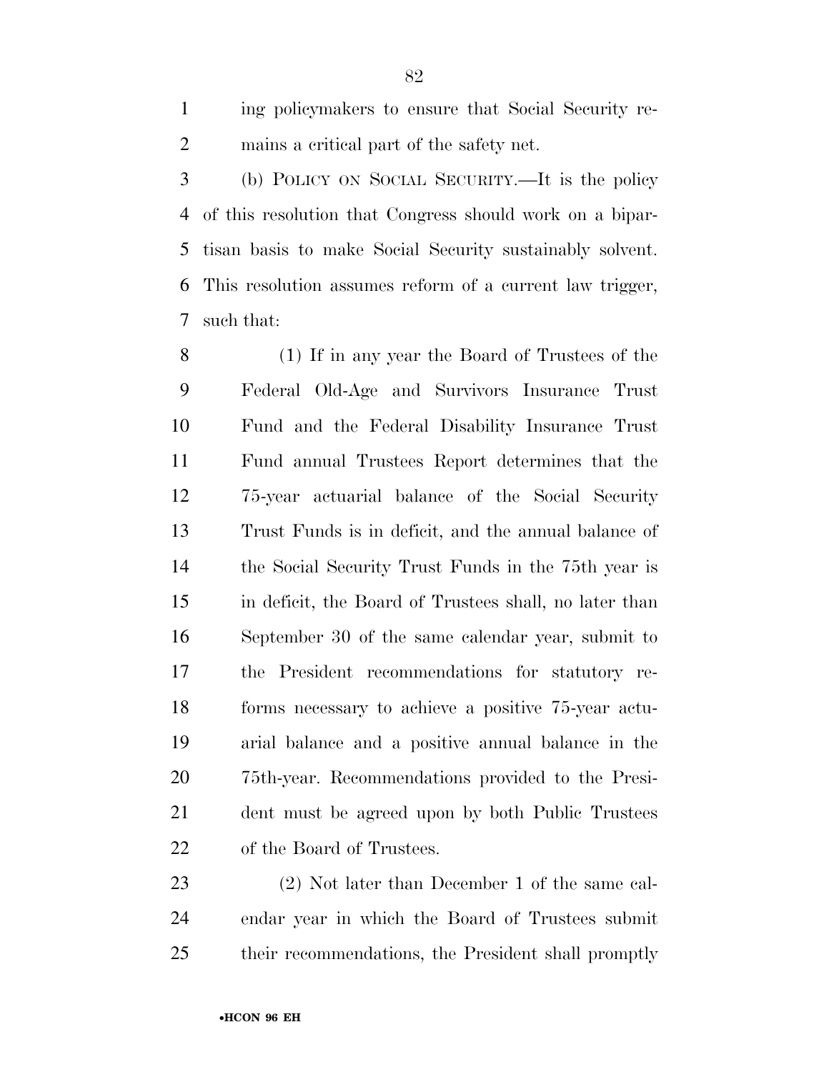ing policymakers to ensure that Social Security re-mains a critical part of the safety net.

 (b) POLICY ON SOCIAL SECURITY.—It is the policy of this resolution that Congress should work on a bipar- tisan basis to make Social Security sustainably solvent. This resolution assumes reform of a current law trigger, such that:

 (1) If in any year the Board of Trustees of the Federal Old-Age and Survivors Insurance Trust Fund and the Federal Disability Insurance Trust Fund annual Trustees Report determines that the 75-year actuarial balance of the Social Security Trust Funds is in deficit, and the annual balance of the Social Security Trust Funds in the 75th year is in deficit, the Board of Trustees shall, no later than September 30 of the same calendar year, submit to the President recommendations for statutory re- forms necessary to achieve a positive 75-year actu- arial balance and a positive annual balance in the 75th-year. Recommendations provided to the Presi- dent must be agreed upon by both Public Trustees of the Board of Trustees.

 (2) Not later than December 1 of the same cal- endar year in which the Board of Trustees submit their recommendations, the President shall promptly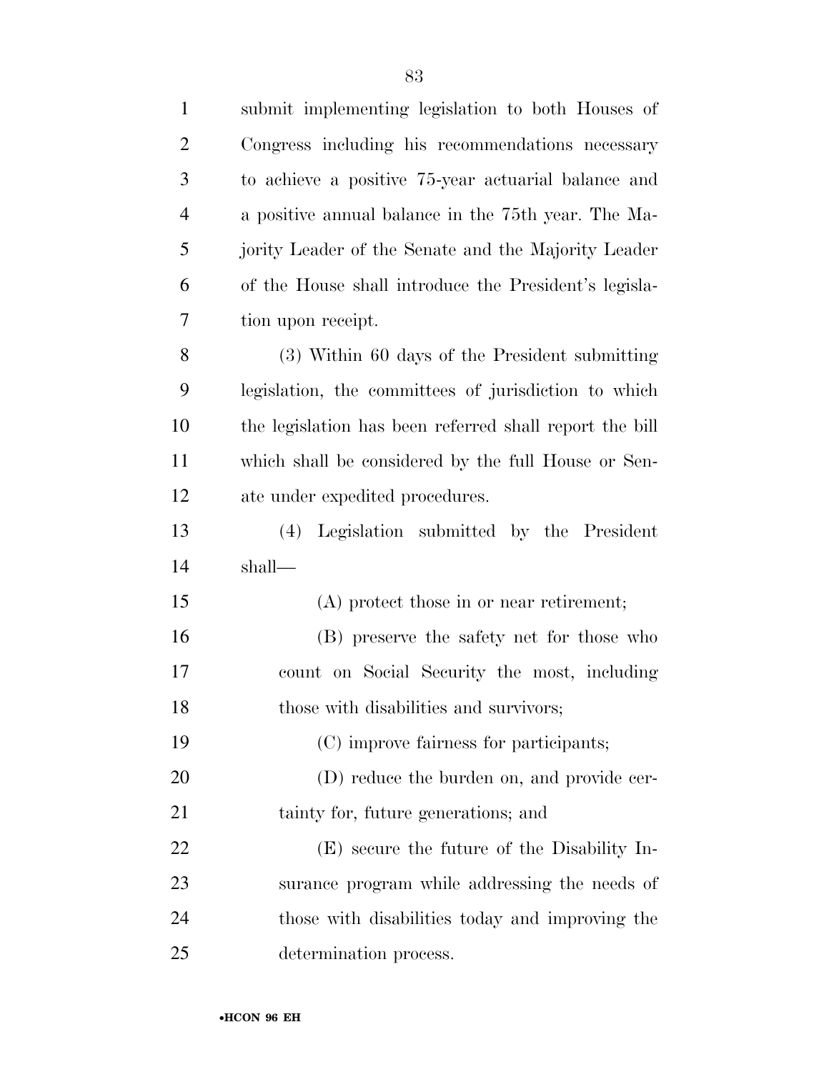| $\mathbf{1}$   | submit implementing legislation to both Houses of       |
|----------------|---------------------------------------------------------|
| $\overline{2}$ | Congress including his recommendations necessary        |
| 3              | to achieve a positive 75-year actuarial balance and     |
| $\overline{4}$ | a positive annual balance in the 75th year. The Ma-     |
| 5              | jority Leader of the Senate and the Majority Leader     |
| 6              | of the House shall introduce the President's legisla-   |
| 7              | tion upon receipt.                                      |
| 8              | (3) Within 60 days of the President submitting          |
| 9              | legislation, the committees of jurisdiction to which    |
| 10             | the legislation has been referred shall report the bill |
| 11             | which shall be considered by the full House or Sen-     |
| 12             | ate under expedited procedures.                         |
| 13             | (4) Legislation submitted by the President              |
| 14             | shall—                                                  |
| 15             | (A) protect those in or near retirement;                |
| 16             | (B) preserve the safety net for those who               |
| 17             | count on Social Security the most, including            |
| 18             | those with disabilities and survivors;                  |
| 19             | (C) improve fairness for participants;                  |
| 20             | (D) reduce the burden on, and provide cer-              |
| 21             | tainty for, future generations; and                     |
| 22             | (E) secure the future of the Disability In-             |
| 23             | surance program while addressing the needs of           |
| 24             | those with disabilities today and improving the         |
| 25             | determination process.                                  |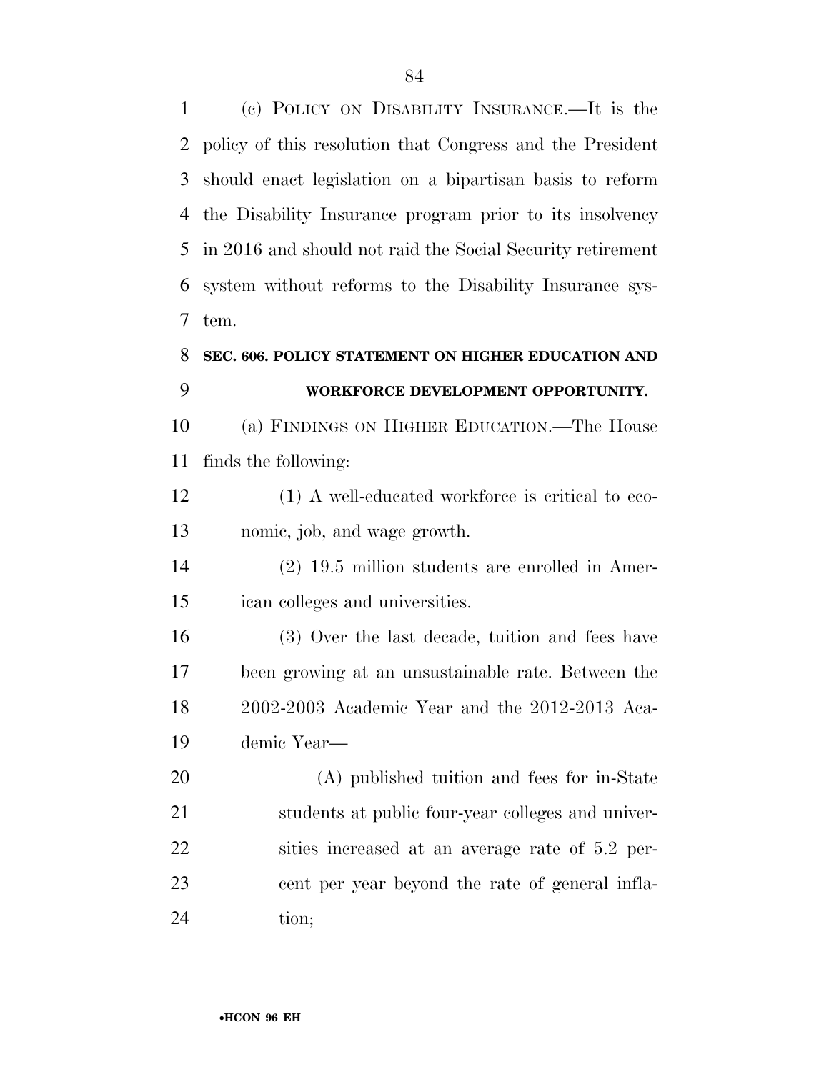(c) POLICY ON DISABILITY INSURANCE.—It is the policy of this resolution that Congress and the President should enact legislation on a bipartisan basis to reform the Disability Insurance program prior to its insolvency in 2016 and should not raid the Social Security retirement system without reforms to the Disability Insurance sys-tem.

### **SEC. 606. POLICY STATEMENT ON HIGHER EDUCATION AND WORKFORCE DEVELOPMENT OPPORTUNITY.**

 (a) FINDINGS ON HIGHER EDUCATION.—The House finds the following:

12 (1) A well-educated workforce is critical to eco-nomic, job, and wage growth.

 (2) 19.5 million students are enrolled in Amer-ican colleges and universities.

 (3) Over the last decade, tuition and fees have been growing at an unsustainable rate. Between the 2002-2003 Academic Year and the 2012-2013 Aca-demic Year—

 (A) published tuition and fees for in-State students at public four-year colleges and univer- sities increased at an average rate of 5.2 per- cent per year beyond the rate of general infla-24 tion;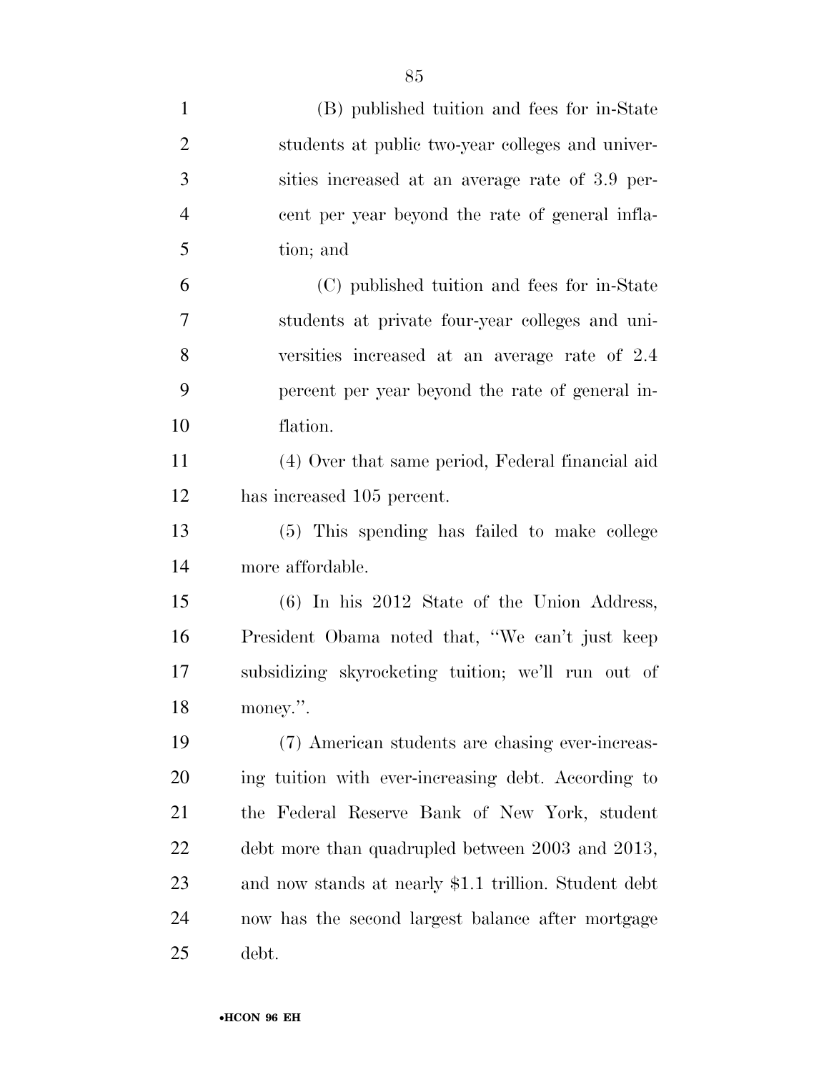| $\mathbf{1}$   | (B) published tuition and fees for in-State           |
|----------------|-------------------------------------------------------|
| $\overline{2}$ | students at public two-year colleges and univer-      |
| 3              | sities increased at an average rate of 3.9 per-       |
| $\overline{4}$ | eent per year beyond the rate of general infla-       |
| 5              | tion; and                                             |
| 6              | (C) published tuition and fees for in-State           |
| 7              | students at private four-year colleges and uni-       |
| 8              | versities increased at an average rate of 2.4         |
| 9              | percent per year beyond the rate of general in-       |
| 10             | flation.                                              |
| 11             | (4) Over that same period, Federal financial aid      |
| 12             | has increased 105 percent.                            |
| 13             | (5) This spending has failed to make college          |
| 14             | more affordable.                                      |
| 15             | $(6)$ In his 2012 State of the Union Address,         |
| 16             | President Obama noted that, "We can't just keep       |
| 17             | subsidizing skyrocketing tuition; we'll run out of    |
| 18             | money.".                                              |
| 19             | (7) American students are chasing ever-increas-       |
| 20             | ing tuition with ever-increasing debt. According to   |
| 21             | the Federal Reserve Bank of New York, student         |
| 22             | debt more than quadrupled between 2003 and 2013,      |
| 23             | and now stands at nearly \$1.1 trillion. Student debt |
| 24             | now has the second largest balance after mortgage     |
| 25             | debt.                                                 |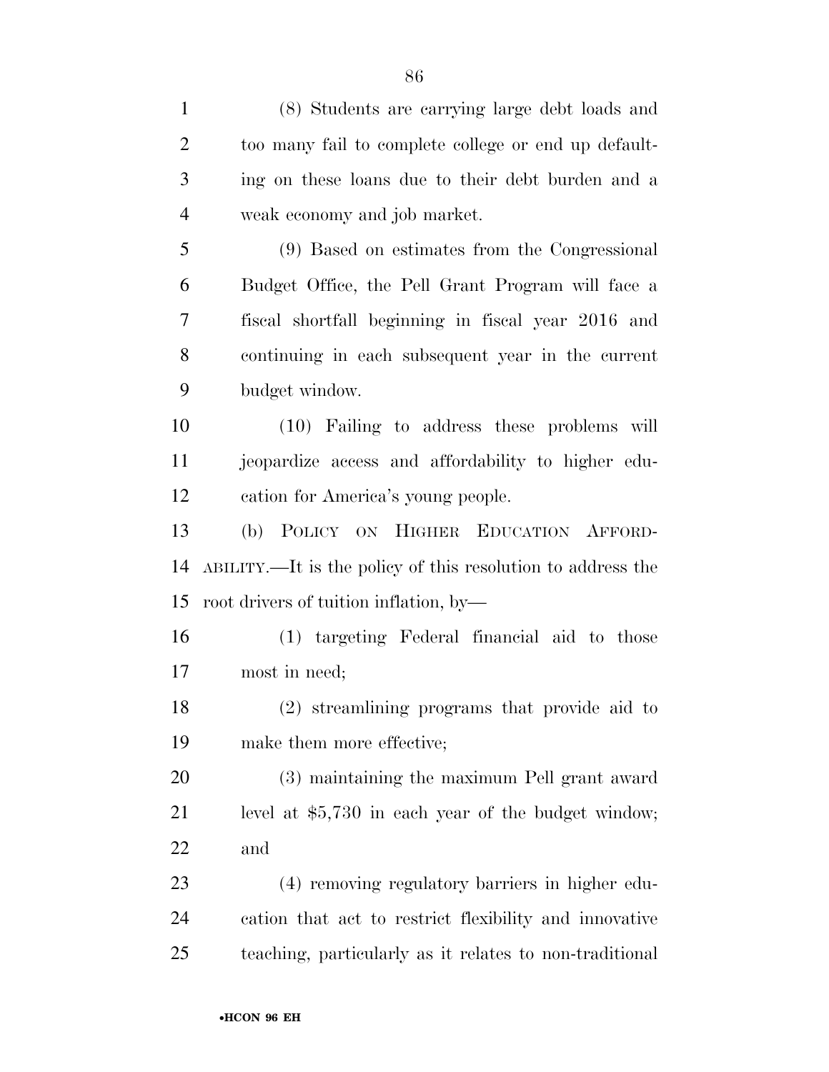(8) Students are carrying large debt loads and too many fail to complete college or end up default- ing on these loans due to their debt burden and a weak economy and job market. (9) Based on estimates from the Congressional Budget Office, the Pell Grant Program will face a fiscal shortfall beginning in fiscal year 2016 and continuing in each subsequent year in the current budget window. (10) Failing to address these problems will jeopardize access and affordability to higher edu- cation for America's young people. (b) POLICY ON HIGHER EDUCATION AFFORD- ABILITY.—It is the policy of this resolution to address the root drivers of tuition inflation, by— (1) targeting Federal financial aid to those most in need; (2) streamlining programs that provide aid to make them more effective; (3) maintaining the maximum Pell grant award level at \$5,730 in each year of the budget window; and (4) removing regulatory barriers in higher edu- cation that act to restrict flexibility and innovative teaching, particularly as it relates to non-traditional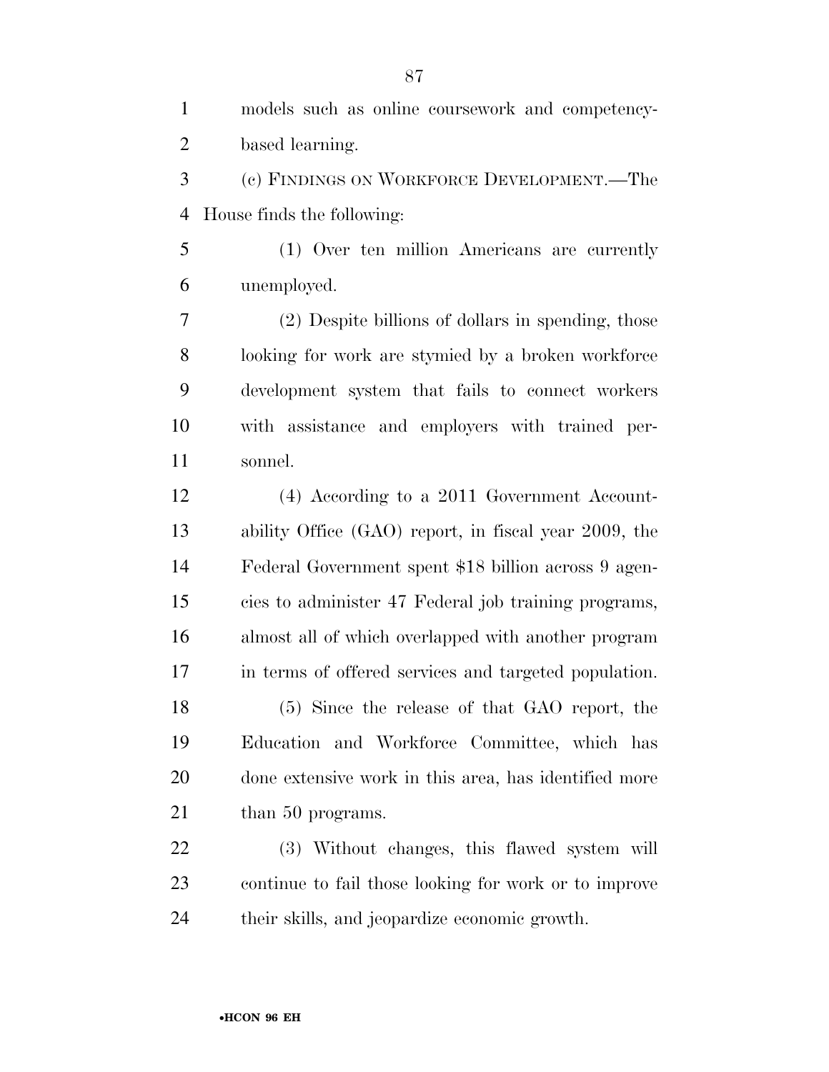models such as online coursework and competency- based learning. (c) FINDINGS ON WORKFORCE DEVELOPMENT.—The House finds the following: (1) Over ten million Americans are currently unemployed. (2) Despite billions of dollars in spending, those looking for work are stymied by a broken workforce development system that fails to connect workers with assistance and employers with trained per- sonnel. (4) According to a 2011 Government Account- ability Office (GAO) report, in fiscal year 2009, the Federal Government spent \$18 billion across 9 agen- cies to administer 47 Federal job training programs, almost all of which overlapped with another program in terms of offered services and targeted population. (5) Since the release of that GAO report, the Education and Workforce Committee, which has done extensive work in this area, has identified more 21 than 50 programs. (3) Without changes, this flawed system will continue to fail those looking for work or to improve their skills, and jeopardize economic growth.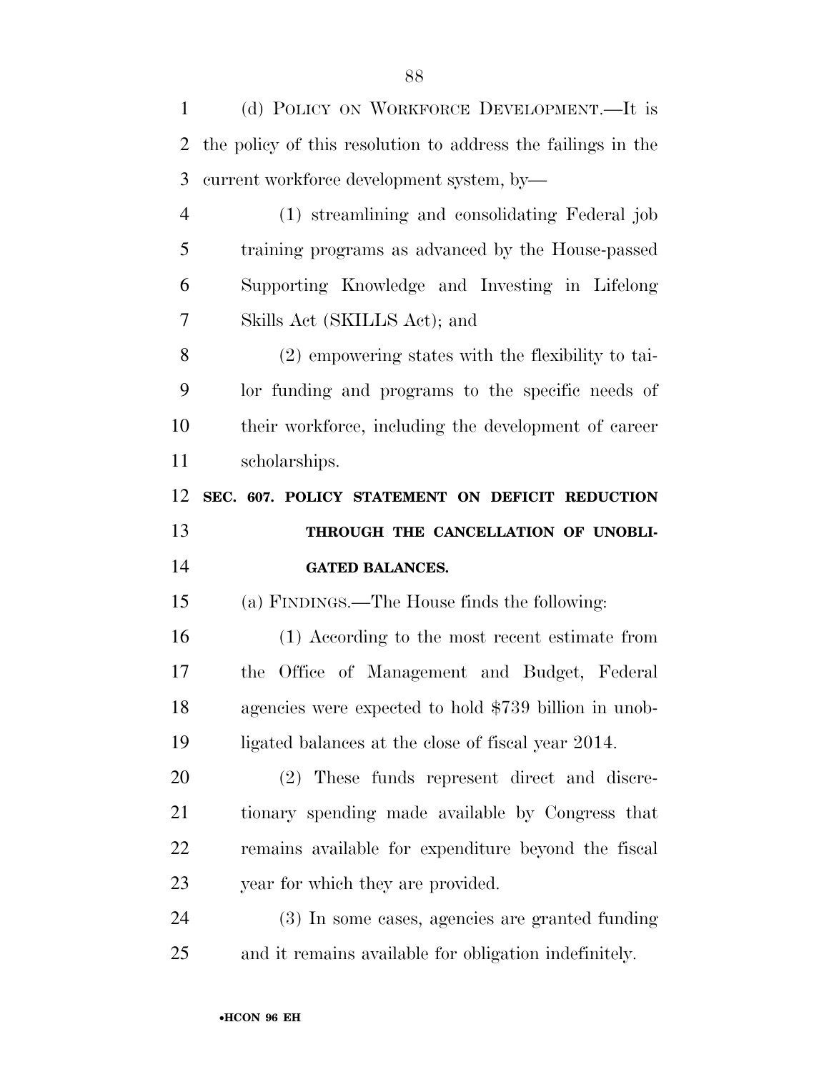(d) POLICY ON WORKFORCE DEVELOPMENT.—It is the policy of this resolution to address the failings in the current workforce development system, by— (1) streamlining and consolidating Federal job training programs as advanced by the House-passed Supporting Knowledge and Investing in Lifelong Skills Act (SKILLS Act); and (2) empowering states with the flexibility to tai- lor funding and programs to the specific needs of their workforce, including the development of career scholarships. **SEC. 607. POLICY STATEMENT ON DEFICIT REDUCTION THROUGH THE CANCELLATION OF UNOBLI- GATED BALANCES.**  (a) FINDINGS.—The House finds the following: (1) According to the most recent estimate from the Office of Management and Budget, Federal agencies were expected to hold \$739 billion in unob- ligated balances at the close of fiscal year 2014. (2) These funds represent direct and discre- tionary spending made available by Congress that remains available for expenditure beyond the fiscal year for which they are provided. (3) In some cases, agencies are granted funding

and it remains available for obligation indefinitely.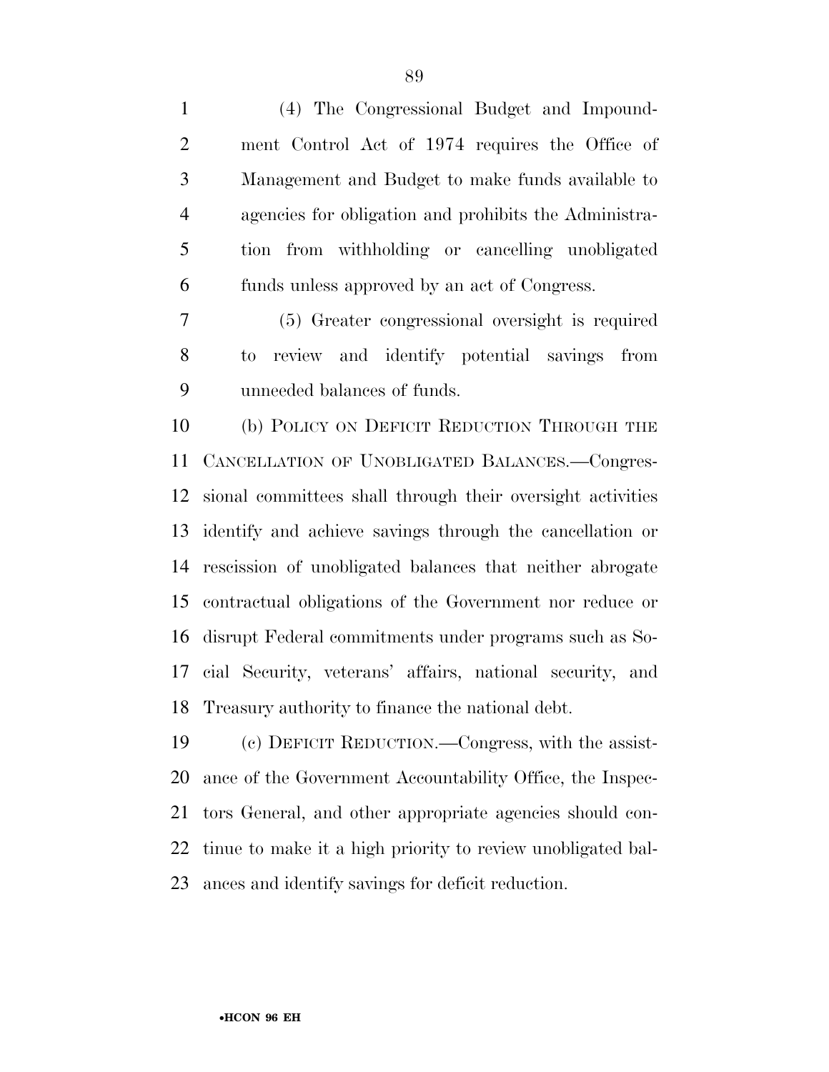(4) The Congressional Budget and Impound- ment Control Act of 1974 requires the Office of Management and Budget to make funds available to agencies for obligation and prohibits the Administra- tion from withholding or cancelling unobligated funds unless approved by an act of Congress.

 (5) Greater congressional oversight is required to review and identify potential savings from unneeded balances of funds.

 (b) POLICY ON DEFICIT REDUCTION THROUGH THE CANCELLATION OF UNOBLIGATED BALANCES.—Congres- sional committees shall through their oversight activities identify and achieve savings through the cancellation or rescission of unobligated balances that neither abrogate contractual obligations of the Government nor reduce or disrupt Federal commitments under programs such as So- cial Security, veterans' affairs, national security, and Treasury authority to finance the national debt.

 (c) DEFICIT REDUCTION.—Congress, with the assist- ance of the Government Accountability Office, the Inspec- tors General, and other appropriate agencies should con- tinue to make it a high priority to review unobligated bal-ances and identify savings for deficit reduction.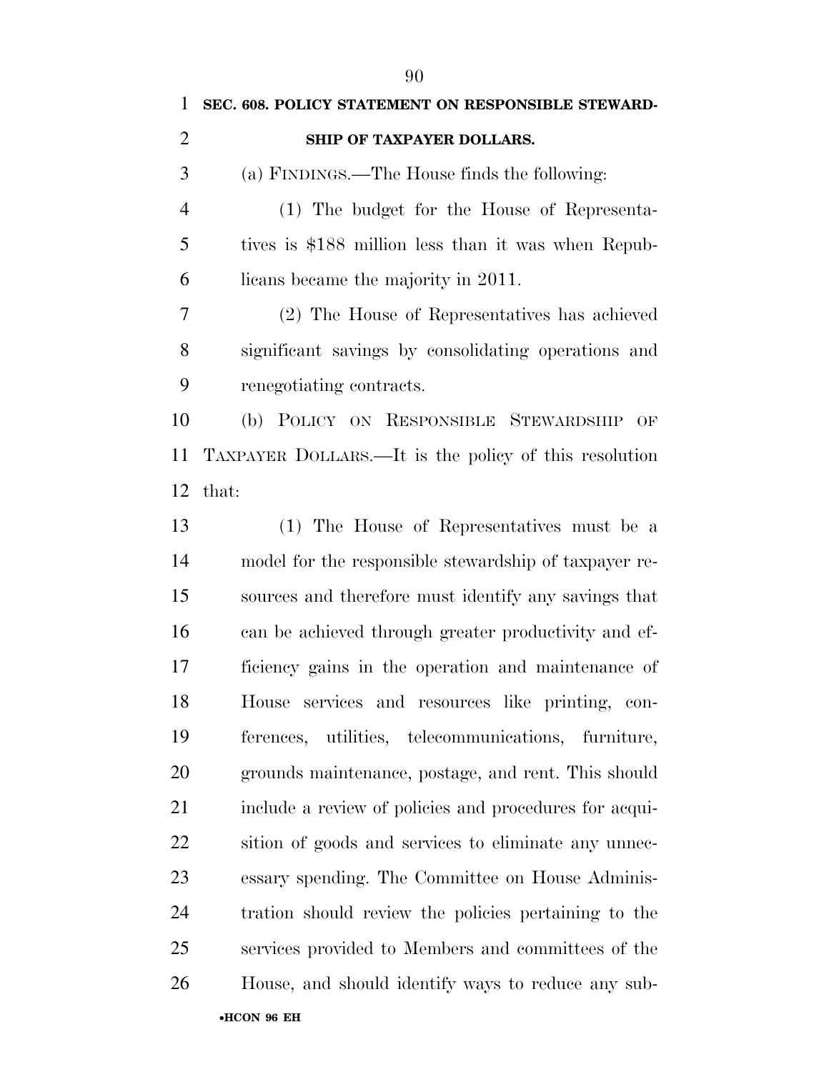|                | 90                                                 |
|----------------|----------------------------------------------------|
|                | SEC. 608. POLICY STATEMENT ON RESPONSIBLE STEWARD- |
| -2             | SHIP OF TAXPAYER DOLLARS.                          |
| $\overline{3}$ | (a) FINDINGS.—The House finds the following:       |
|                | (1) The budget for the House of Representa-        |
|                |                                                    |

 tives is \$188 million less than it was when Repub-licans became the majority in 2011.

 (2) The House of Representatives has achieved significant savings by consolidating operations and renegotiating contracts.

 (b) POLICY ON RESPONSIBLE STEWARDSHIP OF TAXPAYER DOLLARS.—It is the policy of this resolution that:

•**HCON 96 EH**  (1) The House of Representatives must be a model for the responsible stewardship of taxpayer re- sources and therefore must identify any savings that can be achieved through greater productivity and ef- ficiency gains in the operation and maintenance of House services and resources like printing, con- ferences, utilities, telecommunications, furniture, grounds maintenance, postage, and rent. This should include a review of policies and procedures for acqui- sition of goods and services to eliminate any unnec- essary spending. The Committee on House Adminis- tration should review the policies pertaining to the services provided to Members and committees of the House, and should identify ways to reduce any sub-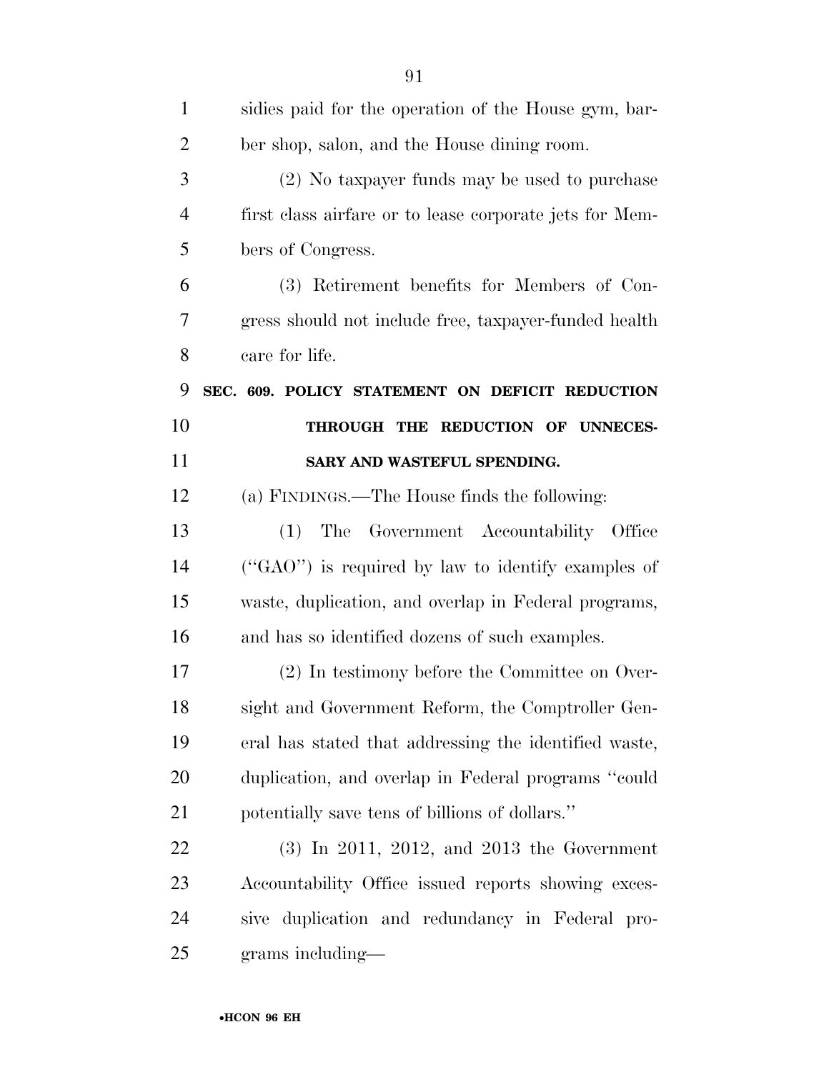| $\mathbf{1}$   | sidies paid for the operation of the House gym, bar-    |
|----------------|---------------------------------------------------------|
| $\overline{2}$ | ber shop, salon, and the House dining room.             |
| 3              | (2) No taxpayer funds may be used to purchase           |
| $\overline{4}$ | first class airfare or to lease corporate jets for Mem- |
| 5              | bers of Congress.                                       |
| 6              | (3) Retirement benefits for Members of Con-             |
| 7              | gress should not include free, taxpayer-funded health   |
| 8              | care for life.                                          |
| 9              | SEC. 609. POLICY STATEMENT ON DEFICIT REDUCTION         |
| 10             | THROUGH THE REDUCTION OF UNNECES-                       |
| 11             | SARY AND WASTEFUL SPENDING.                             |
| 12             | (a) FINDINGS.—The House finds the following:            |
| 13             | The Government Accountability Office<br>(1)             |
| 14             | ("GAO") is required by law to identify examples of      |
| 15             | waste, duplication, and overlap in Federal programs,    |
| 16             | and has so identified dozens of such examples.          |
| 17             | (2) In testimony before the Committee on Over-          |
| 18             | sight and Government Reform, the Comptroller Gen-       |
| 19             | eral has stated that addressing the identified waste,   |
| 20             | duplication, and overlap in Federal programs "could     |
| 21             | potentially save tens of billions of dollars."          |
| 22             | $(3)$ In 2011, 2012, and 2013 the Government            |
| 23             | Accountability Office issued reports showing exces-     |
| 24             | sive duplication and redundancy in Federal pro-         |
| 25             | grams including—                                        |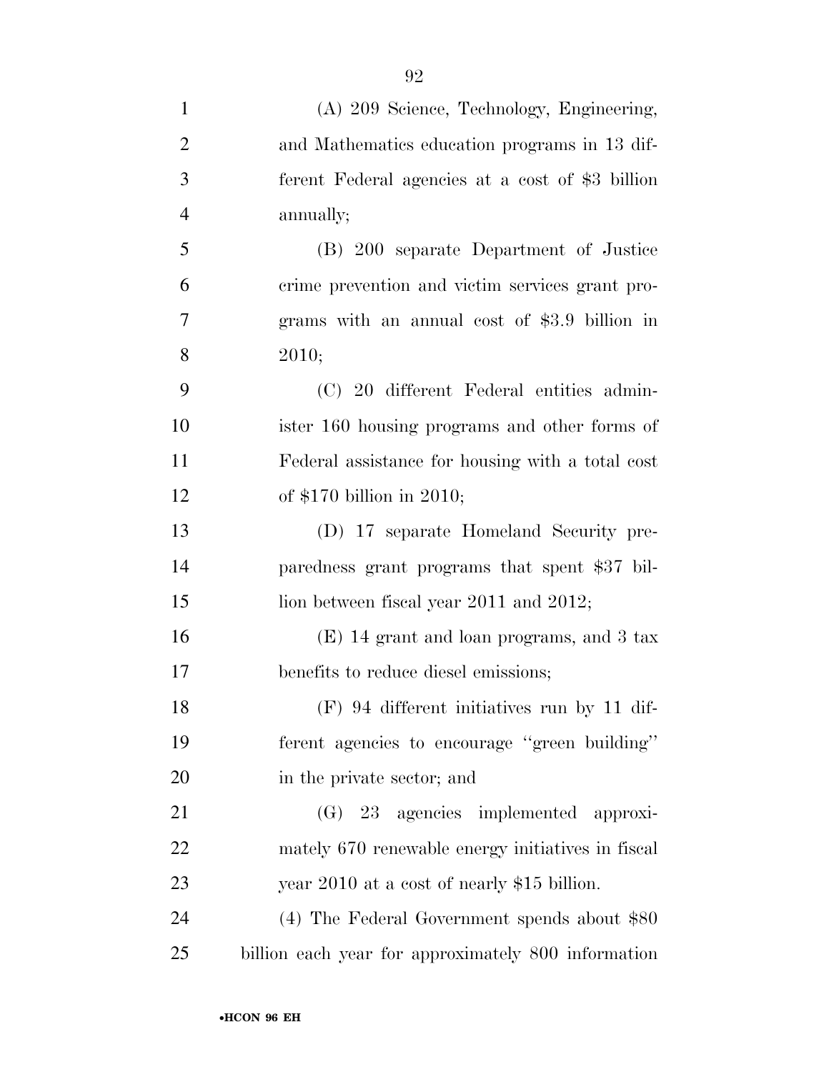| $\mathbf{1}$   | (A) 209 Science, Technology, Engineering,           |
|----------------|-----------------------------------------------------|
| $\overline{2}$ | and Mathematics education programs in 13 dif-       |
| 3              | ferent Federal agencies at a cost of \$3 billion    |
| $\overline{4}$ | annually;                                           |
| 5              | (B) 200 separate Department of Justice              |
| 6              | crime prevention and victim services grant pro-     |
| 7              | grams with an annual cost of \$3.9 billion in       |
| 8              | 2010;                                               |
| 9              | (C) 20 different Federal entities admin-            |
| 10             | ister 160 housing programs and other forms of       |
| 11             | Federal assistance for housing with a total cost    |
| 12             | of $$170$ billion in 2010;                          |
| 13             | (D) 17 separate Homeland Security pre-              |
| 14             | paredness grant programs that spent \$37 bil-       |
| 15             | lion between fiscal year 2011 and 2012;             |
| 16             | $(E)$ 14 grant and loan programs, and 3 tax         |
| 17             | benefits to reduce diesel emissions;                |
| 18             | $(F)$ 94 different initiatives run by 11 dif-       |
| 19             | ferent agencies to encourage "green building"       |
| 20             | in the private sector; and                          |
| 21             | (G) 23 agencies implemented approxi-                |
| 22             | mately 670 renewable energy initiatives in fiscal   |
| 23             | year 2010 at a cost of nearly \$15 billion.         |
| 24             | $(4)$ The Federal Government spends about \$80      |
| 25             | billion each year for approximately 800 information |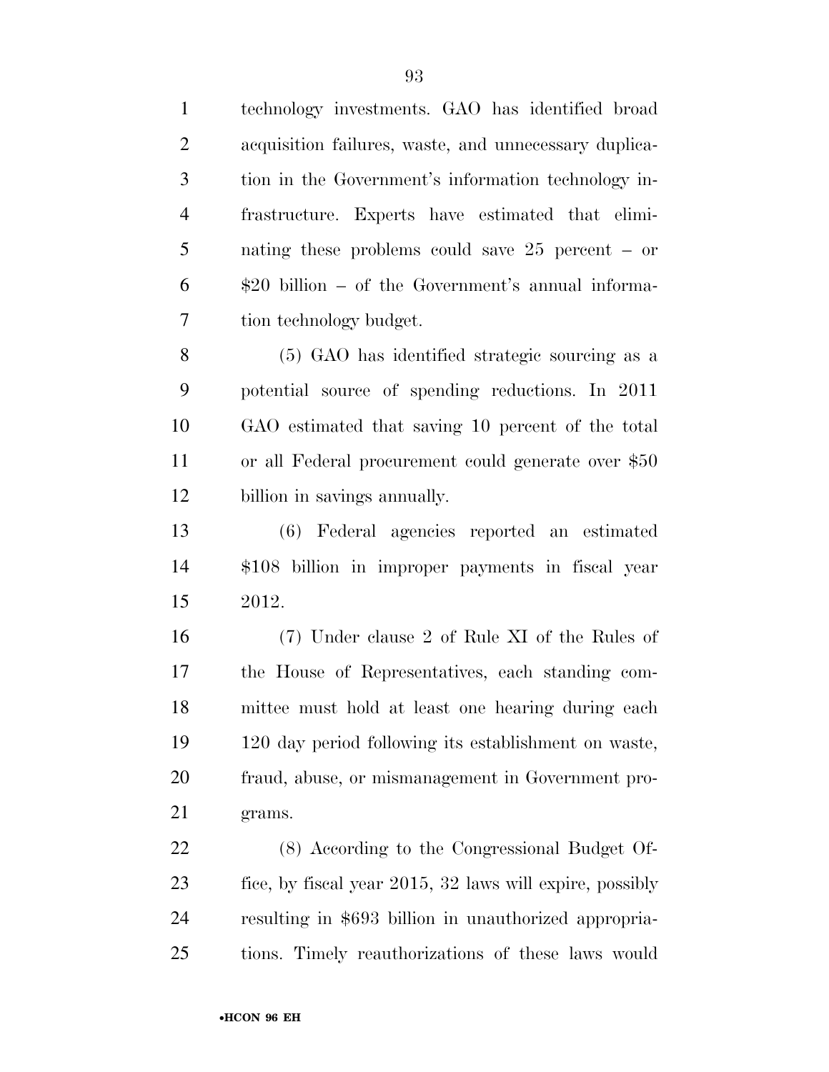technology investments. GAO has identified broad acquisition failures, waste, and unnecessary duplica- tion in the Government's information technology in- frastructure. Experts have estimated that elimi- nating these problems could save 25 percent – or \$20 billion – of the Government's annual informa-tion technology budget.

 (5) GAO has identified strategic sourcing as a potential source of spending reductions. In 2011 GAO estimated that saving 10 percent of the total or all Federal procurement could generate over \$50 billion in savings annually.

 (6) Federal agencies reported an estimated \$108 billion in improper payments in fiscal year 2012.

 (7) Under clause 2 of Rule XI of the Rules of the House of Representatives, each standing com- mittee must hold at least one hearing during each 120 day period following its establishment on waste, fraud, abuse, or mismanagement in Government pro-grams.

 (8) According to the Congressional Budget Of- fice, by fiscal year 2015, 32 laws will expire, possibly resulting in \$693 billion in unauthorized appropria-tions. Timely reauthorizations of these laws would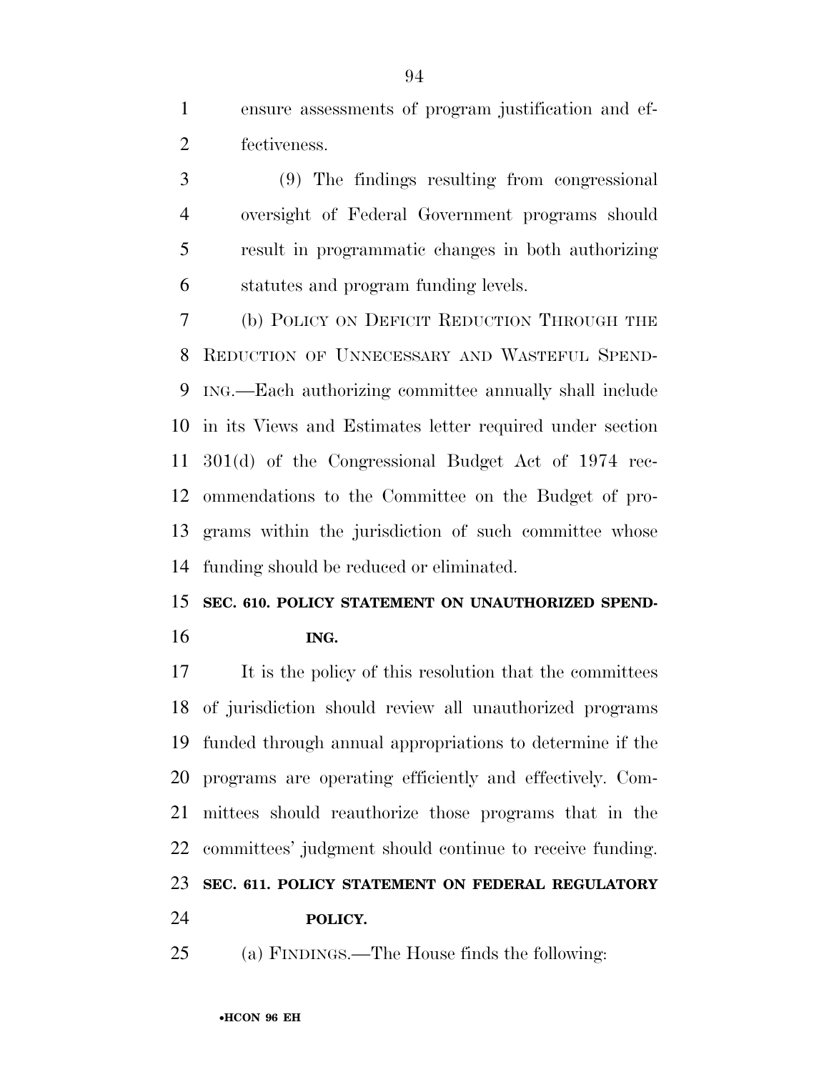ensure assessments of program justification and ef-fectiveness.

 (9) The findings resulting from congressional oversight of Federal Government programs should result in programmatic changes in both authorizing statutes and program funding levels.

 (b) POLICY ON DEFICIT REDUCTION THROUGH THE REDUCTION OF UNNECESSARY AND WASTEFUL SPEND- ING.—Each authorizing committee annually shall include in its Views and Estimates letter required under section 301(d) of the Congressional Budget Act of 1974 rec- ommendations to the Committee on the Budget of pro- grams within the jurisdiction of such committee whose funding should be reduced or eliminated.

## **SEC. 610. POLICY STATEMENT ON UNAUTHORIZED SPEND-ING.**

 It is the policy of this resolution that the committees of jurisdiction should review all unauthorized programs funded through annual appropriations to determine if the programs are operating efficiently and effectively. Com- mittees should reauthorize those programs that in the committees' judgment should continue to receive funding. **SEC. 611. POLICY STATEMENT ON FEDERAL REGULATORY** 

**POLICY.** 

(a) FINDINGS.—The House finds the following: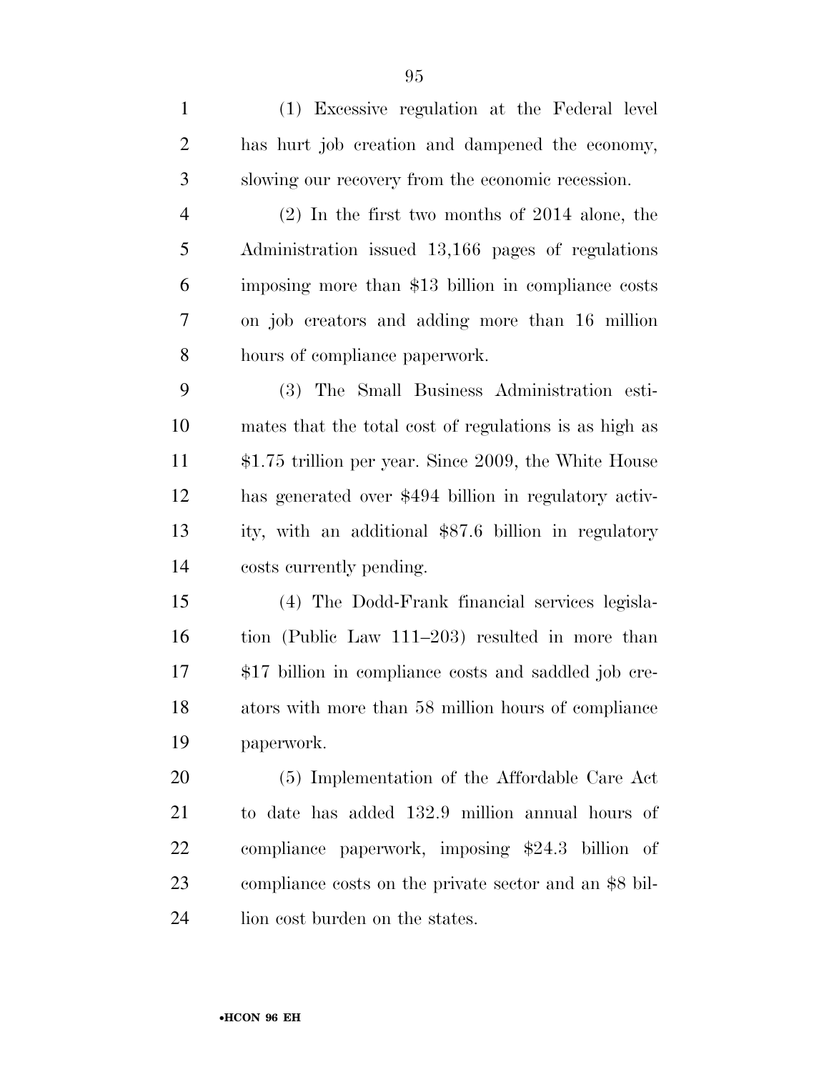| $\mathbf{1}$   | (1) Excessive regulation at the Federal level          |
|----------------|--------------------------------------------------------|
| $\overline{2}$ | has hurt job creation and dampened the economy,        |
| 3              | slowing our recovery from the economic recession.      |
| $\overline{4}$ | $(2)$ In the first two months of 2014 alone, the       |
| 5              | Administration issued 13,166 pages of regulations      |
| 6              | imposing more than \$13 billion in compliance costs    |
| 7              | on job creators and adding more than 16 million        |
| 8              | hours of compliance paperwork.                         |
| 9              | (3) The Small Business Administration esti-            |
| 10             | mates that the total cost of regulations is as high as |
| 11             | $$1.75$ trillion per year. Since 2009, the White House |
| 12             | has generated over \$494 billion in regulatory activ-  |
| 13             | ity, with an additional \$87.6 billion in regulatory   |
| 14             | costs currently pending.                               |
| 15             | (4) The Dodd-Frank financial services legisla-         |
| 16             | tion (Public Law 111–203) resulted in more than        |
| 17             | \$17 billion in compliance costs and saddled job cre-  |
| 18             | ators with more than 58 million hours of compliance    |
| 19             | paperwork.                                             |
| 20             | (5) Implementation of the Affordable Care Act          |
| 21             | to date has added 132.9 million annual hours of        |
| 22             | compliance paperwork, imposing \$24.3 billion of       |
| 23             | compliance costs on the private sector and an \$8 bil- |
| 24             | lion cost burden on the states.                        |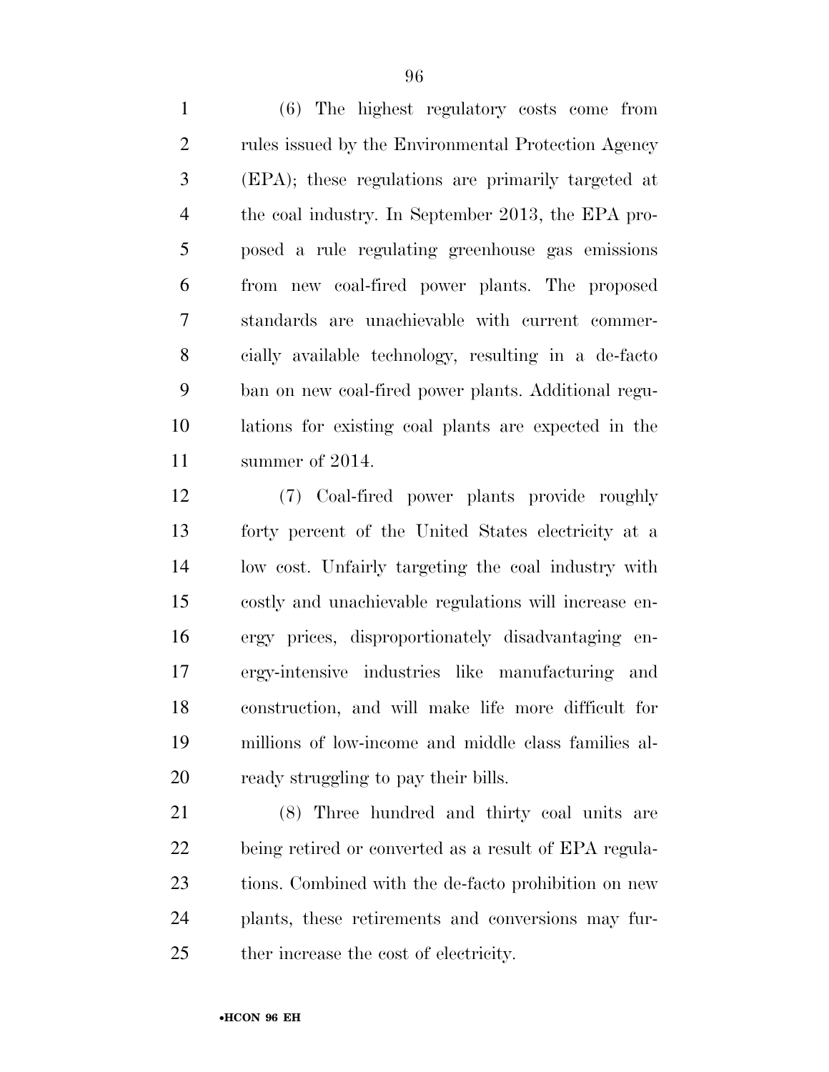(6) The highest regulatory costs come from rules issued by the Environmental Protection Agency (EPA); these regulations are primarily targeted at the coal industry. In September 2013, the EPA pro- posed a rule regulating greenhouse gas emissions from new coal-fired power plants. The proposed standards are unachievable with current commer- cially available technology, resulting in a de-facto ban on new coal-fired power plants. Additional regu- lations for existing coal plants are expected in the summer of 2014.

 (7) Coal-fired power plants provide roughly forty percent of the United States electricity at a low cost. Unfairly targeting the coal industry with costly and unachievable regulations will increase en- ergy prices, disproportionately disadvantaging en- ergy-intensive industries like manufacturing and construction, and will make life more difficult for millions of low-income and middle class families al-ready struggling to pay their bills.

 (8) Three hundred and thirty coal units are being retired or converted as a result of EPA regula- tions. Combined with the de-facto prohibition on new plants, these retirements and conversions may fur-ther increase the cost of electricity.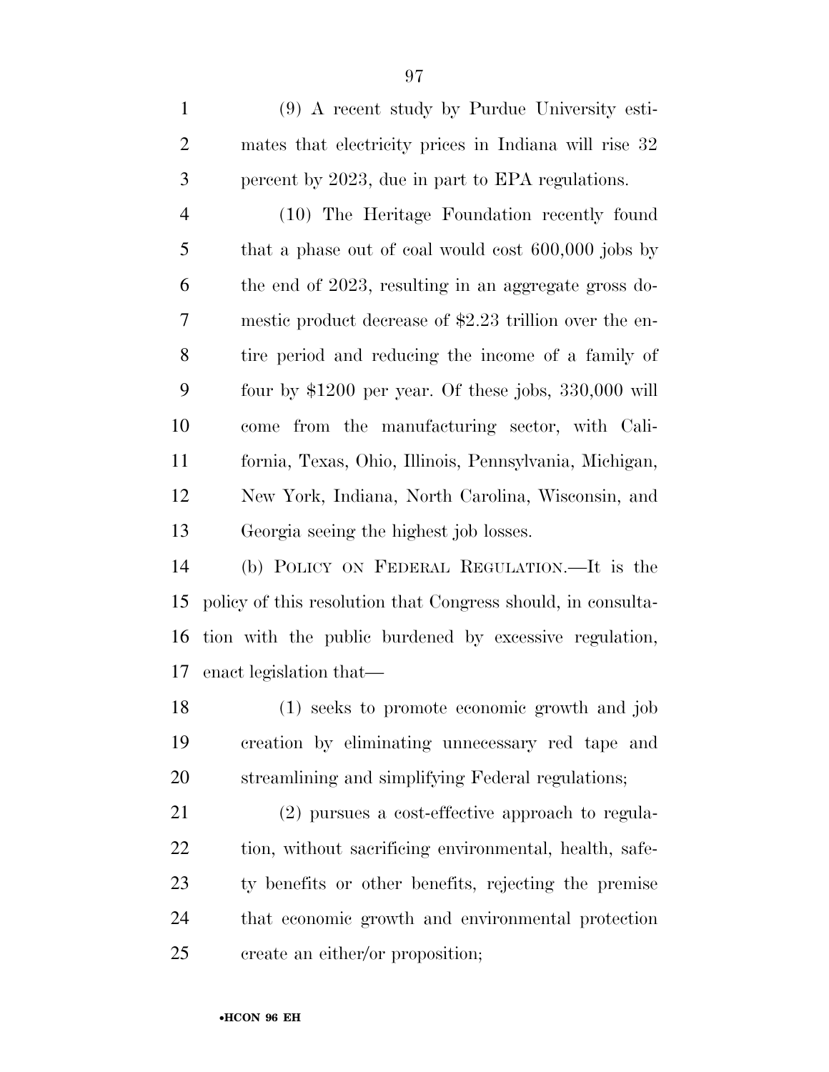(9) A recent study by Purdue University esti- mates that electricity prices in Indiana will rise 32 percent by 2023, due in part to EPA regulations.

 (10) The Heritage Foundation recently found that a phase out of coal would cost 600,000 jobs by the end of 2023, resulting in an aggregate gross do- mestic product decrease of \$2.23 trillion over the en- tire period and reducing the income of a family of four by \$1200 per year. Of these jobs, 330,000 will come from the manufacturing sector, with Cali- fornia, Texas, Ohio, Illinois, Pennsylvania, Michigan, New York, Indiana, North Carolina, Wisconsin, and Georgia seeing the highest job losses.

 (b) POLICY ON FEDERAL REGULATION.—It is the policy of this resolution that Congress should, in consulta- tion with the public burdened by excessive regulation, enact legislation that—

 (1) seeks to promote economic growth and job creation by eliminating unnecessary red tape and streamlining and simplifying Federal regulations;

 (2) pursues a cost-effective approach to regula-22 tion, without sacrificing environmental, health, safe- ty benefits or other benefits, rejecting the premise that economic growth and environmental protection create an either/or proposition;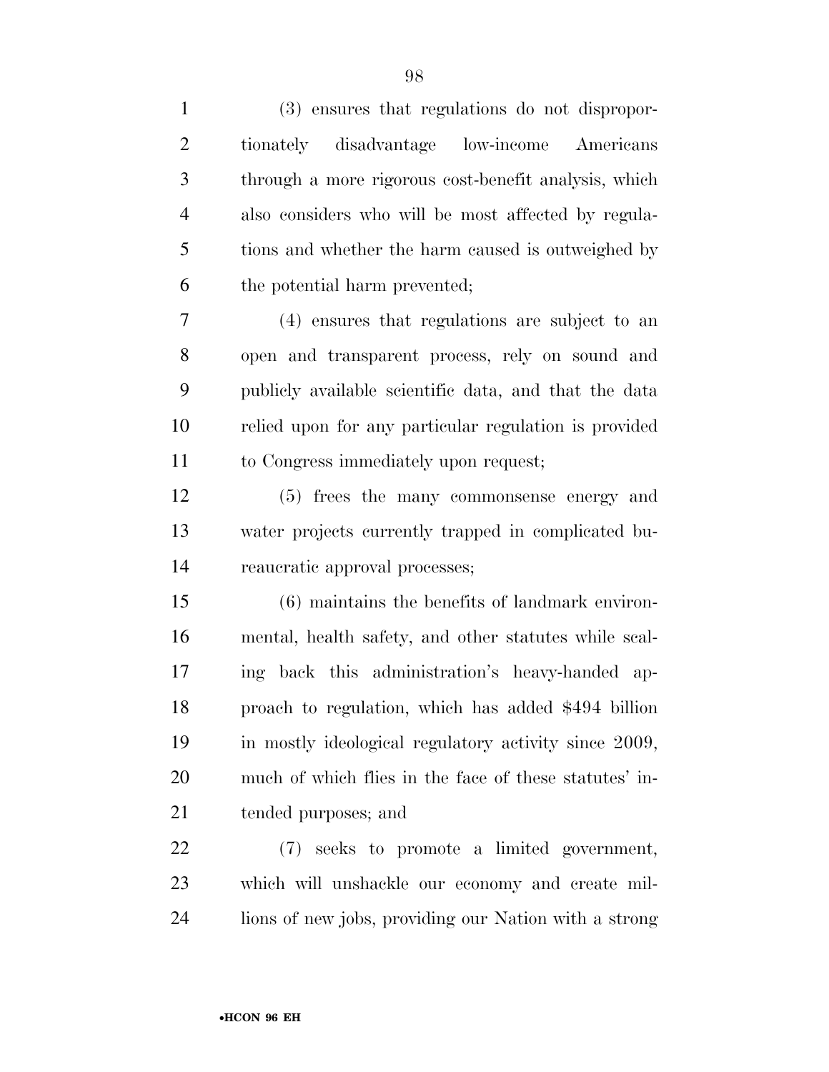| $\mathbf{1}$   | (3) ensures that regulations do not dispropor-         |
|----------------|--------------------------------------------------------|
| $\overline{2}$ | tionately disadvantage low-income Americans            |
| 3              | through a more rigorous cost-benefit analysis, which   |
| $\overline{4}$ | also considers who will be most affected by regula-    |
| 5              | tions and whether the harm caused is outweighed by     |
| 6              | the potential harm prevented;                          |
| 7              | (4) ensures that regulations are subject to an         |
| 8              | open and transparent process, rely on sound and        |
| 9              | publicly available scientific data, and that the data  |
| 10             | relied upon for any particular regulation is provided  |
| 11             | to Congress immediately upon request;                  |
| 12             | (5) frees the many commonsense energy and              |
| 13             | water projects currently trapped in complicated bu-    |
| 14             | reaucratic approval processes;                         |
| 15             | (6) maintains the benefits of landmark environ-        |
| 16             | mental, health safety, and other statutes while scal-  |
| 17             | ing back this administration's heavy-handed ap-        |
| 18             | proach to regulation, which has added \$494 billion    |
| 19             | in mostly ideological regulatory activity since 2009,  |
| 20             | much of which flies in the face of these statutes' in- |
| 21             | tended purposes; and                                   |
| 22             | (7) seeks to promote a limited government,             |
| 23             | which will unshackle our economy and create mil-       |

lions of new jobs, providing our Nation with a strong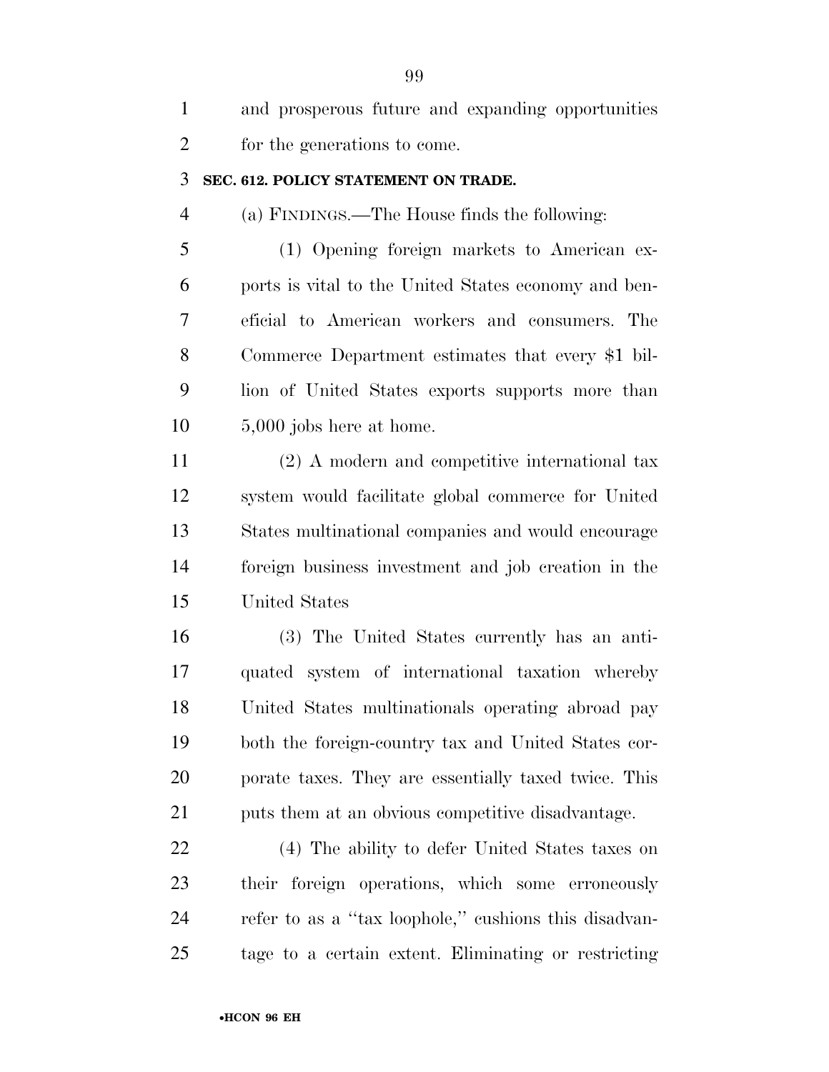| $\mathbf{1}$   | and prosperous future and expanding opportunities     |
|----------------|-------------------------------------------------------|
| $\overline{2}$ | for the generations to come.                          |
| 3              | SEC. 612. POLICY STATEMENT ON TRADE.                  |
| $\overline{4}$ | (a) FINDINGS.—The House finds the following:          |
| 5              | (1) Opening foreign markets to American ex-           |
| 6              | ports is vital to the United States economy and ben-  |
| 7              | eficial to American workers and consumers. The        |
| 8              | Commerce Department estimates that every \$1 bil-     |
| 9              | lion of United States exports supports more than      |
| 10             | $5,000$ jobs here at home.                            |
| 11             | (2) A modern and competitive international tax        |
| 12             | system would facilitate global commerce for United    |
| 13             | States multinational companies and would encourage    |
| 14             | foreign business investment and job creation in the   |
| 15             | United States                                         |
| 16             | (3) The United States currently has an anti-          |
| 17             | quated system of international taxation whereby       |
| 18             | United States multinationals operating abroad pay     |
| 19             | both the foreign-country tax and United States cor-   |
| 20             | porate taxes. They are essentially taxed twice. This  |
| 21             | puts them at an obvious competitive disadvantage.     |
| <u>22</u>      | (4) The ability to defer United States taxes on       |
| 23             | their foreign operations, which some erroneously      |
| 24             | refer to as a "tax loophole," cushions this disadvan- |
| 25             | tage to a certain extent. Eliminating or restricting  |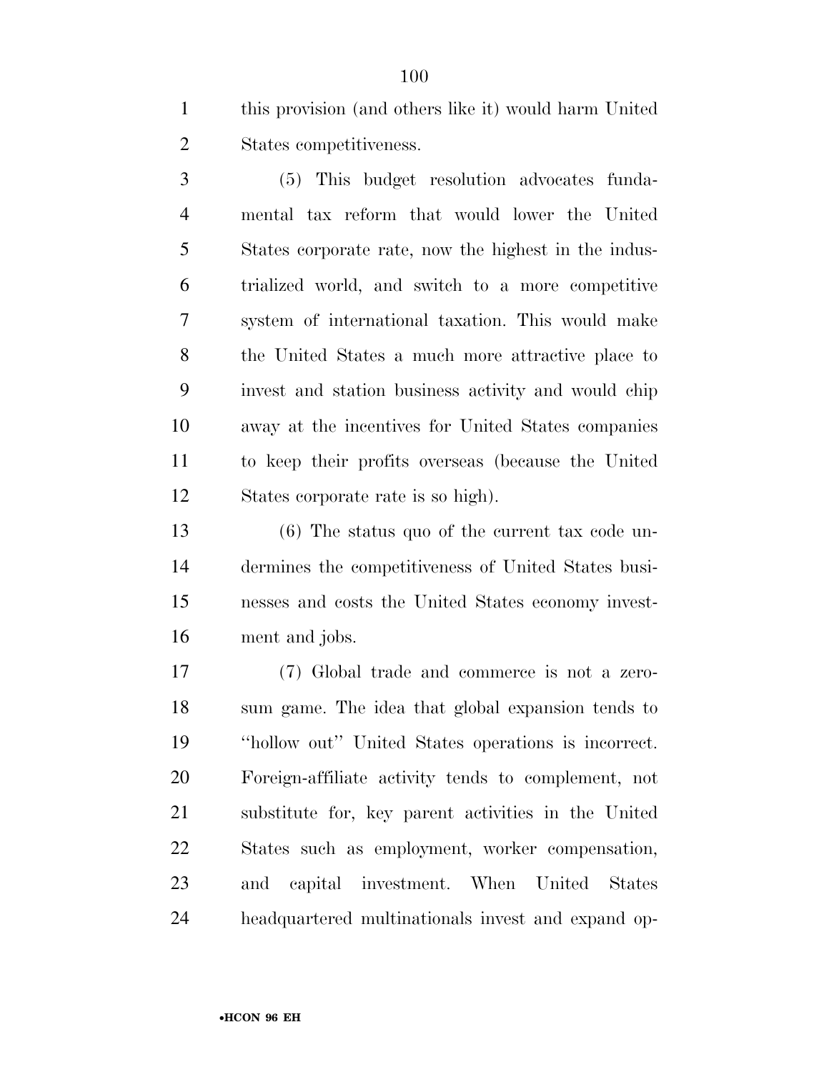this provision (and others like it) would harm United States competitiveness.

 (5) This budget resolution advocates funda- mental tax reform that would lower the United States corporate rate, now the highest in the indus- trialized world, and switch to a more competitive system of international taxation. This would make the United States a much more attractive place to invest and station business activity and would chip away at the incentives for United States companies to keep their profits overseas (because the United States corporate rate is so high).

 (6) The status quo of the current tax code un- dermines the competitiveness of United States busi- nesses and costs the United States economy invest-ment and jobs.

 (7) Global trade and commerce is not a zero- sum game. The idea that global expansion tends to ''hollow out'' United States operations is incorrect. Foreign-affiliate activity tends to complement, not substitute for, key parent activities in the United States such as employment, worker compensation, and capital investment. When United States headquartered multinationals invest and expand op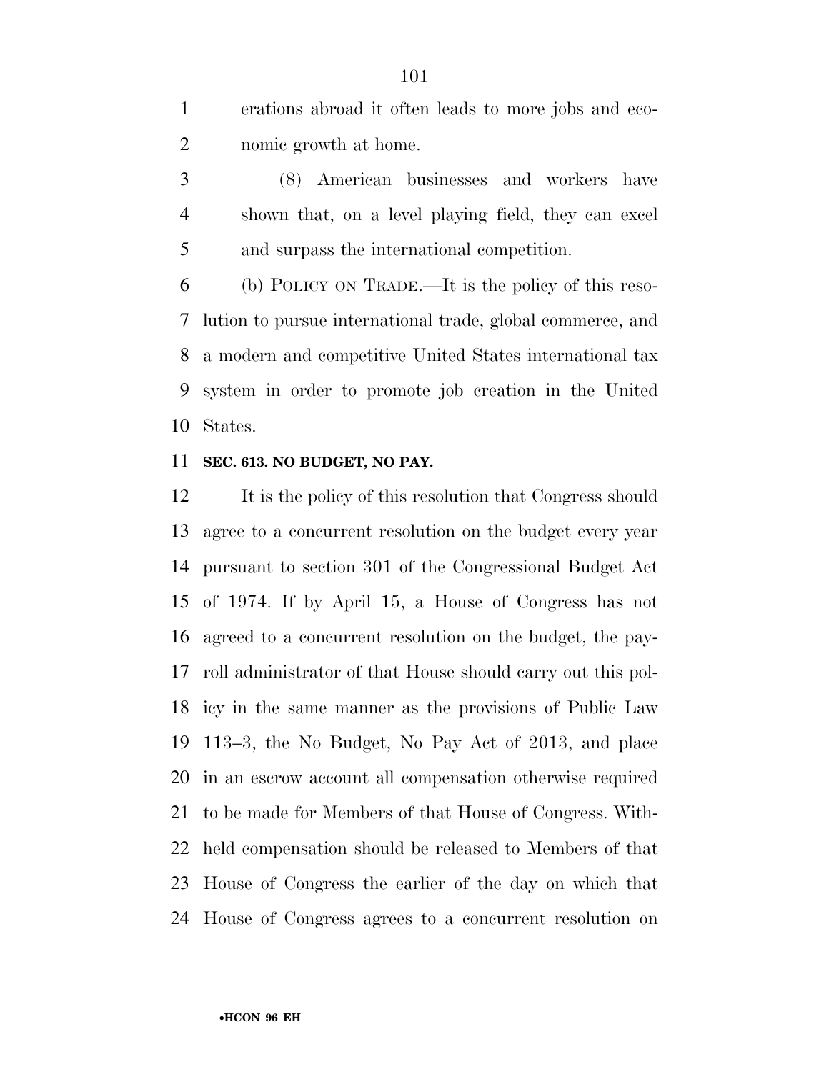erations abroad it often leads to more jobs and eco-nomic growth at home.

 (8) American businesses and workers have shown that, on a level playing field, they can excel and surpass the international competition.

 (b) POLICY ON TRADE.—It is the policy of this reso- lution to pursue international trade, global commerce, and a modern and competitive United States international tax system in order to promote job creation in the United States.

#### **SEC. 613. NO BUDGET, NO PAY.**

 It is the policy of this resolution that Congress should agree to a concurrent resolution on the budget every year pursuant to section 301 of the Congressional Budget Act of 1974. If by April 15, a House of Congress has not agreed to a concurrent resolution on the budget, the pay- roll administrator of that House should carry out this pol- icy in the same manner as the provisions of Public Law 113–3, the No Budget, No Pay Act of 2013, and place in an escrow account all compensation otherwise required to be made for Members of that House of Congress. With- held compensation should be released to Members of that House of Congress the earlier of the day on which that House of Congress agrees to a concurrent resolution on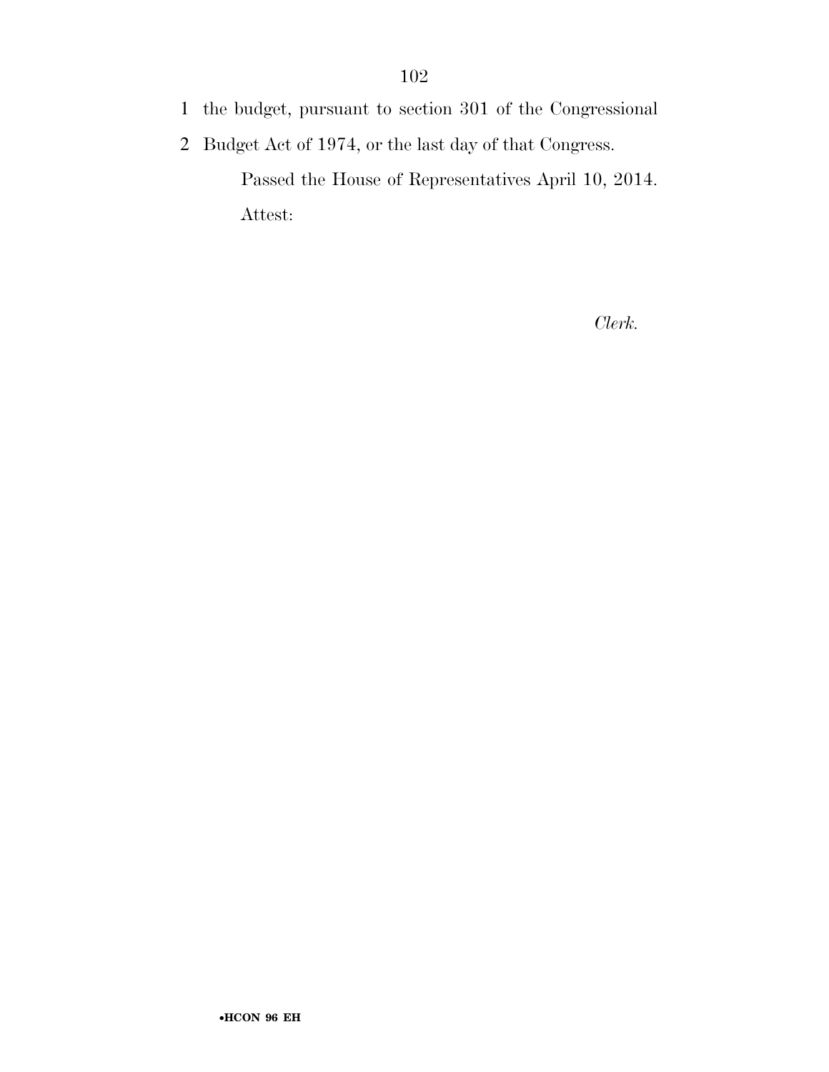- 1 the budget, pursuant to section 301 of the Congressional
- 2 Budget Act of 1974, or the last day of that Congress.

Passed the House of Representatives April 10, 2014. Attest:

*Clerk.*